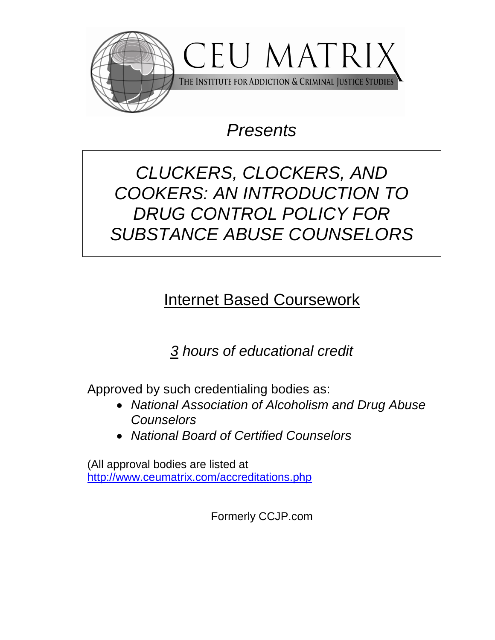

# *Presents*

# *CLUCKERS, CLOCKERS, AND COOKERS: AN INTRODUCTION TO DRUG CONTROL POLICY FOR SUBSTANCE ABUSE COUNSELORS*

# Internet Based Coursework

*3 hours of educational credit*

Approved by such credentialing bodies as:

- *National Association of Alcoholism and Drug Abuse Counselors*
- *National Board of Certified Counselors*

(All approval bodies are listed at <http://www.ceumatrix.com/accreditations.php>

Formerly CCJP.com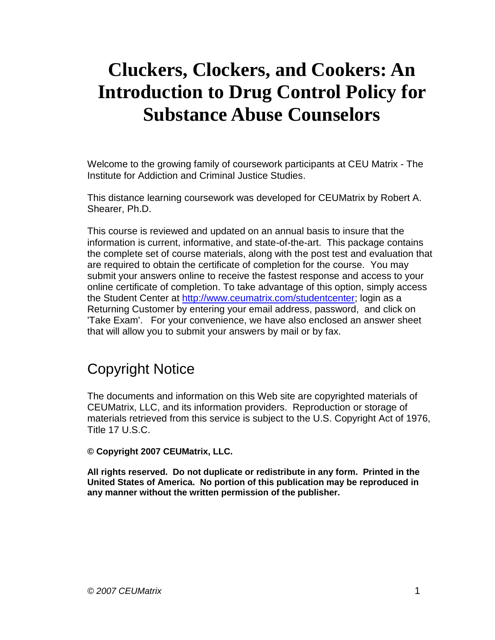Welcome to the growing family of coursework participants at CEU Matrix - The Institute for Addiction and Criminal Justice Studies.

This distance learning coursework was developed for CEUMatrix by Robert A. Shearer, Ph.D.

This course is reviewed and updated on an annual basis to insure that the information is current, informative, and state-of-the-art. This package contains the complete set of course materials, along with the post test and evaluation that are required to obtain the certificate of completion for the course. You may submit your answers online to receive the fastest response and access to your online certificate of completion. To take advantage of this option, simply access the Student Center at [http://www.ceumatrix.com/studentcenter;](http://www.ceumatrix.com/studentcenter) login as a Returning Customer by entering your email address, password, and click on 'Take Exam'. For your convenience, we have also enclosed an answer sheet that will allow you to submit your answers by mail or by fax.

# Copyright Notice

The documents and information on this Web site are copyrighted materials of CEUMatrix, LLC, and its information providers. Reproduction or storage of materials retrieved from this service is subject to the U.S. Copyright Act of 1976, Title 17 U.S.C.

**© Copyright 2007 CEUMatrix, LLC.** 

**All rights reserved. Do not duplicate or redistribute in any form. Printed in the United States of America. No portion of this publication may be reproduced in any manner without the written permission of the publisher.**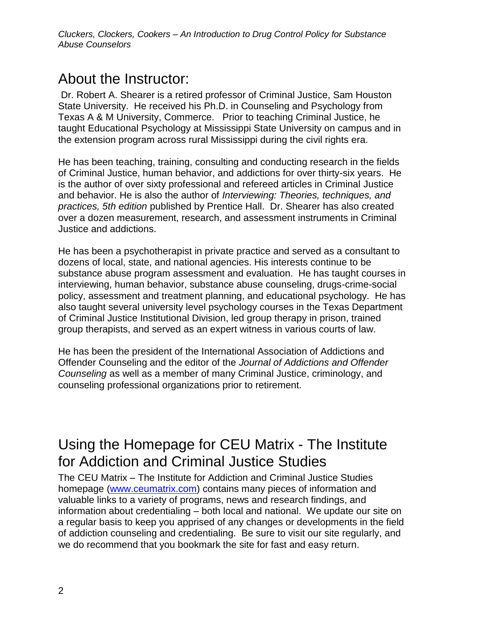## About the Instructor:

Dr. Robert A. Shearer is a retired professor of Criminal Justice, Sam Houston State University. He received his Ph.D. in Counseling and Psychology from Texas A & M University, Commerce. Prior to teaching Criminal Justice, he taught Educational Psychology at Mississippi State University on campus and in the extension program across rural Mississippi during the civil rights era.

He has been teaching, training, consulting and conducting research in the fields of Criminal Justice, human behavior, and addictions for over thirty-six years. He is the author of over sixty professional and refereed articles in Criminal Justice and behavior. He is also the author of *Interviewing: Theories, techniques, and practices, 5th edition* published by Prentice Hall. Dr. Shearer has also created over a dozen measurement, research, and assessment instruments in Criminal Justice and addictions.

He has been a psychotherapist in private practice and served as a consultant to dozens of local, state, and national agencies. His interests continue to be substance abuse program assessment and evaluation. He has taught courses in interviewing, human behavior, substance abuse counseling, drugs-crime-social policy, assessment and treatment planning, and educational psychology. He has also taught several university level psychology courses in the Texas Department of Criminal Justice Institutional Division, led group therapy in prison, trained group therapists, and served as an expert witness in various courts of law.

He has been the president of the International Association of Addictions and Offender Counseling and the editor of the *Journal of Addictions and Offender Counseling* as well as a member of many Criminal Justice, criminology, and counseling professional organizations prior to retirement.

## Using the Homepage for CEU Matrix - The Institute for Addiction and Criminal Justice Studies

The CEU Matrix – The Institute for Addiction and Criminal Justice Studies homepage [\(www.ceumatrix.com\)](http://www.ceumatrix.com/) contains many pieces of information and valuable links to a variety of programs, news and research findings, and information about credentialing – both local and national. We update our site on a regular basis to keep you apprised of any changes or developments in the field of addiction counseling and credentialing. Be sure to visit our site regularly, and we do recommend that you bookmark the site for fast and easy return.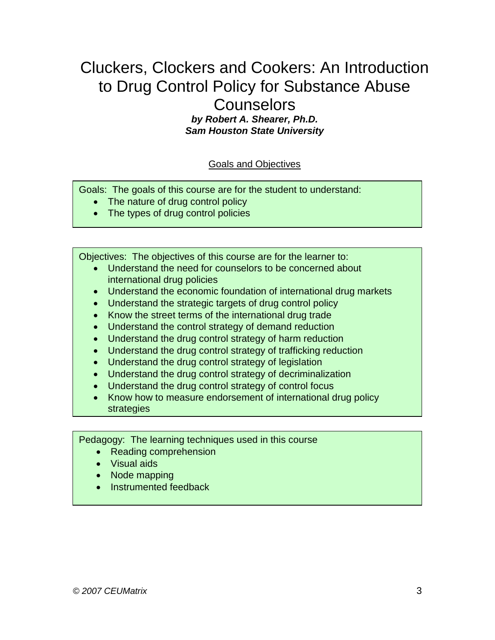# Cluckers, Clockers and Cookers: An Introduction to Drug Control Policy for Substance Abuse

## **Counselors**

*by Robert A. Shearer, Ph.D. Sam Houston State University*

### Goals and Objectives

Goals: The goals of this course are for the student to understand:

- The nature of drug control policy
- The types of drug control policies

Objectives: The objectives of this course are for the learner to:

- Understand the need for counselors to be concerned about international drug policies
- Understand the economic foundation of international drug markets
- Understand the strategic targets of drug control policy
- Know the street terms of the international drug trade
- Understand the control strategy of demand reduction
- Understand the drug control strategy of harm reduction
- Understand the drug control strategy of trafficking reduction
- Understand the drug control strategy of legislation
- Understand the drug control strategy of decriminalization
- Understand the drug control strategy of control focus
- Know how to measure endorsement of international drug policy strategies

Pedagogy: The learning techniques used in this course

- Reading comprehension
- Visual aids
- Node mapping
- Instrumented feedback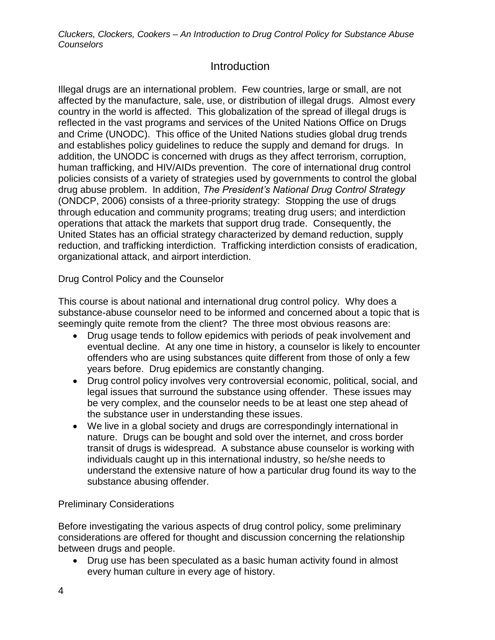## **Introduction**

Illegal drugs are an international problem. Few countries, large or small, are not affected by the manufacture, sale, use, or distribution of illegal drugs. Almost every country in the world is affected. This globalization of the spread of illegal drugs is reflected in the vast programs and services of the United Nations Office on Drugs and Crime (UNODC). This office of the United Nations studies global drug trends and establishes policy guidelines to reduce the supply and demand for drugs. In addition, the UNODC is concerned with drugs as they affect terrorism, corruption, human trafficking, and HIV/AIDs prevention. The core of international drug control policies consists of a variety of strategies used by governments to control the global drug abuse problem. In addition, *The President's National Drug Control Strategy* (ONDCP, 2006) consists of a three-priority strategy: Stopping the use of drugs through education and community programs; treating drug users; and interdiction operations that attack the markets that support drug trade. Consequently, the United States has an official strategy characterized by demand reduction, supply reduction, and trafficking interdiction. Trafficking interdiction consists of eradication, organizational attack, and airport interdiction.

Drug Control Policy and the Counselor

This course is about national and international drug control policy. Why does a substance-abuse counselor need to be informed and concerned about a topic that is seemingly quite remote from the client? The three most obvious reasons are:

- Drug usage tends to follow epidemics with periods of peak involvement and eventual decline. At any one time in history, a counselor is likely to encounter offenders who are using substances quite different from those of only a few years before. Drug epidemics are constantly changing.
- Drug control policy involves very controversial economic, political, social, and legal issues that surround the substance using offender. These issues may be very complex, and the counselor needs to be at least one step ahead of the substance user in understanding these issues.
- We live in a global society and drugs are correspondingly international in nature. Drugs can be bought and sold over the internet, and cross border transit of drugs is widespread. A substance abuse counselor is working with individuals caught up in this international industry, so he/she needs to understand the extensive nature of how a particular drug found its way to the substance abusing offender.

### Preliminary Considerations

Before investigating the various aspects of drug control policy, some preliminary considerations are offered for thought and discussion concerning the relationship between drugs and people.

 Drug use has been speculated as a basic human activity found in almost every human culture in every age of history.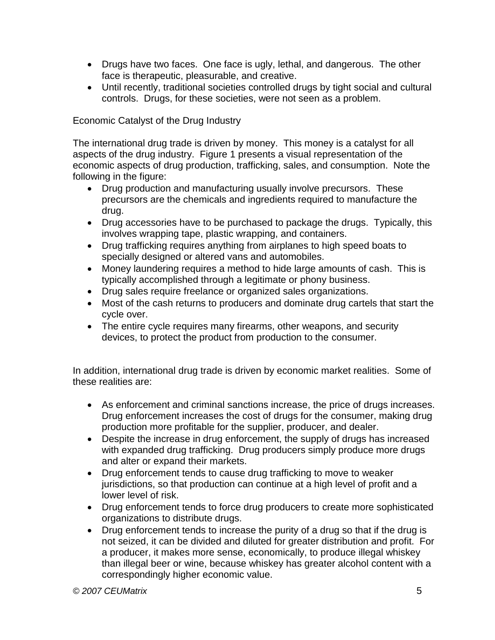- Drugs have two faces. One face is ugly, lethal, and dangerous. The other face is therapeutic, pleasurable, and creative.
- Until recently, traditional societies controlled drugs by tight social and cultural controls. Drugs, for these societies, were not seen as a problem.

### Economic Catalyst of the Drug Industry

The international drug trade is driven by money. This money is a catalyst for all aspects of the drug industry. Figure 1 presents a visual representation of the economic aspects of drug production, trafficking, sales, and consumption. Note the following in the figure:

- Drug production and manufacturing usually involve precursors. These precursors are the chemicals and ingredients required to manufacture the drug.
- Drug accessories have to be purchased to package the drugs. Typically, this involves wrapping tape, plastic wrapping, and containers.
- Drug trafficking requires anything from airplanes to high speed boats to specially designed or altered vans and automobiles.
- Money laundering requires a method to hide large amounts of cash. This is typically accomplished through a legitimate or phony business.
- Drug sales require freelance or organized sales organizations.
- Most of the cash returns to producers and dominate drug cartels that start the cycle over.
- The entire cycle requires many firearms, other weapons, and security devices, to protect the product from production to the consumer.

In addition, international drug trade is driven by economic market realities. Some of these realities are:

- As enforcement and criminal sanctions increase, the price of drugs increases. Drug enforcement increases the cost of drugs for the consumer, making drug production more profitable for the supplier, producer, and dealer.
- Despite the increase in drug enforcement, the supply of drugs has increased with expanded drug trafficking. Drug producers simply produce more drugs and alter or expand their markets.
- Drug enforcement tends to cause drug trafficking to move to weaker jurisdictions, so that production can continue at a high level of profit and a lower level of risk.
- Drug enforcement tends to force drug producers to create more sophisticated organizations to distribute drugs.
- Drug enforcement tends to increase the purity of a drug so that if the drug is not seized, it can be divided and diluted for greater distribution and profit. For a producer, it makes more sense, economically, to produce illegal whiskey than illegal beer or wine, because whiskey has greater alcohol content with a correspondingly higher economic value.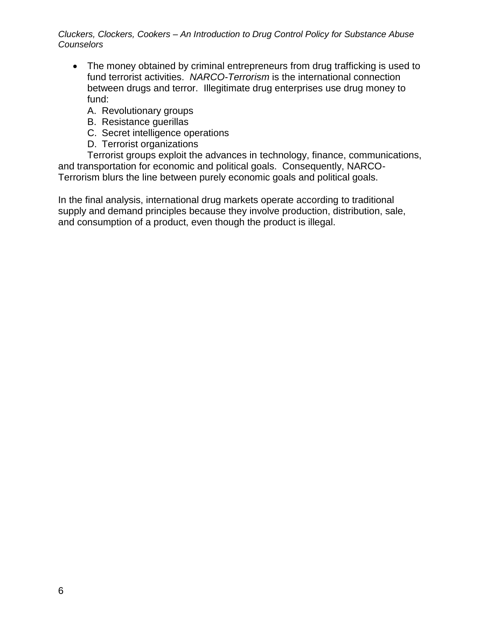- The money obtained by criminal entrepreneurs from drug trafficking is used to fund terrorist activities. *NARCO-Terrorism* is the international connection between drugs and terror. Illegitimate drug enterprises use drug money to fund:
	- A. Revolutionary groups
	- B. Resistance guerillas
	- C. Secret intelligence operations
	- D. Terrorist organizations

Terrorist groups exploit the advances in technology, finance, communications, and transportation for economic and political goals. Consequently, NARCO-Terrorism blurs the line between purely economic goals and political goals.

In the final analysis, international drug markets operate according to traditional supply and demand principles because they involve production, distribution, sale, and consumption of a product, even though the product is illegal.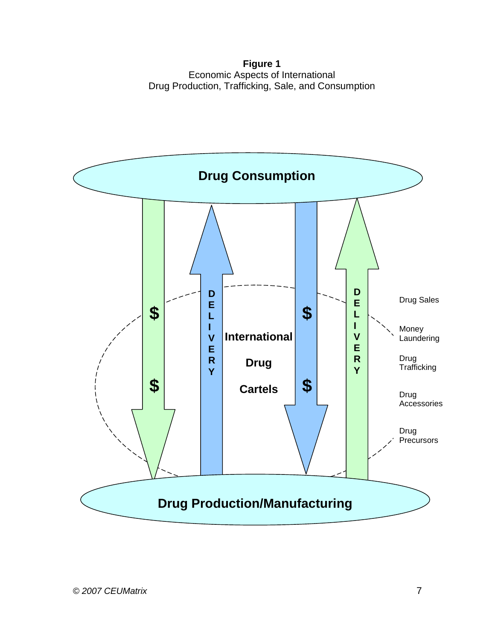**Figure 1** Economic Aspects of International Drug Production, Trafficking, Sale, and Consumption

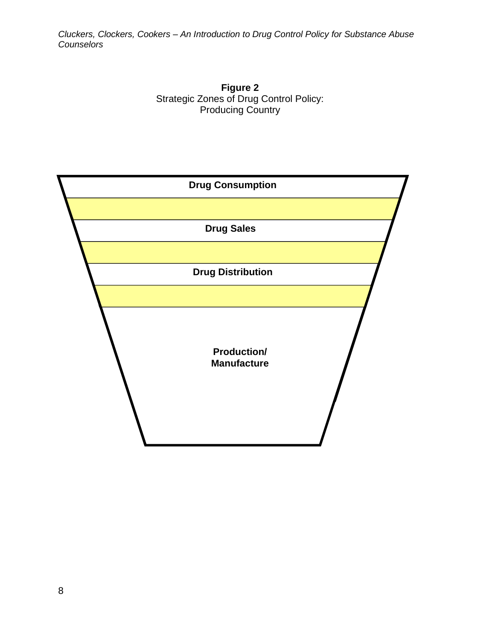

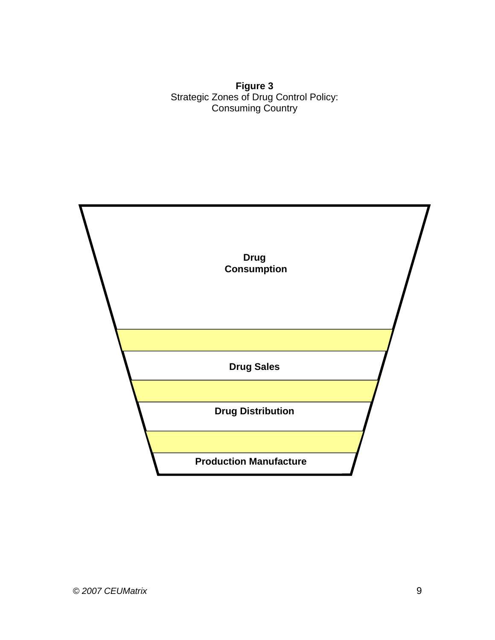**Figure 3** Strategic Zones of Drug Control Policy: Consuming Country

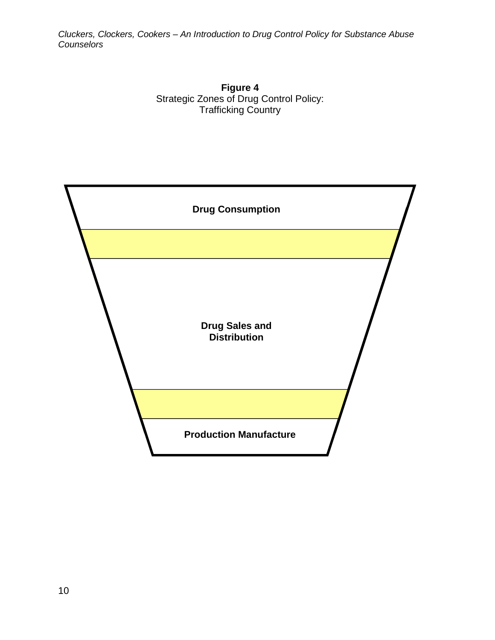

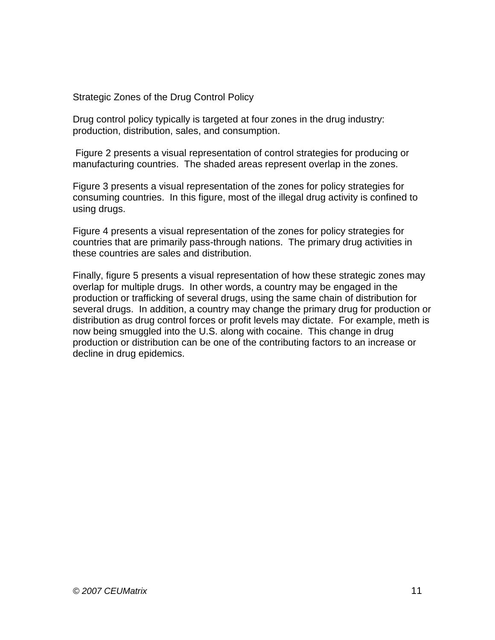Strategic Zones of the Drug Control Policy

Drug control policy typically is targeted at four zones in the drug industry: production, distribution, sales, and consumption.

Figure 2 presents a visual representation of control strategies for producing or manufacturing countries. The shaded areas represent overlap in the zones.

Figure 3 presents a visual representation of the zones for policy strategies for consuming countries. In this figure, most of the illegal drug activity is confined to using drugs.

Figure 4 presents a visual representation of the zones for policy strategies for countries that are primarily pass-through nations. The primary drug activities in these countries are sales and distribution.

Finally, figure 5 presents a visual representation of how these strategic zones may overlap for multiple drugs. In other words, a country may be engaged in the production or trafficking of several drugs, using the same chain of distribution for several drugs. In addition, a country may change the primary drug for production or distribution as drug control forces or profit levels may dictate. For example, meth is now being smuggled into the U.S. along with cocaine. This change in drug production or distribution can be one of the contributing factors to an increase or decline in drug epidemics.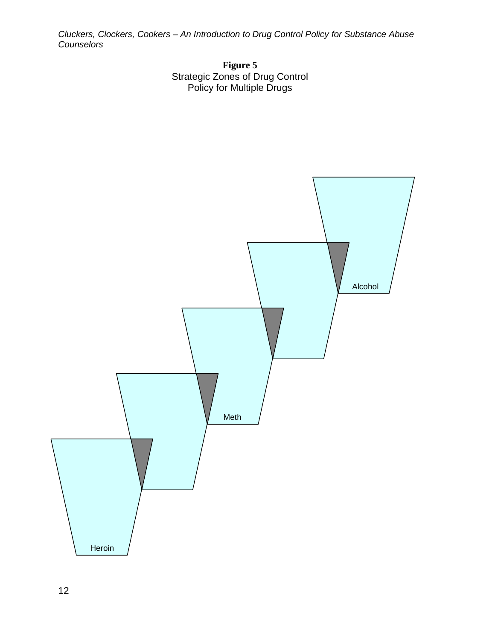

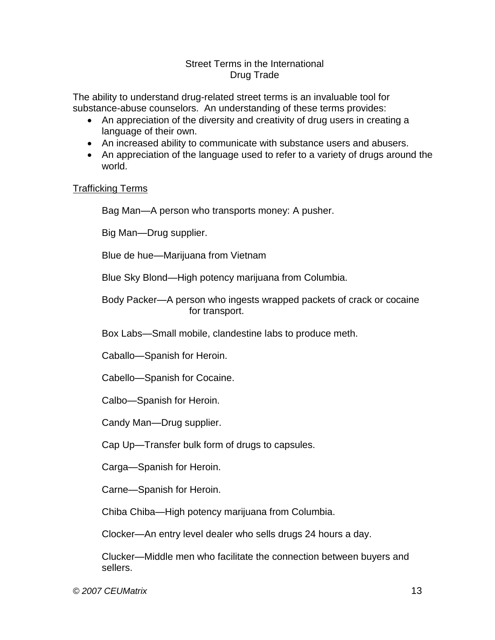#### Street Terms in the International Drug Trade

The ability to understand drug-related street terms is an invaluable tool for substance-abuse counselors. An understanding of these terms provides:

- An appreciation of the diversity and creativity of drug users in creating a language of their own.
- An increased ability to communicate with substance users and abusers.
- An appreciation of the language used to refer to a variety of drugs around the world.

#### Trafficking Terms

Bag Man—A person who transports money: A pusher.

Big Man—Drug supplier.

Blue de hue—Marijuana from Vietnam

Blue Sky Blond—High potency marijuana from Columbia.

Body Packer—A person who ingests wrapped packets of crack or cocaine for transport.

Box Labs—Small mobile, clandestine labs to produce meth.

Caballo—Spanish for Heroin.

Cabello—Spanish for Cocaine.

Calbo—Spanish for Heroin.

Candy Man—Drug supplier.

Cap Up—Transfer bulk form of drugs to capsules.

Carga—Spanish for Heroin.

Carne—Spanish for Heroin.

Chiba Chiba—High potency marijuana from Columbia.

Clocker—An entry level dealer who sells drugs 24 hours a day.

Clucker—Middle men who facilitate the connection between buyers and sellers.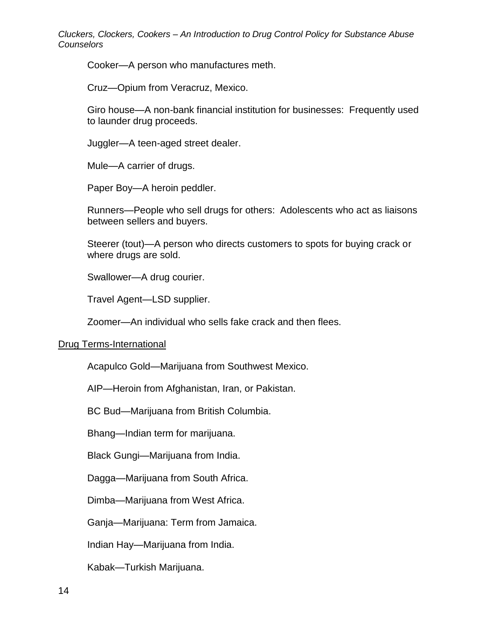Cooker—A person who manufactures meth.

Cruz—Opium from Veracruz, Mexico.

Giro house—A non-bank financial institution for businesses: Frequently used to launder drug proceeds.

Juggler—A teen-aged street dealer.

Mule—A carrier of drugs.

Paper Boy—A heroin peddler.

Runners—People who sell drugs for others: Adolescents who act as liaisons between sellers and buyers.

Steerer (tout)—A person who directs customers to spots for buying crack or where drugs are sold.

Swallower—A drug courier.

Travel Agent—LSD supplier.

Zoomer—An individual who sells fake crack and then flees.

#### Drug Terms-International

Acapulco Gold—Marijuana from Southwest Mexico.

AIP—Heroin from Afghanistan, Iran, or Pakistan.

BC Bud—Marijuana from British Columbia.

Bhang—Indian term for marijuana.

Black Gungi—Marijuana from India.

Dagga—Marijuana from South Africa.

Dimba—Marijuana from West Africa.

Ganja—Marijuana: Term from Jamaica.

Indian Hay—Marijuana from India.

Kabak—Turkish Marijuana.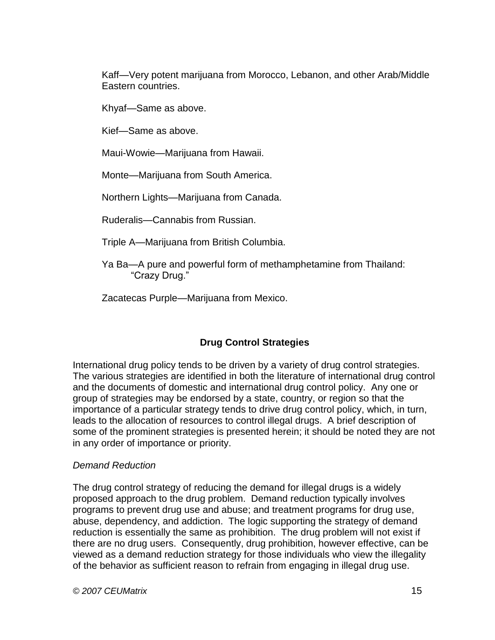Kaff—Very potent marijuana from Morocco, Lebanon, and other Arab/Middle Eastern countries.

Khyaf—Same as above.

Kief—Same as above.

Maui-Wowie—Marijuana from Hawaii.

Monte—Marijuana from South America.

Northern Lights—Marijuana from Canada.

Ruderalis—Cannabis from Russian.

Triple A—Marijuana from British Columbia.

Ya Ba—A pure and powerful form of methamphetamine from Thailand: "Crazy Drug."

Zacatecas Purple—Marijuana from Mexico.

### **Drug Control Strategies**

International drug policy tends to be driven by a variety of drug control strategies. The various strategies are identified in both the literature of international drug control and the documents of domestic and international drug control policy. Any one or group of strategies may be endorsed by a state, country, or region so that the importance of a particular strategy tends to drive drug control policy, which, in turn, leads to the allocation of resources to control illegal drugs. A brief description of some of the prominent strategies is presented herein; it should be noted they are not in any order of importance or priority.

### *Demand Reduction*

The drug control strategy of reducing the demand for illegal drugs is a widely proposed approach to the drug problem. Demand reduction typically involves programs to prevent drug use and abuse; and treatment programs for drug use, abuse, dependency, and addiction. The logic supporting the strategy of demand reduction is essentially the same as prohibition. The drug problem will not exist if there are no drug users. Consequently, drug prohibition, however effective, can be viewed as a demand reduction strategy for those individuals who view the illegality of the behavior as sufficient reason to refrain from engaging in illegal drug use.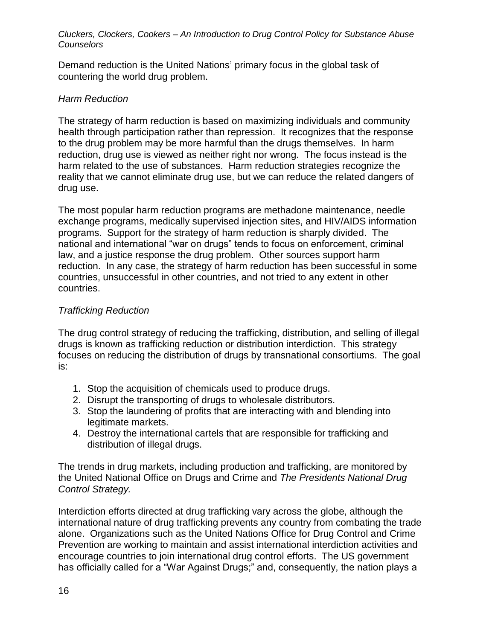Demand reduction is the United Nations' primary focus in the global task of countering the world drug problem.

#### *Harm Reduction*

The strategy of harm reduction is based on maximizing individuals and community health through participation rather than repression. It recognizes that the response to the drug problem may be more harmful than the drugs themselves. In harm reduction, drug use is viewed as neither right nor wrong. The focus instead is the harm related to the use of substances. Harm reduction strategies recognize the reality that we cannot eliminate drug use, but we can reduce the related dangers of drug use.

The most popular harm reduction programs are methadone maintenance, needle exchange programs, medically supervised injection sites, and HIV/AIDS information programs. Support for the strategy of harm reduction is sharply divided. The national and international "war on drugs" tends to focus on enforcement, criminal law, and a justice response the drug problem. Other sources support harm reduction. In any case, the strategy of harm reduction has been successful in some countries, unsuccessful in other countries, and not tried to any extent in other countries.

### *Trafficking Reduction*

The drug control strategy of reducing the trafficking, distribution, and selling of illegal drugs is known as trafficking reduction or distribution interdiction. This strategy focuses on reducing the distribution of drugs by transnational consortiums. The goal is:

- 1. Stop the acquisition of chemicals used to produce drugs.
- 2. Disrupt the transporting of drugs to wholesale distributors.
- 3. Stop the laundering of profits that are interacting with and blending into legitimate markets.
- 4. Destroy the international cartels that are responsible for trafficking and distribution of illegal drugs.

The trends in drug markets, including production and trafficking, are monitored by the United National Office on Drugs and Crime and *The Presidents National Drug Control Strategy.* 

Interdiction efforts directed at drug trafficking vary across the globe, although the international nature of drug trafficking prevents any country from combating the trade alone. Organizations such as the United Nations Office for Drug Control and Crime Prevention are working to maintain and assist international interdiction activities and encourage countries to join international drug control efforts. The US government has officially called for a "War Against Drugs;" and, consequently, the nation plays a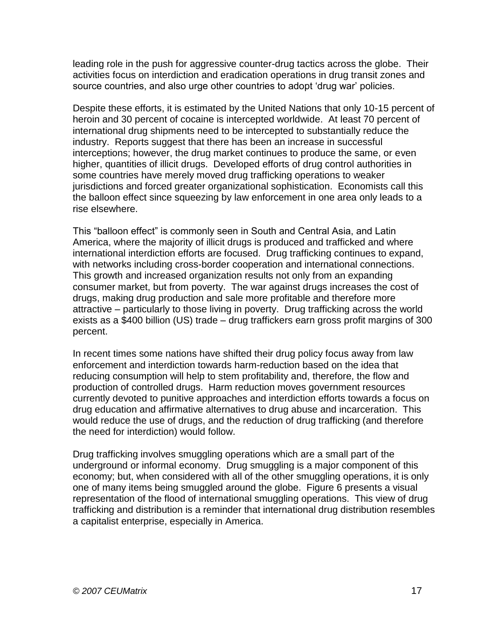leading role in the push for aggressive counter-drug tactics across the globe. Their activities focus on interdiction and eradication operations in drug transit zones and source countries, and also urge other countries to adopt 'drug war' policies.

Despite these efforts, it is estimated by the United Nations that only 10-15 percent of heroin and 30 percent of cocaine is intercepted worldwide. At least 70 percent of international drug shipments need to be intercepted to substantially reduce the industry. Reports suggest that there has been an increase in successful interceptions; however, the drug market continues to produce the same, or even higher, quantities of illicit drugs. Developed efforts of drug control authorities in some countries have merely moved drug trafficking operations to weaker jurisdictions and forced greater organizational sophistication. Economists call this the balloon effect since squeezing by law enforcement in one area only leads to a rise elsewhere.

This "balloon effect" is commonly seen in South and Central Asia, and Latin America, where the majority of illicit drugs is produced and trafficked and where international interdiction efforts are focused. Drug trafficking continues to expand, with networks including cross-border cooperation and international connections. This growth and increased organization results not only from an expanding consumer market, but from poverty. The war against drugs increases the cost of drugs, making drug production and sale more profitable and therefore more attractive – particularly to those living in poverty. Drug trafficking across the world exists as a \$400 billion (US) trade – drug traffickers earn gross profit margins of 300 percent.

In recent times some nations have shifted their drug policy focus away from law enforcement and interdiction towards harm-reduction based on the idea that reducing consumption will help to stem profitability and, therefore, the flow and production of controlled drugs. Harm reduction moves government resources currently devoted to punitive approaches and interdiction efforts towards a focus on drug education and affirmative alternatives to drug abuse and incarceration. This would reduce the use of drugs, and the reduction of drug trafficking (and therefore the need for interdiction) would follow.

Drug trafficking involves smuggling operations which are a small part of the underground or informal economy. Drug smuggling is a major component of this economy; but, when considered with all of the other smuggling operations, it is only one of many items being smuggled around the globe. Figure 6 presents a visual representation of the flood of international smuggling operations. This view of drug trafficking and distribution is a reminder that international drug distribution resembles a capitalist enterprise, especially in America.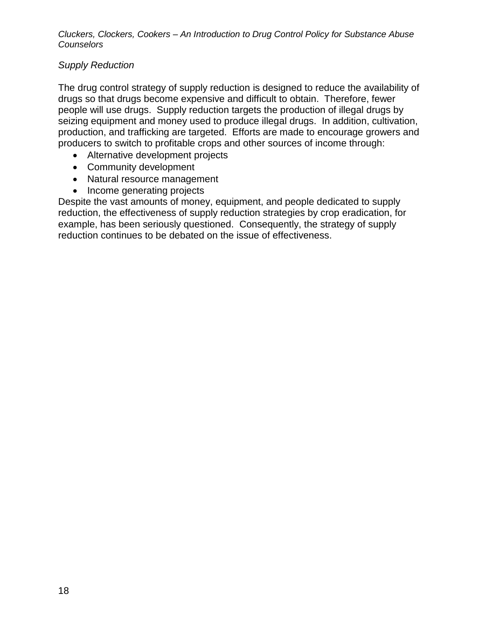### *Supply Reduction*

The drug control strategy of supply reduction is designed to reduce the availability of drugs so that drugs become expensive and difficult to obtain. Therefore, fewer people will use drugs. Supply reduction targets the production of illegal drugs by seizing equipment and money used to produce illegal drugs. In addition, cultivation, production, and trafficking are targeted. Efforts are made to encourage growers and producers to switch to profitable crops and other sources of income through:

- Alternative development projects
- Community development
- Natural resource management
- Income generating projects

Despite the vast amounts of money, equipment, and people dedicated to supply reduction, the effectiveness of supply reduction strategies by crop eradication, for example, has been seriously questioned. Consequently, the strategy of supply reduction continues to be debated on the issue of effectiveness.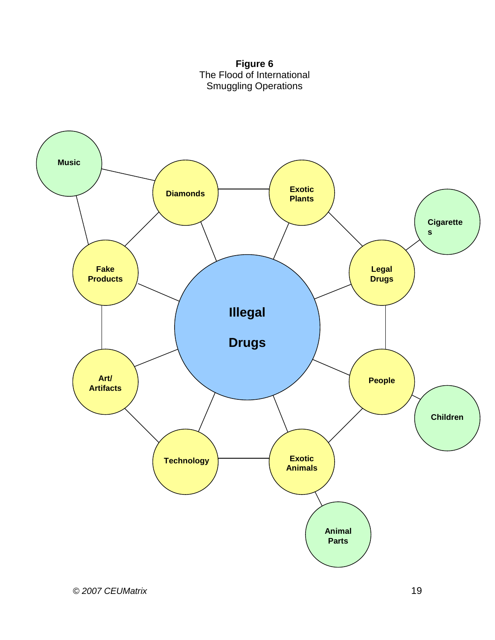

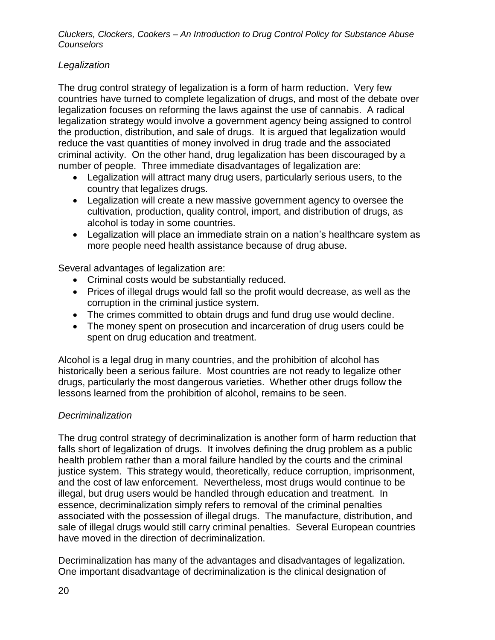### *Legalization*

The drug control strategy of legalization is a form of harm reduction. Very few countries have turned to complete legalization of drugs, and most of the debate over legalization focuses on reforming the laws against the use of cannabis. A radical legalization strategy would involve a government agency being assigned to control the production, distribution, and sale of drugs. It is argued that legalization would reduce the vast quantities of money involved in drug trade and the associated criminal activity. On the other hand, drug legalization has been discouraged by a number of people. Three immediate disadvantages of legalization are:

- Legalization will attract many drug users, particularly serious users, to the country that legalizes drugs.
- Legalization will create a new massive government agency to oversee the cultivation, production, quality control, import, and distribution of drugs, as alcohol is today in some countries.
- Legalization will place an immediate strain on a nation's healthcare system as more people need health assistance because of drug abuse.

Several advantages of legalization are:

- Criminal costs would be substantially reduced.
- Prices of illegal drugs would fall so the profit would decrease, as well as the corruption in the criminal justice system.
- The crimes committed to obtain drugs and fund drug use would decline.
- The money spent on prosecution and incarceration of drug users could be spent on drug education and treatment.

Alcohol is a legal drug in many countries, and the prohibition of alcohol has historically been a serious failure. Most countries are not ready to legalize other drugs, particularly the most dangerous varieties. Whether other drugs follow the lessons learned from the prohibition of alcohol, remains to be seen.

### *Decriminalization*

The drug control strategy of decriminalization is another form of harm reduction that falls short of legalization of drugs. It involves defining the drug problem as a public health problem rather than a moral failure handled by the courts and the criminal justice system. This strategy would, theoretically, reduce corruption, imprisonment, and the cost of law enforcement. Nevertheless, most drugs would continue to be illegal, but drug users would be handled through education and treatment. In essence, decriminalization simply refers to removal of the criminal penalties associated with the possession of illegal drugs. The manufacture, distribution, and sale of illegal drugs would still carry criminal penalties. Several European countries have moved in the direction of decriminalization.

Decriminalization has many of the advantages and disadvantages of legalization. One important disadvantage of decriminalization is the clinical designation of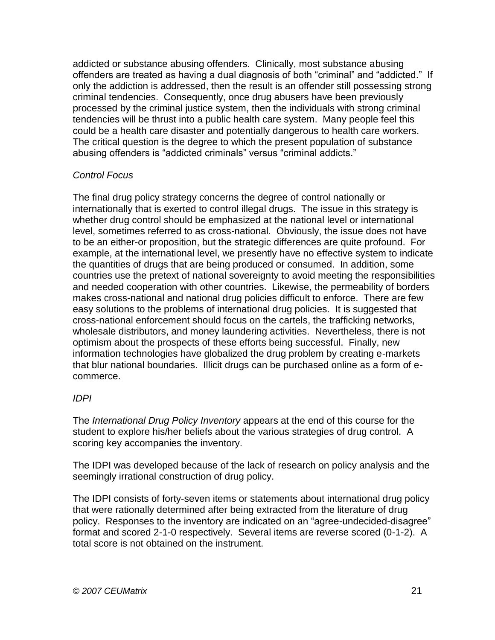addicted or substance abusing offenders. Clinically, most substance abusing offenders are treated as having a dual diagnosis of both "criminal" and "addicted." If only the addiction is addressed, then the result is an offender still possessing strong criminal tendencies. Consequently, once drug abusers have been previously processed by the criminal justice system, then the individuals with strong criminal tendencies will be thrust into a public health care system. Many people feel this could be a health care disaster and potentially dangerous to health care workers. The critical question is the degree to which the present population of substance abusing offenders is "addicted criminals" versus "criminal addicts."

### *Control Focus*

The final drug policy strategy concerns the degree of control nationally or internationally that is exerted to control illegal drugs. The issue in this strategy is whether drug control should be emphasized at the national level or international level, sometimes referred to as cross-national. Obviously, the issue does not have to be an either-or proposition, but the strategic differences are quite profound. For example, at the international level, we presently have no effective system to indicate the quantities of drugs that are being produced or consumed. In addition, some countries use the pretext of national sovereignty to avoid meeting the responsibilities and needed cooperation with other countries. Likewise, the permeability of borders makes cross-national and national drug policies difficult to enforce. There are few easy solutions to the problems of international drug policies. It is suggested that cross-national enforcement should focus on the cartels, the trafficking networks, wholesale distributors, and money laundering activities. Nevertheless, there is not optimism about the prospects of these efforts being successful. Finally, new information technologies have globalized the drug problem by creating e-markets that blur national boundaries. Illicit drugs can be purchased online as a form of ecommerce.

### *IDPI*

The *International Drug Policy Inventory* appears at the end of this course for the student to explore his/her beliefs about the various strategies of drug control. A scoring key accompanies the inventory.

The IDPI was developed because of the lack of research on policy analysis and the seemingly irrational construction of drug policy.

The IDPI consists of forty-seven items or statements about international drug policy that were rationally determined after being extracted from the literature of drug policy. Responses to the inventory are indicated on an "agree-undecided-disagree" format and scored 2-1-0 respectively. Several items are reverse scored (0-1-2). A total score is not obtained on the instrument.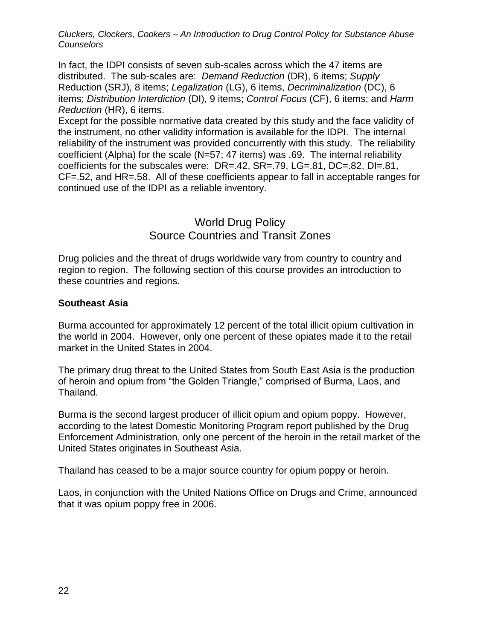In fact, the IDPI consists of seven sub-scales across which the 47 items are distributed. The sub-scales are: *Demand Reduction* (DR), 6 items; *Supply*  Reduction (SRJ), 8 items; *Legalization* (LG), 6 items, *Decriminalization* (DC), 6 items; *Distribution Interdiction* (DI), 9 items; *Control Focus* (CF), 6 items; and *Harm Reduction* (HR), 6 items.

Except for the possible normative data created by this study and the face validity of the instrument, no other validity information is available for the IDPI. The internal reliability of the instrument was provided concurrently with this study. The reliability coefficient (Alpha) for the scale (N=57; 47 items) was .69. The internal reliability coefficients for the subscales were: DR=.42, SR=.79, LG=.81, DC=.82, DI=.81, CF=.52, and HR=.58. All of these coefficients appear to fall in acceptable ranges for continued use of the IDPI as a reliable inventory.

### World Drug Policy Source Countries and Transit Zones

Drug policies and the threat of drugs worldwide vary from country to country and region to region. The following section of this course provides an introduction to these countries and regions.

#### **Southeast Asia**

Burma accounted for approximately 12 percent of the total illicit opium cultivation in the world in 2004. However, only one percent of these opiates made it to the retail market in the United States in 2004.

The primary drug threat to the United States from South East Asia is the production of heroin and opium from "the Golden Triangle," comprised of Burma, Laos, and Thailand.

Burma is the second largest producer of illicit opium and opium poppy. However, according to the latest Domestic Monitoring Program report published by the Drug Enforcement Administration, only one percent of the heroin in the retail market of the United States originates in Southeast Asia.

Thailand has ceased to be a major source country for opium poppy or heroin.

Laos, in conjunction with the United Nations Office on Drugs and Crime, announced that it was opium poppy free in 2006.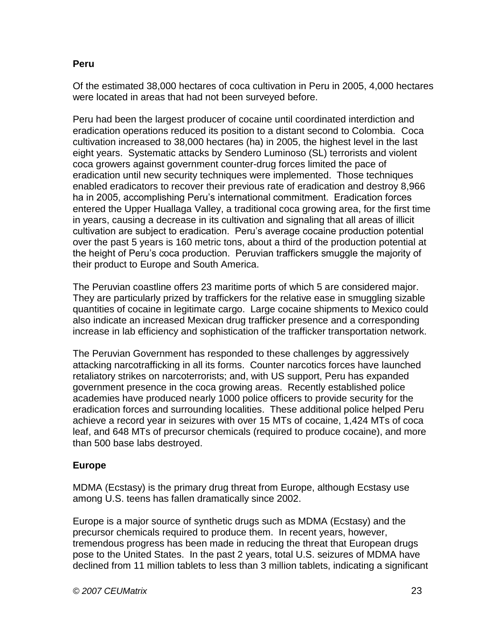#### **Peru**

Of the estimated 38,000 hectares of coca cultivation in Peru in 2005, 4,000 hectares were located in areas that had not been surveyed before.

Peru had been the largest producer of cocaine until coordinated interdiction and eradication operations reduced its position to a distant second to Colombia. Coca cultivation increased to 38,000 hectares (ha) in 2005, the highest level in the last eight years. Systematic attacks by Sendero Luminoso (SL) terrorists and violent coca growers against government counter-drug forces limited the pace of eradication until new security techniques were implemented. Those techniques enabled eradicators to recover their previous rate of eradication and destroy 8,966 ha in 2005, accomplishing Peru's international commitment. Eradication forces entered the Upper Huallaga Valley, a traditional coca growing area, for the first time in years, causing a decrease in its cultivation and signaling that all areas of illicit cultivation are subject to eradication. Peru's average cocaine production potential over the past 5 years is 160 metric tons, about a third of the production potential at the height of Peru's coca production. Peruvian traffickers smuggle the majority of their product to Europe and South America.

The Peruvian coastline offers 23 maritime ports of which 5 are considered major. They are particularly prized by traffickers for the relative ease in smuggling sizable quantities of cocaine in legitimate cargo. Large cocaine shipments to Mexico could also indicate an increased Mexican drug trafficker presence and a corresponding increase in lab efficiency and sophistication of the trafficker transportation network.

The Peruvian Government has responded to these challenges by aggressively attacking narcotrafficking in all its forms. Counter narcotics forces have launched retaliatory strikes on narcoterrorists; and, with US support, Peru has expanded government presence in the coca growing areas. Recently established police academies have produced nearly 1000 police officers to provide security for the eradication forces and surrounding localities. These additional police helped Peru achieve a record year in seizures with over 15 MTs of cocaine, 1,424 MTs of coca leaf, and 648 MTs of precursor chemicals (required to produce cocaine), and more than 500 base labs destroyed.

### **Europe**

MDMA (Ecstasy) is the primary drug threat from Europe, although Ecstasy use among U.S. teens has fallen dramatically since 2002.

Europe is a major source of synthetic drugs such as MDMA (Ecstasy) and the precursor chemicals required to produce them. In recent years, however, tremendous progress has been made in reducing the threat that European drugs pose to the United States. In the past 2 years, total U.S. seizures of MDMA have declined from 11 million tablets to less than 3 million tablets, indicating a significant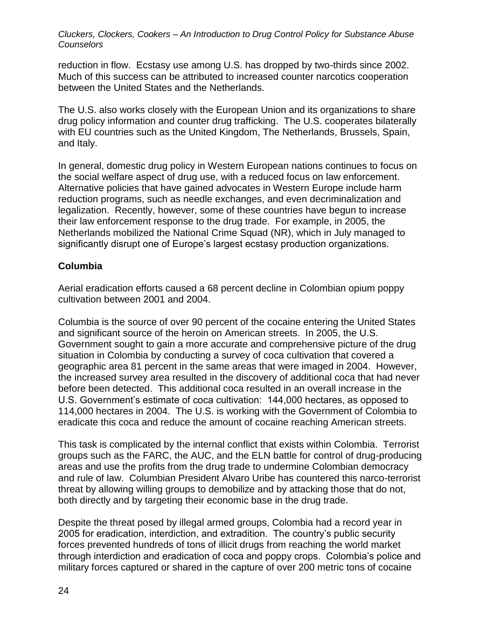reduction in flow. Ecstasy use among U.S. has dropped by two-thirds since 2002. Much of this success can be attributed to increased counter narcotics cooperation between the United States and the Netherlands.

The U.S. also works closely with the European Union and its organizations to share drug policy information and counter drug trafficking. The U.S. cooperates bilaterally with EU countries such as the United Kingdom, The Netherlands, Brussels, Spain, and Italy.

In general, domestic drug policy in Western European nations continues to focus on the social welfare aspect of drug use, with a reduced focus on law enforcement. Alternative policies that have gained advocates in Western Europe include harm reduction programs, such as needle exchanges, and even decriminalization and legalization. Recently, however, some of these countries have begun to increase their law enforcement response to the drug trade. For example, in 2005, the Netherlands mobilized the National Crime Squad (NR), which in July managed to significantly disrupt one of Europe's largest ecstasy production organizations.

#### **Columbia**

Aerial eradication efforts caused a 68 percent decline in Colombian opium poppy cultivation between 2001 and 2004.

Columbia is the source of over 90 percent of the cocaine entering the United States and significant source of the heroin on American streets. In 2005, the U.S. Government sought to gain a more accurate and comprehensive picture of the drug situation in Colombia by conducting a survey of coca cultivation that covered a geographic area 81 percent in the same areas that were imaged in 2004. However, the increased survey area resulted in the discovery of additional coca that had never before been detected. This additional coca resulted in an overall increase in the U.S. Government's estimate of coca cultivation: 144,000 hectares, as opposed to 114,000 hectares in 2004. The U.S. is working with the Government of Colombia to eradicate this coca and reduce the amount of cocaine reaching American streets.

This task is complicated by the internal conflict that exists within Colombia. Terrorist groups such as the FARC, the AUC, and the ELN battle for control of drug-producing areas and use the profits from the drug trade to undermine Colombian democracy and rule of law. Columbian President Alvaro Uribe has countered this narco-terrorist threat by allowing willing groups to demobilize and by attacking those that do not, both directly and by targeting their economic base in the drug trade.

Despite the threat posed by illegal armed groups, Colombia had a record year in 2005 for eradication, interdiction, and extradition. The country's public security forces prevented hundreds of tons of illicit drugs from reaching the world market through interdiction and eradication of coca and poppy crops. Colombia's police and military forces captured or shared in the capture of over 200 metric tons of cocaine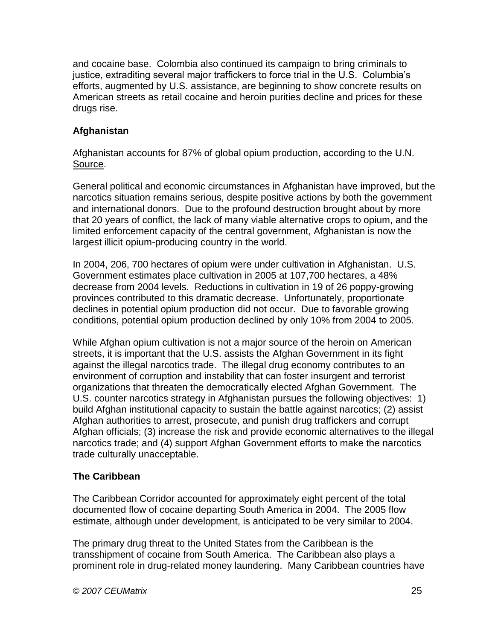and cocaine base. Colombia also continued its campaign to bring criminals to justice, extraditing several major traffickers to force trial in the U.S. Columbia's efforts, augmented by U.S. assistance, are beginning to show concrete results on American streets as retail cocaine and heroin purities decline and prices for these drugs rise.

### **Afghanistan**

Afghanistan accounts for 87% of global opium production, according to the U.N. Source.

General political and economic circumstances in Afghanistan have improved, but the narcotics situation remains serious, despite positive actions by both the government and international donors. Due to the profound destruction brought about by more that 20 years of conflict, the lack of many viable alternative crops to opium, and the limited enforcement capacity of the central government, Afghanistan is now the largest illicit opium-producing country in the world.

In 2004, 206, 700 hectares of opium were under cultivation in Afghanistan. U.S. Government estimates place cultivation in 2005 at 107,700 hectares, a 48% decrease from 2004 levels. Reductions in cultivation in 19 of 26 poppy-growing provinces contributed to this dramatic decrease. Unfortunately, proportionate declines in potential opium production did not occur. Due to favorable growing conditions, potential opium production declined by only 10% from 2004 to 2005.

While Afghan opium cultivation is not a major source of the heroin on American streets, it is important that the U.S. assists the Afghan Government in its fight against the illegal narcotics trade. The illegal drug economy contributes to an environment of corruption and instability that can foster insurgent and terrorist organizations that threaten the democratically elected Afghan Government. The U.S. counter narcotics strategy in Afghanistan pursues the following objectives: 1) build Afghan institutional capacity to sustain the battle against narcotics; (2) assist Afghan authorities to arrest, prosecute, and punish drug traffickers and corrupt Afghan officials; (3) increase the risk and provide economic alternatives to the illegal narcotics trade; and (4) support Afghan Government efforts to make the narcotics trade culturally unacceptable.

### **The Caribbean**

The Caribbean Corridor accounted for approximately eight percent of the total documented flow of cocaine departing South America in 2004. The 2005 flow estimate, although under development, is anticipated to be very similar to 2004.

The primary drug threat to the United States from the Caribbean is the transshipment of cocaine from South America. The Caribbean also plays a prominent role in drug-related money laundering. Many Caribbean countries have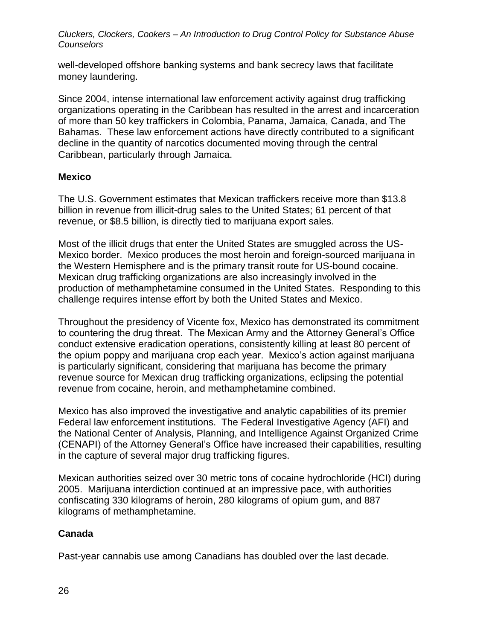well-developed offshore banking systems and bank secrecy laws that facilitate money laundering.

Since 2004, intense international law enforcement activity against drug trafficking organizations operating in the Caribbean has resulted in the arrest and incarceration of more than 50 key traffickers in Colombia, Panama, Jamaica, Canada, and The Bahamas. These law enforcement actions have directly contributed to a significant decline in the quantity of narcotics documented moving through the central Caribbean, particularly through Jamaica.

#### **Mexico**

The U.S. Government estimates that Mexican traffickers receive more than \$13.8 billion in revenue from illicit-drug sales to the United States; 61 percent of that revenue, or \$8.5 billion, is directly tied to marijuana export sales.

Most of the illicit drugs that enter the United States are smuggled across the US-Mexico border. Mexico produces the most heroin and foreign-sourced marijuana in the Western Hemisphere and is the primary transit route for US-bound cocaine. Mexican drug trafficking organizations are also increasingly involved in the production of methamphetamine consumed in the United States. Responding to this challenge requires intense effort by both the United States and Mexico.

Throughout the presidency of Vicente fox, Mexico has demonstrated its commitment to countering the drug threat. The Mexican Army and the Attorney General's Office conduct extensive eradication operations, consistently killing at least 80 percent of the opium poppy and marijuana crop each year. Mexico's action against marijuana is particularly significant, considering that marijuana has become the primary revenue source for Mexican drug trafficking organizations, eclipsing the potential revenue from cocaine, heroin, and methamphetamine combined.

Mexico has also improved the investigative and analytic capabilities of its premier Federal law enforcement institutions. The Federal Investigative Agency (AFI) and the National Center of Analysis, Planning, and Intelligence Against Organized Crime (CENAPI) of the Attorney General's Office have increased their capabilities, resulting in the capture of several major drug trafficking figures.

Mexican authorities seized over 30 metric tons of cocaine hydrochloride (HCI) during 2005. Marijuana interdiction continued at an impressive pace, with authorities confiscating 330 kilograms of heroin, 280 kilograms of opium gum, and 887 kilograms of methamphetamine.

### **Canada**

Past-year cannabis use among Canadians has doubled over the last decade.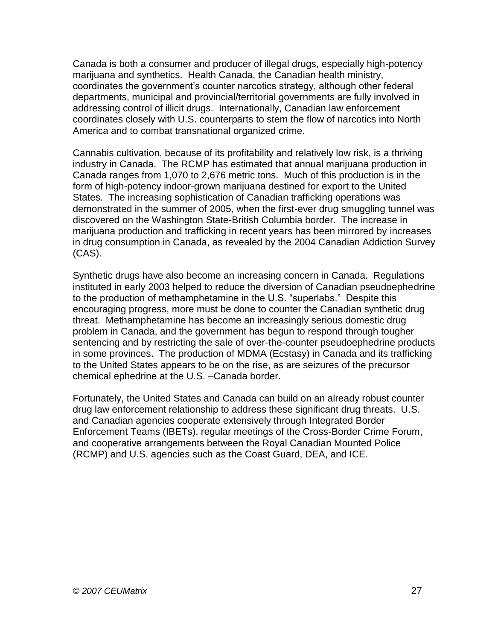Canada is both a consumer and producer of illegal drugs, especially high-potency marijuana and synthetics. Health Canada, the Canadian health ministry, coordinates the government's counter narcotics strategy, although other federal departments, municipal and provincial/territorial governments are fully involved in addressing control of illicit drugs. Internationally, Canadian law enforcement coordinates closely with U.S. counterparts to stem the flow of narcotics into North America and to combat transnational organized crime.

Cannabis cultivation, because of its profitability and relatively low risk, is a thriving industry in Canada. The RCMP has estimated that annual marijuana production in Canada ranges from 1,070 to 2,676 metric tons. Much of this production is in the form of high-potency indoor-grown marijuana destined for export to the United States. The increasing sophistication of Canadian trafficking operations was demonstrated in the summer of 2005, when the first-ever drug smuggling tunnel was discovered on the Washington State-British Columbia border. The increase in marijuana production and trafficking in recent years has been mirrored by increases in drug consumption in Canada, as revealed by the 2004 Canadian Addiction Survey (CAS).

Synthetic drugs have also become an increasing concern in Canada. Regulations instituted in early 2003 helped to reduce the diversion of Canadian pseudoephedrine to the production of methamphetamine in the U.S. "superlabs." Despite this encouraging progress, more must be done to counter the Canadian synthetic drug threat. Methamphetamine has become an increasingly serious domestic drug problem in Canada, and the government has begun to respond through tougher sentencing and by restricting the sale of over-the-counter pseudoephedrine products in some provinces. The production of MDMA (Ecstasy) in Canada and its trafficking to the United States appears to be on the rise, as are seizures of the precursor chemical ephedrine at the U.S. –Canada border.

Fortunately, the United States and Canada can build on an already robust counter drug law enforcement relationship to address these significant drug threats. U.S. and Canadian agencies cooperate extensively through Integrated Border Enforcement Teams (IBETs), regular meetings of the Cross-Border Crime Forum, and cooperative arrangements between the Royal Canadian Mounted Police (RCMP) and U.S. agencies such as the Coast Guard, DEA, and ICE.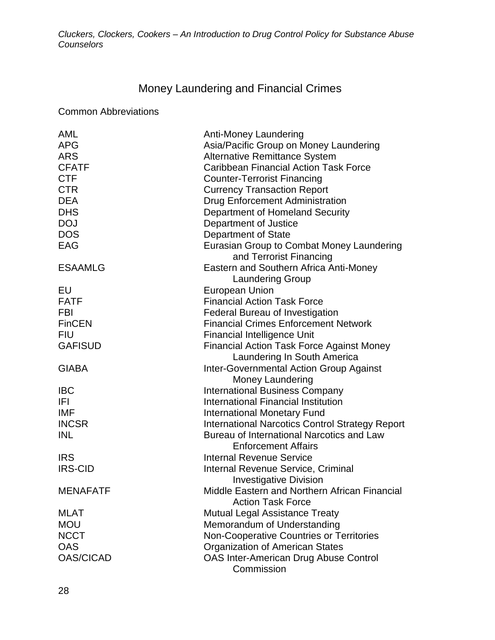## Money Laundering and Financial Crimes

Common Abbreviations

| AML              | Anti-Money Laundering                                                           |
|------------------|---------------------------------------------------------------------------------|
| <b>APG</b>       | Asia/Pacific Group on Money Laundering                                          |
| <b>ARS</b>       | <b>Alternative Remittance System</b>                                            |
| <b>CFATF</b>     | <b>Caribbean Financial Action Task Force</b>                                    |
| <b>CTF</b>       | <b>Counter-Terrorist Financing</b>                                              |
| <b>CTR</b>       | <b>Currency Transaction Report</b>                                              |
| <b>DEA</b>       | <b>Drug Enforcement Administration</b>                                          |
| <b>DHS</b>       | Department of Homeland Security                                                 |
| <b>DOJ</b>       | Department of Justice                                                           |
| <b>DOS</b>       | Department of State                                                             |
| EAG              | Eurasian Group to Combat Money Laundering                                       |
|                  | and Terrorist Financing                                                         |
| <b>ESAAMLG</b>   | Eastern and Southern Africa Anti-Money                                          |
|                  | <b>Laundering Group</b>                                                         |
| EU               | <b>European Union</b>                                                           |
| <b>FATF</b>      | <b>Financial Action Task Force</b>                                              |
| <b>FBI</b>       | Federal Bureau of Investigation                                                 |
| <b>FinCEN</b>    | <b>Financial Crimes Enforcement Network</b>                                     |
| <b>FIU</b>       | <b>Financial Intelligence Unit</b>                                              |
| <b>GAFISUD</b>   | <b>Financial Action Task Force Against Money</b><br>Laundering In South America |
| <b>GIABA</b>     | <b>Inter-Governmental Action Group Against</b>                                  |
|                  | <b>Money Laundering</b>                                                         |
| <b>IBC</b>       | <b>International Business Company</b>                                           |
| IFI              | International Financial Institution                                             |
| <b>IMF</b>       | <b>International Monetary Fund</b>                                              |
| <b>INCSR</b>     | <b>International Narcotics Control Strategy Report</b>                          |
| <b>INL</b>       | Bureau of International Narcotics and Law                                       |
|                  | <b>Enforcement Affairs</b>                                                      |
| <b>IRS</b>       | <b>Internal Revenue Service</b>                                                 |
| <b>IRS-CID</b>   | Internal Revenue Service, Criminal                                              |
|                  | <b>Investigative Division</b>                                                   |
| <b>MENAFATF</b>  | Middle Fastern and Northern African Financial                                   |
|                  | <b>Action Task Force</b>                                                        |
| <b>MLAT</b>      | <b>Mutual Legal Assistance Treaty</b>                                           |
| <b>MOU</b>       | Memorandum of Understanding                                                     |
| <b>NCCT</b>      | Non-Cooperative Countries or Territories                                        |
| <b>OAS</b>       | <b>Organization of American States</b>                                          |
| <b>OAS/CICAD</b> | <b>OAS Inter-American Drug Abuse Control</b>                                    |
|                  | Commission                                                                      |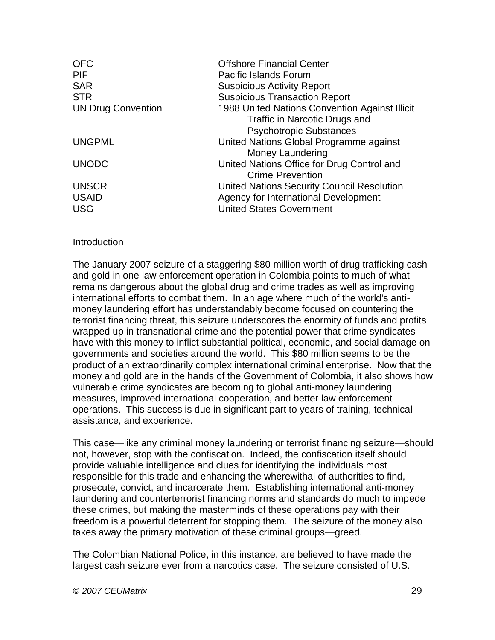| <b>OFC</b>                | <b>Offshore Financial Center</b>               |
|---------------------------|------------------------------------------------|
| <b>PIF</b>                | <b>Pacific Islands Forum</b>                   |
| <b>SAR</b>                | <b>Suspicious Activity Report</b>              |
| <b>STR</b>                | <b>Suspicious Transaction Report</b>           |
| <b>UN Drug Convention</b> | 1988 United Nations Convention Against Illicit |
|                           | Traffic in Narcotic Drugs and                  |
|                           | <b>Psychotropic Substances</b>                 |
| <b>UNGPML</b>             | United Nations Global Programme against        |
|                           | Money Laundering                               |
| <b>UNODC</b>              | United Nations Office for Drug Control and     |
|                           | <b>Crime Prevention</b>                        |
| <b>UNSCR</b>              | United Nations Security Council Resolution     |
| <b>USAID</b>              | Agency for International Development           |
| <b>USG</b>                | <b>United States Government</b>                |

#### **Introduction**

The January 2007 seizure of a staggering \$80 million worth of drug trafficking cash and gold in one law enforcement operation in Colombia points to much of what remains dangerous about the global drug and crime trades as well as improving international efforts to combat them. In an age where much of the world's antimoney laundering effort has understandably become focused on countering the terrorist financing threat, this seizure underscores the enormity of funds and profits wrapped up in transnational crime and the potential power that crime syndicates have with this money to inflict substantial political, economic, and social damage on governments and societies around the world. This \$80 million seems to be the product of an extraordinarily complex international criminal enterprise. Now that the money and gold are in the hands of the Government of Colombia, it also shows how vulnerable crime syndicates are becoming to global anti-money laundering measures, improved international cooperation, and better law enforcement operations. This success is due in significant part to years of training, technical assistance, and experience.

This case—like any criminal money laundering or terrorist financing seizure—should not, however, stop with the confiscation. Indeed, the confiscation itself should provide valuable intelligence and clues for identifying the individuals most responsible for this trade and enhancing the wherewithal of authorities to find, prosecute, convict, and incarcerate them. Establishing international anti-money laundering and counterterrorist financing norms and standards do much to impede these crimes, but making the masterminds of these operations pay with their freedom is a powerful deterrent for stopping them. The seizure of the money also takes away the primary motivation of these criminal groups—greed.

The Colombian National Police, in this instance, are believed to have made the largest cash seizure ever from a narcotics case. The seizure consisted of U.S.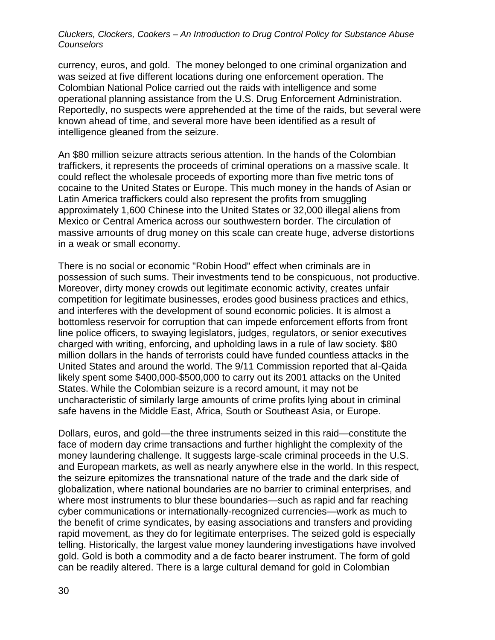currency, euros, and gold. The money belonged to one criminal organization and was seized at five different locations during one enforcement operation. The Colombian National Police carried out the raids with intelligence and some operational planning assistance from the U.S. Drug Enforcement Administration. Reportedly, no suspects were apprehended at the time of the raids, but several were known ahead of time, and several more have been identified as a result of intelligence gleaned from the seizure.

An \$80 million seizure attracts serious attention. In the hands of the Colombian traffickers, it represents the proceeds of criminal operations on a massive scale. It could reflect the wholesale proceeds of exporting more than five metric tons of cocaine to the United States or Europe. This much money in the hands of Asian or Latin America traffickers could also represent the profits from smuggling approximately 1,600 Chinese into the United States or 32,000 illegal aliens from Mexico or Central America across our southwestern border. The circulation of massive amounts of drug money on this scale can create huge, adverse distortions in a weak or small economy.

There is no social or economic "Robin Hood" effect when criminals are in possession of such sums. Their investments tend to be conspicuous, not productive. Moreover, dirty money crowds out legitimate economic activity, creates unfair competition for legitimate businesses, erodes good business practices and ethics, and interferes with the development of sound economic policies. It is almost a bottomless reservoir for corruption that can impede enforcement efforts from front line police officers, to swaying legislators, judges, regulators, or senior executives charged with writing, enforcing, and upholding laws in a rule of law society. \$80 million dollars in the hands of terrorists could have funded countless attacks in the United States and around the world. The 9/11 Commission reported that al-Qaida likely spent some \$400,000-\$500,000 to carry out its 2001 attacks on the United States. While the Colombian seizure is a record amount, it may not be uncharacteristic of similarly large amounts of crime profits lying about in criminal safe havens in the Middle East, Africa, South or Southeast Asia, or Europe.

Dollars, euros, and gold—the three instruments seized in this raid—constitute the face of modern day crime transactions and further highlight the complexity of the money laundering challenge. It suggests large-scale criminal proceeds in the U.S. and European markets, as well as nearly anywhere else in the world. In this respect, the seizure epitomizes the transnational nature of the trade and the dark side of globalization, where national boundaries are no barrier to criminal enterprises, and where most instruments to blur these boundaries—such as rapid and far reaching cyber communications or internationally-recognized currencies—work as much to the benefit of crime syndicates, by easing associations and transfers and providing rapid movement, as they do for legitimate enterprises. The seized gold is especially telling. Historically, the largest value money laundering investigations have involved gold. Gold is both a commodity and a de facto bearer instrument. The form of gold can be readily altered. There is a large cultural demand for gold in Colombian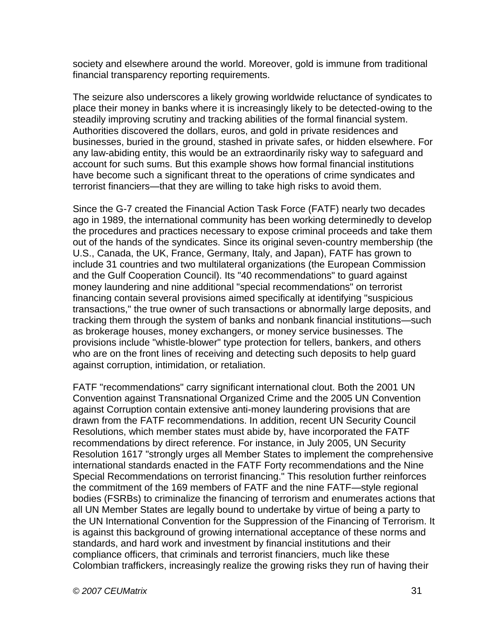society and elsewhere around the world. Moreover, gold is immune from traditional financial transparency reporting requirements.

The seizure also underscores a likely growing worldwide reluctance of syndicates to place their money in banks where it is increasingly likely to be detected-owing to the steadily improving scrutiny and tracking abilities of the formal financial system. Authorities discovered the dollars, euros, and gold in private residences and businesses, buried in the ground, stashed in private safes, or hidden elsewhere. For any law-abiding entity, this would be an extraordinarily risky way to safeguard and account for such sums. But this example shows how formal financial institutions have become such a significant threat to the operations of crime syndicates and terrorist financiers—that they are willing to take high risks to avoid them.

Since the G-7 created the Financial Action Task Force (FATF) nearly two decades ago in 1989, the international community has been working determinedly to develop the procedures and practices necessary to expose criminal proceeds and take them out of the hands of the syndicates. Since its original seven-country membership (the U.S., Canada, the UK, France, Germany, Italy, and Japan), FATF has grown to include 31 countries and two multilateral organizations (the European Commission and the Gulf Cooperation Council). Its "40 recommendations" to guard against money laundering and nine additional "special recommendations" on terrorist financing contain several provisions aimed specifically at identifying "suspicious transactions," the true owner of such transactions or abnormally large deposits, and tracking them through the system of banks and nonbank financial institutions—such as brokerage houses, money exchangers, or money service businesses. The provisions include "whistle-blower" type protection for tellers, bankers, and others who are on the front lines of receiving and detecting such deposits to help guard against corruption, intimidation, or retaliation.

FATF "recommendations" carry significant international clout. Both the 2001 UN Convention against Transnational Organized Crime and the 2005 UN Convention against Corruption contain extensive anti-money laundering provisions that are drawn from the FATF recommendations. In addition, recent UN Security Council Resolutions, which member states must abide by, have incorporated the FATF recommendations by direct reference. For instance, in July 2005, UN Security Resolution 1617 "strongly urges all Member States to implement the comprehensive international standards enacted in the FATF Forty recommendations and the Nine Special Recommendations on terrorist financing." This resolution further reinforces the commitment of the 169 members of FATF and the nine FATF—style regional bodies (FSRBs) to criminalize the financing of terrorism and enumerates actions that all UN Member States are legally bound to undertake by virtue of being a party to the UN International Convention for the Suppression of the Financing of Terrorism. It is against this background of growing international acceptance of these norms and standards, and hard work and investment by financial institutions and their compliance officers, that criminals and terrorist financiers, much like these Colombian traffickers, increasingly realize the growing risks they run of having their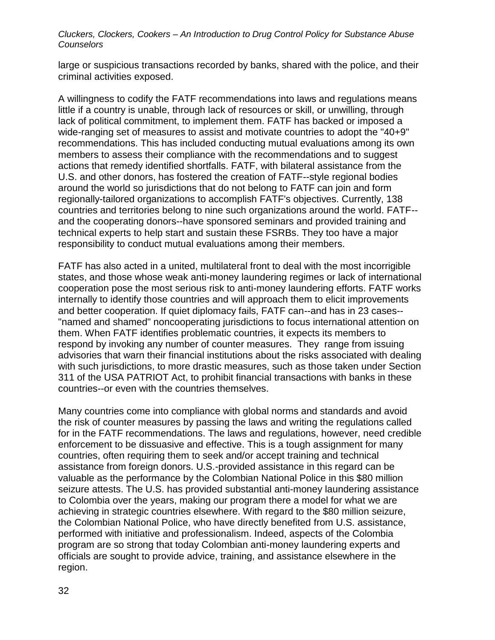large or suspicious transactions recorded by banks, shared with the police, and their criminal activities exposed.

A willingness to codify the FATF recommendations into laws and regulations means little if a country is unable, through lack of resources or skill, or unwilling, through lack of political commitment, to implement them. FATF has backed or imposed a wide-ranging set of measures to assist and motivate countries to adopt the "40+9" recommendations. This has included conducting mutual evaluations among its own members to assess their compliance with the recommendations and to suggest actions that remedy identified shortfalls. FATF, with bilateral assistance from the U.S. and other donors, has fostered the creation of FATF--style regional bodies around the world so jurisdictions that do not belong to FATF can join and form regionally-tailored organizations to accomplish FATF's objectives. Currently, 138 countries and territories belong to nine such organizations around the world. FATF- and the cooperating donors--have sponsored seminars and provided training and technical experts to help start and sustain these FSRBs. They too have a major responsibility to conduct mutual evaluations among their members.

FATF has also acted in a united, multilateral front to deal with the most incorrigible states, and those whose weak anti-money laundering regimes or lack of international cooperation pose the most serious risk to anti-money laundering efforts. FATF works internally to identify those countries and will approach them to elicit improvements and better cooperation. If quiet diplomacy fails, FATF can--and has in 23 cases-- "named and shamed" noncooperating jurisdictions to focus international attention on them. When FATF identifies problematic countries, it expects its members to respond by invoking any number of counter measures. They range from issuing advisories that warn their financial institutions about the risks associated with dealing with such jurisdictions, to more drastic measures, such as those taken under Section 311 of the USA PATRIOT Act, to prohibit financial transactions with banks in these countries--or even with the countries themselves.

Many countries come into compliance with global norms and standards and avoid the risk of counter measures by passing the laws and writing the regulations called for in the FATF recommendations. The laws and regulations, however, need credible enforcement to be dissuasive and effective. This is a tough assignment for many countries, often requiring them to seek and/or accept training and technical assistance from foreign donors. U.S.-provided assistance in this regard can be valuable as the performance by the Colombian National Police in this \$80 million seizure attests. The U.S. has provided substantial anti-money laundering assistance to Colombia over the years, making our program there a model for what we are achieving in strategic countries elsewhere. With regard to the \$80 million seizure, the Colombian National Police, who have directly benefited from U.S. assistance, performed with initiative and professionalism. Indeed, aspects of the Colombia program are so strong that today Colombian anti-money laundering experts and officials are sought to provide advice, training, and assistance elsewhere in the region.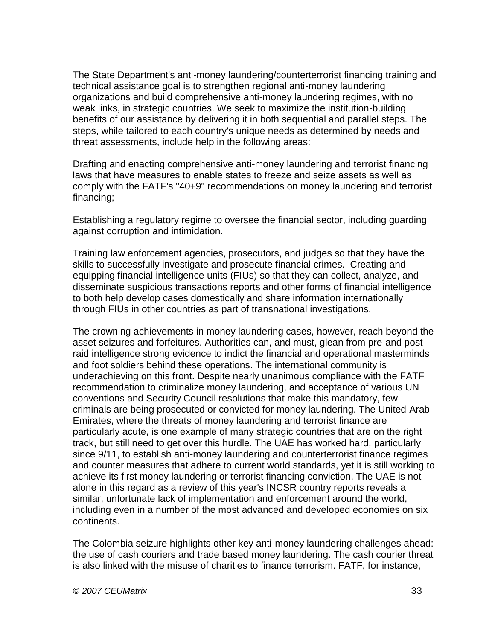The State Department's anti-money laundering/counterterrorist financing training and technical assistance goal is to strengthen regional anti-money laundering organizations and build comprehensive anti-money laundering regimes, with no weak links, in strategic countries. We seek to maximize the institution-building benefits of our assistance by delivering it in both sequential and parallel steps. The steps, while tailored to each country's unique needs as determined by needs and threat assessments, include help in the following areas:

Drafting and enacting comprehensive anti-money laundering and terrorist financing laws that have measures to enable states to freeze and seize assets as well as comply with the FATF's "40+9" recommendations on money laundering and terrorist financing;

Establishing a regulatory regime to oversee the financial sector, including guarding against corruption and intimidation.

Training law enforcement agencies, prosecutors, and judges so that they have the skills to successfully investigate and prosecute financial crimes. Creating and equipping financial intelligence units (FIUs) so that they can collect, analyze, and disseminate suspicious transactions reports and other forms of financial intelligence to both help develop cases domestically and share information internationally through FIUs in other countries as part of transnational investigations.

The crowning achievements in money laundering cases, however, reach beyond the asset seizures and forfeitures. Authorities can, and must, glean from pre-and postraid intelligence strong evidence to indict the financial and operational masterminds and foot soldiers behind these operations. The international community is underachieving on this front. Despite nearly unanimous compliance with the FATF recommendation to criminalize money laundering, and acceptance of various UN conventions and Security Council resolutions that make this mandatory, few criminals are being prosecuted or convicted for money laundering. The United Arab Emirates, where the threats of money laundering and terrorist finance are particularly acute, is one example of many strategic countries that are on the right track, but still need to get over this hurdle. The UAE has worked hard, particularly since 9/11, to establish anti-money laundering and counterterrorist finance regimes and counter measures that adhere to current world standards, yet it is still working to achieve its first money laundering or terrorist financing conviction. The UAE is not alone in this regard as a review of this year's INCSR country reports reveals a similar, unfortunate lack of implementation and enforcement around the world, including even in a number of the most advanced and developed economies on six continents.

The Colombia seizure highlights other key anti-money laundering challenges ahead: the use of cash couriers and trade based money laundering. The cash courier threat is also linked with the misuse of charities to finance terrorism. FATF, for instance,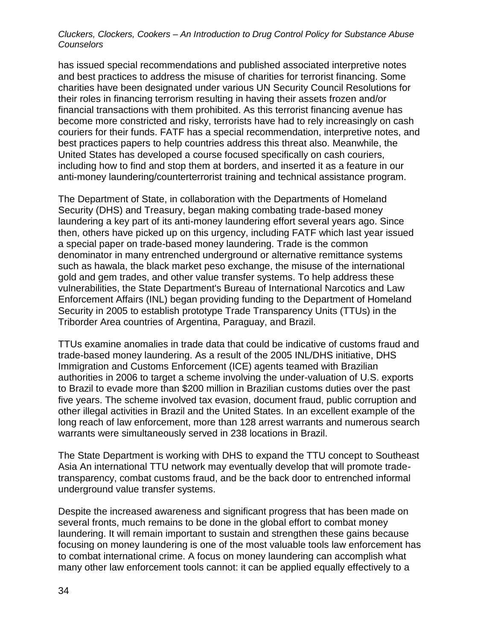has issued special recommendations and published associated interpretive notes and best practices to address the misuse of charities for terrorist financing. Some charities have been designated under various UN Security Council Resolutions for their roles in financing terrorism resulting in having their assets frozen and/or financial transactions with them prohibited. As this terrorist financing avenue has become more constricted and risky, terrorists have had to rely increasingly on cash couriers for their funds. FATF has a special recommendation, interpretive notes, and best practices papers to help countries address this threat also. Meanwhile, the United States has developed a course focused specifically on cash couriers, including how to find and stop them at borders, and inserted it as a feature in our anti-money laundering/counterterrorist training and technical assistance program.

The Department of State, in collaboration with the Departments of Homeland Security (DHS) and Treasury, began making combating trade-based money laundering a key part of its anti-money laundering effort several years ago. Since then, others have picked up on this urgency, including FATF which last year issued a special paper on trade-based money laundering. Trade is the common denominator in many entrenched underground or alternative remittance systems such as hawala, the black market peso exchange, the misuse of the international gold and gem trades, and other value transfer systems. To help address these vulnerabilities, the State Department's Bureau of International Narcotics and Law Enforcement Affairs (INL) began providing funding to the Department of Homeland Security in 2005 to establish prototype Trade Transparency Units (TTUs) in the Triborder Area countries of Argentina, Paraguay, and Brazil.

TTUs examine anomalies in trade data that could be indicative of customs fraud and trade-based money laundering. As a result of the 2005 INL/DHS initiative, DHS Immigration and Customs Enforcement (ICE) agents teamed with Brazilian authorities in 2006 to target a scheme involving the under-valuation of U.S. exports to Brazil to evade more than \$200 million in Brazilian customs duties over the past five years. The scheme involved tax evasion, document fraud, public corruption and other illegal activities in Brazil and the United States. In an excellent example of the long reach of law enforcement, more than 128 arrest warrants and numerous search warrants were simultaneously served in 238 locations in Brazil.

The State Department is working with DHS to expand the TTU concept to Southeast Asia An international TTU network may eventually develop that will promote tradetransparency, combat customs fraud, and be the back door to entrenched informal underground value transfer systems.

Despite the increased awareness and significant progress that has been made on several fronts, much remains to be done in the global effort to combat money laundering. It will remain important to sustain and strengthen these gains because focusing on money laundering is one of the most valuable tools law enforcement has to combat international crime. A focus on money laundering can accomplish what many other law enforcement tools cannot: it can be applied equally effectively to a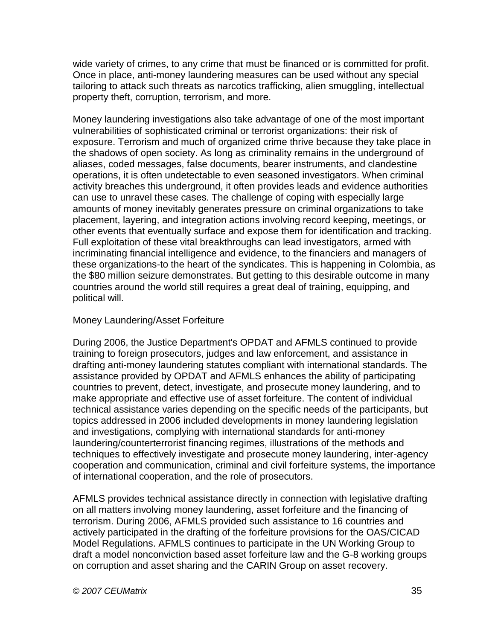wide variety of crimes, to any crime that must be financed or is committed for profit. Once in place, anti-money laundering measures can be used without any special tailoring to attack such threats as narcotics trafficking, alien smuggling, intellectual property theft, corruption, terrorism, and more.

Money laundering investigations also take advantage of one of the most important vulnerabilities of sophisticated criminal or terrorist organizations: their risk of exposure. Terrorism and much of organized crime thrive because they take place in the shadows of open society. As long as criminality remains in the underground of aliases, coded messages, false documents, bearer instruments, and clandestine operations, it is often undetectable to even seasoned investigators. When criminal activity breaches this underground, it often provides leads and evidence authorities can use to unravel these cases. The challenge of coping with especially large amounts of money inevitably generates pressure on criminal organizations to take placement, layering, and integration actions involving record keeping, meetings, or other events that eventually surface and expose them for identification and tracking. Full exploitation of these vital breakthroughs can lead investigators, armed with incriminating financial intelligence and evidence, to the financiers and managers of these organizations-to the heart of the syndicates. This is happening in Colombia, as the \$80 million seizure demonstrates. But getting to this desirable outcome in many countries around the world still requires a great deal of training, equipping, and political will.

### Money Laundering/Asset Forfeiture

During 2006, the Justice Department's OPDAT and AFMLS continued to provide training to foreign prosecutors, judges and law enforcement, and assistance in drafting anti-money laundering statutes compliant with international standards. The assistance provided by OPDAT and AFMLS enhances the ability of participating countries to prevent, detect, investigate, and prosecute money laundering, and to make appropriate and effective use of asset forfeiture. The content of individual technical assistance varies depending on the specific needs of the participants, but topics addressed in 2006 included developments in money laundering legislation and investigations, complying with international standards for anti-money laundering/counterterrorist financing regimes, illustrations of the methods and techniques to effectively investigate and prosecute money laundering, inter-agency cooperation and communication, criminal and civil forfeiture systems, the importance of international cooperation, and the role of prosecutors.

AFMLS provides technical assistance directly in connection with legislative drafting on all matters involving money laundering, asset forfeiture and the financing of terrorism. During 2006, AFMLS provided such assistance to 16 countries and actively participated in the drafting of the forfeiture provisions for the OAS/CICAD Model Regulations. AFMLS continues to participate in the UN Working Group to draft a model nonconviction based asset forfeiture law and the G-8 working groups on corruption and asset sharing and the CARIN Group on asset recovery.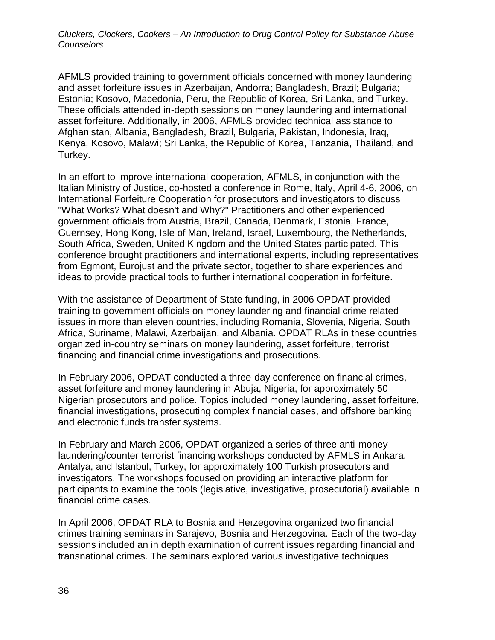AFMLS provided training to government officials concerned with money laundering and asset forfeiture issues in Azerbaijan, Andorra; Bangladesh, Brazil; Bulgaria; Estonia; Kosovo, Macedonia, Peru, the Republic of Korea, Sri Lanka, and Turkey. These officials attended in-depth sessions on money laundering and international asset forfeiture. Additionally, in 2006, AFMLS provided technical assistance to Afghanistan, Albania, Bangladesh, Brazil, Bulgaria, Pakistan, Indonesia, Iraq, Kenya, Kosovo, Malawi; Sri Lanka, the Republic of Korea, Tanzania, Thailand, and Turkey.

In an effort to improve international cooperation, AFMLS, in conjunction with the Italian Ministry of Justice, co-hosted a conference in Rome, Italy, April 4-6, 2006, on International Forfeiture Cooperation for prosecutors and investigators to discuss "What Works? What doesn't and Why?" Practitioners and other experienced government officials from Austria, Brazil, Canada, Denmark, Estonia, France, Guernsey, Hong Kong, Isle of Man, Ireland, Israel, Luxembourg, the Netherlands, South Africa, Sweden, United Kingdom and the United States participated. This conference brought practitioners and international experts, including representatives from Egmont, Eurojust and the private sector, together to share experiences and ideas to provide practical tools to further international cooperation in forfeiture.

With the assistance of Department of State funding, in 2006 OPDAT provided training to government officials on money laundering and financial crime related issues in more than eleven countries, including Romania, Slovenia, Nigeria, South Africa, Suriname, Malawi, Azerbaijan, and Albania. OPDAT RLAs in these countries organized in-country seminars on money laundering, asset forfeiture, terrorist financing and financial crime investigations and prosecutions.

In February 2006, OPDAT conducted a three-day conference on financial crimes, asset forfeiture and money laundering in Abuja, Nigeria, for approximately 50 Nigerian prosecutors and police. Topics included money laundering, asset forfeiture, financial investigations, prosecuting complex financial cases, and offshore banking and electronic funds transfer systems.

In February and March 2006, OPDAT organized a series of three anti-money laundering/counter terrorist financing workshops conducted by AFMLS in Ankara, Antalya, and Istanbul, Turkey, for approximately 100 Turkish prosecutors and investigators. The workshops focused on providing an interactive platform for participants to examine the tools (legislative, investigative, prosecutorial) available in financial crime cases.

In April 2006, OPDAT RLA to Bosnia and Herzegovina organized two financial crimes training seminars in Sarajevo, Bosnia and Herzegovina. Each of the two-day sessions included an in depth examination of current issues regarding financial and transnational crimes. The seminars explored various investigative techniques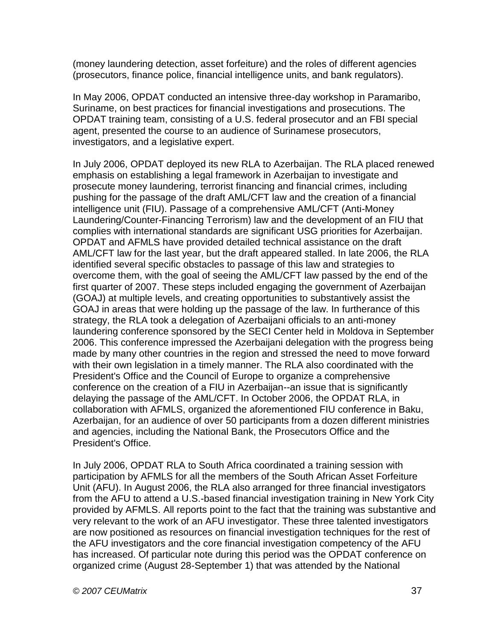(money laundering detection, asset forfeiture) and the roles of different agencies (prosecutors, finance police, financial intelligence units, and bank regulators).

In May 2006, OPDAT conducted an intensive three-day workshop in Paramaribo, Suriname, on best practices for financial investigations and prosecutions. The OPDAT training team, consisting of a U.S. federal prosecutor and an FBI special agent, presented the course to an audience of Surinamese prosecutors, investigators, and a legislative expert.

In July 2006, OPDAT deployed its new RLA to Azerbaijan. The RLA placed renewed emphasis on establishing a legal framework in Azerbaijan to investigate and prosecute money laundering, terrorist financing and financial crimes, including pushing for the passage of the draft AML/CFT law and the creation of a financial intelligence unit (FIU). Passage of a comprehensive AML/CFT (Anti-Money Laundering/Counter-Financing Terrorism) law and the development of an FIU that complies with international standards are significant USG priorities for Azerbaijan. OPDAT and AFMLS have provided detailed technical assistance on the draft AML/CFT law for the last year, but the draft appeared stalled. In late 2006, the RLA identified several specific obstacles to passage of this law and strategies to overcome them, with the goal of seeing the AML/CFT law passed by the end of the first quarter of 2007. These steps included engaging the government of Azerbaijan (GOAJ) at multiple levels, and creating opportunities to substantively assist the GOAJ in areas that were holding up the passage of the law. In furtherance of this strategy, the RLA took a delegation of Azerbaijani officials to an anti-money laundering conference sponsored by the SECI Center held in Moldova in September 2006. This conference impressed the Azerbaijani delegation with the progress being made by many other countries in the region and stressed the need to move forward with their own legislation in a timely manner. The RLA also coordinated with the President's Office and the Council of Europe to organize a comprehensive conference on the creation of a FIU in Azerbaijan--an issue that is significantly delaying the passage of the AML/CFT. In October 2006, the OPDAT RLA, in collaboration with AFMLS, organized the aforementioned FIU conference in Baku, Azerbaijan, for an audience of over 50 participants from a dozen different ministries and agencies, including the National Bank, the Prosecutors Office and the President's Office.

In July 2006, OPDAT RLA to South Africa coordinated a training session with participation by AFMLS for all the members of the South African Asset Forfeiture Unit (AFU). In August 2006, the RLA also arranged for three financial investigators from the AFU to attend a U.S.-based financial investigation training in New York City provided by AFMLS. All reports point to the fact that the training was substantive and very relevant to the work of an AFU investigator. These three talented investigators are now positioned as resources on financial investigation techniques for the rest of the AFU investigators and the core financial investigation competency of the AFU has increased. Of particular note during this period was the OPDAT conference on organized crime (August 28-September 1) that was attended by the National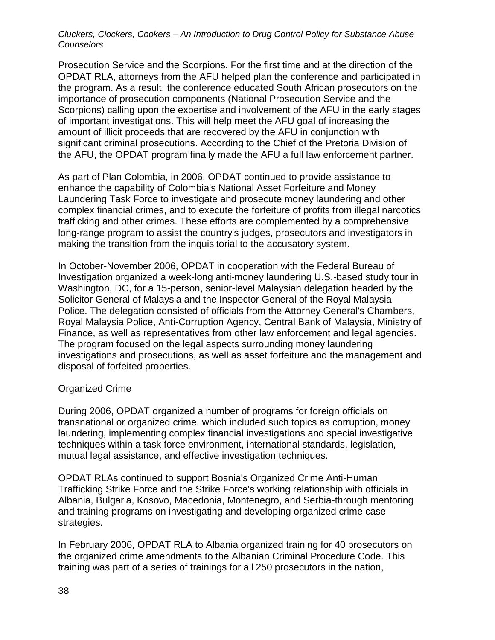Prosecution Service and the Scorpions. For the first time and at the direction of the OPDAT RLA, attorneys from the AFU helped plan the conference and participated in the program. As a result, the conference educated South African prosecutors on the importance of prosecution components (National Prosecution Service and the Scorpions) calling upon the expertise and involvement of the AFU in the early stages of important investigations. This will help meet the AFU goal of increasing the amount of illicit proceeds that are recovered by the AFU in conjunction with significant criminal prosecutions. According to the Chief of the Pretoria Division of the AFU, the OPDAT program finally made the AFU a full law enforcement partner.

As part of Plan Colombia, in 2006, OPDAT continued to provide assistance to enhance the capability of Colombia's National Asset Forfeiture and Money Laundering Task Force to investigate and prosecute money laundering and other complex financial crimes, and to execute the forfeiture of profits from illegal narcotics trafficking and other crimes. These efforts are complemented by a comprehensive long-range program to assist the country's judges, prosecutors and investigators in making the transition from the inquisitorial to the accusatory system.

In October-November 2006, OPDAT in cooperation with the Federal Bureau of Investigation organized a week-long anti-money laundering U.S.-based study tour in Washington, DC, for a 15-person, senior-level Malaysian delegation headed by the Solicitor General of Malaysia and the Inspector General of the Royal Malaysia Police. The delegation consisted of officials from the Attorney General's Chambers, Royal Malaysia Police, Anti-Corruption Agency, Central Bank of Malaysia, Ministry of Finance, as well as representatives from other law enforcement and legal agencies. The program focused on the legal aspects surrounding money laundering investigations and prosecutions, as well as asset forfeiture and the management and disposal of forfeited properties.

#### Organized Crime

During 2006, OPDAT organized a number of programs for foreign officials on transnational or organized crime, which included such topics as corruption, money laundering, implementing complex financial investigations and special investigative techniques within a task force environment, international standards, legislation, mutual legal assistance, and effective investigation techniques.

OPDAT RLAs continued to support Bosnia's Organized Crime Anti-Human Trafficking Strike Force and the Strike Force's working relationship with officials in Albania, Bulgaria, Kosovo, Macedonia, Montenegro, and Serbia-through mentoring and training programs on investigating and developing organized crime case strategies.

In February 2006, OPDAT RLA to Albania organized training for 40 prosecutors on the organized crime amendments to the Albanian Criminal Procedure Code. This training was part of a series of trainings for all 250 prosecutors in the nation,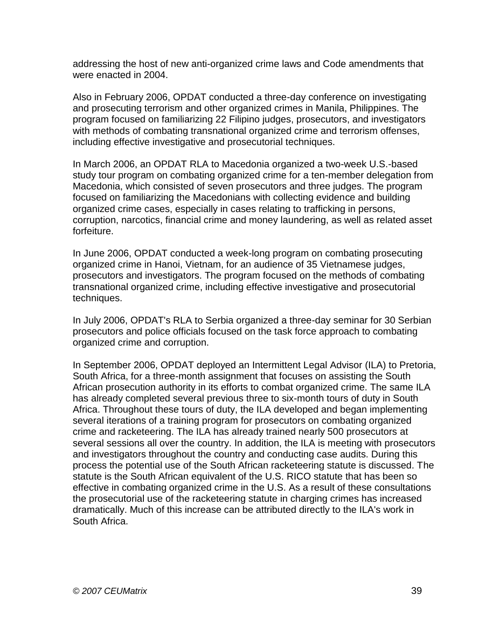addressing the host of new anti-organized crime laws and Code amendments that were enacted in 2004.

Also in February 2006, OPDAT conducted a three-day conference on investigating and prosecuting terrorism and other organized crimes in Manila, Philippines. The program focused on familiarizing 22 Filipino judges, prosecutors, and investigators with methods of combating transnational organized crime and terrorism offenses, including effective investigative and prosecutorial techniques.

In March 2006, an OPDAT RLA to Macedonia organized a two-week U.S.-based study tour program on combating organized crime for a ten-member delegation from Macedonia, which consisted of seven prosecutors and three judges. The program focused on familiarizing the Macedonians with collecting evidence and building organized crime cases, especially in cases relating to trafficking in persons, corruption, narcotics, financial crime and money laundering, as well as related asset forfeiture.

In June 2006, OPDAT conducted a week-long program on combating prosecuting organized crime in Hanoi, Vietnam, for an audience of 35 Vietnamese judges, prosecutors and investigators. The program focused on the methods of combating transnational organized crime, including effective investigative and prosecutorial techniques.

In July 2006, OPDAT's RLA to Serbia organized a three-day seminar for 30 Serbian prosecutors and police officials focused on the task force approach to combating organized crime and corruption.

In September 2006, OPDAT deployed an Intermittent Legal Advisor (ILA) to Pretoria, South Africa, for a three-month assignment that focuses on assisting the South African prosecution authority in its efforts to combat organized crime. The same ILA has already completed several previous three to six-month tours of duty in South Africa. Throughout these tours of duty, the ILA developed and began implementing several iterations of a training program for prosecutors on combating organized crime and racketeering. The ILA has already trained nearly 500 prosecutors at several sessions all over the country. In addition, the ILA is meeting with prosecutors and investigators throughout the country and conducting case audits. During this process the potential use of the South African racketeering statute is discussed. The statute is the South African equivalent of the U.S. RICO statute that has been so effective in combating organized crime in the U.S. As a result of these consultations the prosecutorial use of the racketeering statute in charging crimes has increased dramatically. Much of this increase can be attributed directly to the ILA's work in South Africa.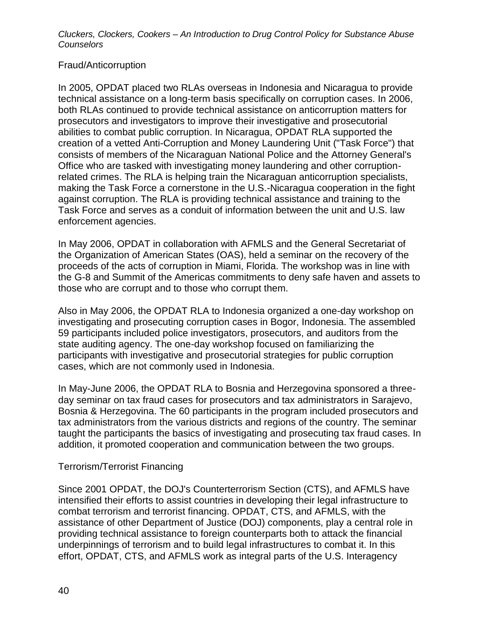# Fraud/Anticorruption

In 2005, OPDAT placed two RLAs overseas in Indonesia and Nicaragua to provide technical assistance on a long-term basis specifically on corruption cases. In 2006, both RLAs continued to provide technical assistance on anticorruption matters for prosecutors and investigators to improve their investigative and prosecutorial abilities to combat public corruption. In Nicaragua, OPDAT RLA supported the creation of a vetted Anti-Corruption and Money Laundering Unit ("Task Force") that consists of members of the Nicaraguan National Police and the Attorney General's Office who are tasked with investigating money laundering and other corruptionrelated crimes. The RLA is helping train the Nicaraguan anticorruption specialists, making the Task Force a cornerstone in the U.S.-Nicaragua cooperation in the fight against corruption. The RLA is providing technical assistance and training to the Task Force and serves as a conduit of information between the unit and U.S. law enforcement agencies.

In May 2006, OPDAT in collaboration with AFMLS and the General Secretariat of the Organization of American States (OAS), held a seminar on the recovery of the proceeds of the acts of corruption in Miami, Florida. The workshop was in line with the G-8 and Summit of the Americas commitments to deny safe haven and assets to those who are corrupt and to those who corrupt them.

Also in May 2006, the OPDAT RLA to Indonesia organized a one-day workshop on investigating and prosecuting corruption cases in Bogor, Indonesia. The assembled 59 participants included police investigators, prosecutors, and auditors from the state auditing agency. The one-day workshop focused on familiarizing the participants with investigative and prosecutorial strategies for public corruption cases, which are not commonly used in Indonesia.

In May-June 2006, the OPDAT RLA to Bosnia and Herzegovina sponsored a threeday seminar on tax fraud cases for prosecutors and tax administrators in Sarajevo, Bosnia & Herzegovina. The 60 participants in the program included prosecutors and tax administrators from the various districts and regions of the country. The seminar taught the participants the basics of investigating and prosecuting tax fraud cases. In addition, it promoted cooperation and communication between the two groups.

# Terrorism/Terrorist Financing

Since 2001 OPDAT, the DOJ's Counterterrorism Section (CTS), and AFMLS have intensified their efforts to assist countries in developing their legal infrastructure to combat terrorism and terrorist financing. OPDAT, CTS, and AFMLS, with the assistance of other Department of Justice (DOJ) components, play a central role in providing technical assistance to foreign counterparts both to attack the financial underpinnings of terrorism and to build legal infrastructures to combat it. In this effort, OPDAT, CTS, and AFMLS work as integral parts of the U.S. Interagency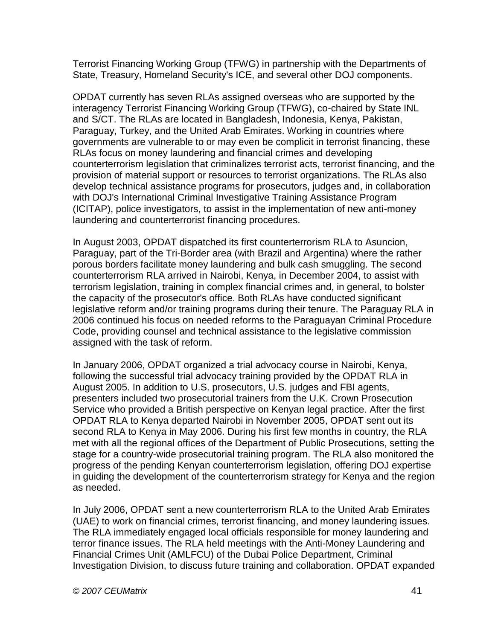Terrorist Financing Working Group (TFWG) in partnership with the Departments of State, Treasury, Homeland Security's ICE, and several other DOJ components.

OPDAT currently has seven RLAs assigned overseas who are supported by the interagency Terrorist Financing Working Group (TFWG), co-chaired by State INL and S/CT. The RLAs are located in Bangladesh, Indonesia, Kenya, Pakistan, Paraguay, Turkey, and the United Arab Emirates. Working in countries where governments are vulnerable to or may even be complicit in terrorist financing, these RLAs focus on money laundering and financial crimes and developing counterterrorism legislation that criminalizes terrorist acts, terrorist financing, and the provision of material support or resources to terrorist organizations. The RLAs also develop technical assistance programs for prosecutors, judges and, in collaboration with DOJ's International Criminal Investigative Training Assistance Program (ICITAP), police investigators, to assist in the implementation of new anti-money laundering and counterterrorist financing procedures.

In August 2003, OPDAT dispatched its first counterterrorism RLA to Asuncion, Paraguay, part of the Tri-Border area (with Brazil and Argentina) where the rather porous borders facilitate money laundering and bulk cash smuggling. The second counterterrorism RLA arrived in Nairobi, Kenya, in December 2004, to assist with terrorism legislation, training in complex financial crimes and, in general, to bolster the capacity of the prosecutor's office. Both RLAs have conducted significant legislative reform and/or training programs during their tenure. The Paraguay RLA in 2006 continued his focus on needed reforms to the Paraguayan Criminal Procedure Code, providing counsel and technical assistance to the legislative commission assigned with the task of reform.

In January 2006, OPDAT organized a trial advocacy course in Nairobi, Kenya, following the successful trial advocacy training provided by the OPDAT RLA in August 2005. In addition to U.S. prosecutors, U.S. judges and FBI agents, presenters included two prosecutorial trainers from the U.K. Crown Prosecution Service who provided a British perspective on Kenyan legal practice. After the first OPDAT RLA to Kenya departed Nairobi in November 2005, OPDAT sent out its second RLA to Kenya in May 2006. During his first few months in country, the RLA met with all the regional offices of the Department of Public Prosecutions, setting the stage for a country-wide prosecutorial training program. The RLA also monitored the progress of the pending Kenyan counterterrorism legislation, offering DOJ expertise in guiding the development of the counterterrorism strategy for Kenya and the region as needed.

In July 2006, OPDAT sent a new counterterrorism RLA to the United Arab Emirates (UAE) to work on financial crimes, terrorist financing, and money laundering issues. The RLA immediately engaged local officials responsible for money laundering and terror finance issues. The RLA held meetings with the Anti-Money Laundering and Financial Crimes Unit (AMLFCU) of the Dubai Police Department, Criminal Investigation Division, to discuss future training and collaboration. OPDAT expanded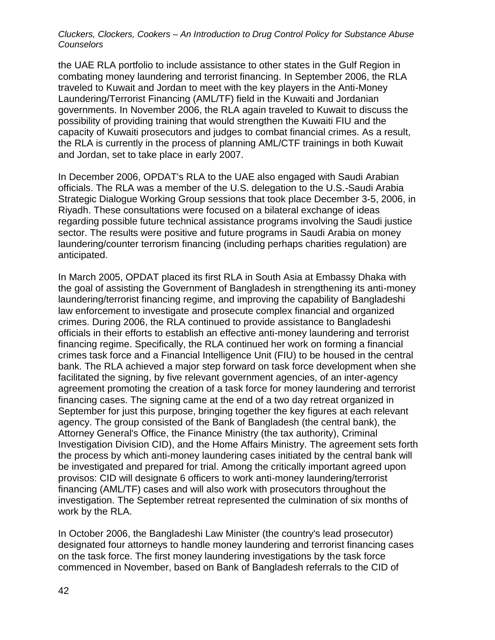the UAE RLA portfolio to include assistance to other states in the Gulf Region in combating money laundering and terrorist financing. In September 2006, the RLA traveled to Kuwait and Jordan to meet with the key players in the Anti-Money Laundering/Terrorist Financing (AML/TF) field in the Kuwaiti and Jordanian governments. In November 2006, the RLA again traveled to Kuwait to discuss the possibility of providing training that would strengthen the Kuwaiti FIU and the capacity of Kuwaiti prosecutors and judges to combat financial crimes. As a result, the RLA is currently in the process of planning AML/CTF trainings in both Kuwait and Jordan, set to take place in early 2007.

In December 2006, OPDAT's RLA to the UAE also engaged with Saudi Arabian officials. The RLA was a member of the U.S. delegation to the U.S.-Saudi Arabia Strategic Dialogue Working Group sessions that took place December 3-5, 2006, in Riyadh. These consultations were focused on a bilateral exchange of ideas regarding possible future technical assistance programs involving the Saudi justice sector. The results were positive and future programs in Saudi Arabia on money laundering/counter terrorism financing (including perhaps charities regulation) are anticipated.

In March 2005, OPDAT placed its first RLA in South Asia at Embassy Dhaka with the goal of assisting the Government of Bangladesh in strengthening its anti-money laundering/terrorist financing regime, and improving the capability of Bangladeshi law enforcement to investigate and prosecute complex financial and organized crimes. During 2006, the RLA continued to provide assistance to Bangladeshi officials in their efforts to establish an effective anti-money laundering and terrorist financing regime. Specifically, the RLA continued her work on forming a financial crimes task force and a Financial Intelligence Unit (FIU) to be housed in the central bank. The RLA achieved a major step forward on task force development when she facilitated the signing, by five relevant government agencies, of an inter-agency agreement promoting the creation of a task force for money laundering and terrorist financing cases. The signing came at the end of a two day retreat organized in September for just this purpose, bringing together the key figures at each relevant agency. The group consisted of the Bank of Bangladesh (the central bank), the Attorney General's Office, the Finance Ministry (the tax authority), Criminal Investigation Division CID), and the Home Affairs Ministry. The agreement sets forth the process by which anti-money laundering cases initiated by the central bank will be investigated and prepared for trial. Among the critically important agreed upon provisos: CID will designate 6 officers to work anti-money laundering/terrorist financing (AML/TF) cases and will also work with prosecutors throughout the investigation. The September retreat represented the culmination of six months of work by the RLA.

In October 2006, the Bangladeshi Law Minister (the country's lead prosecutor) designated four attorneys to handle money laundering and terrorist financing cases on the task force. The first money laundering investigations by the task force commenced in November, based on Bank of Bangladesh referrals to the CID of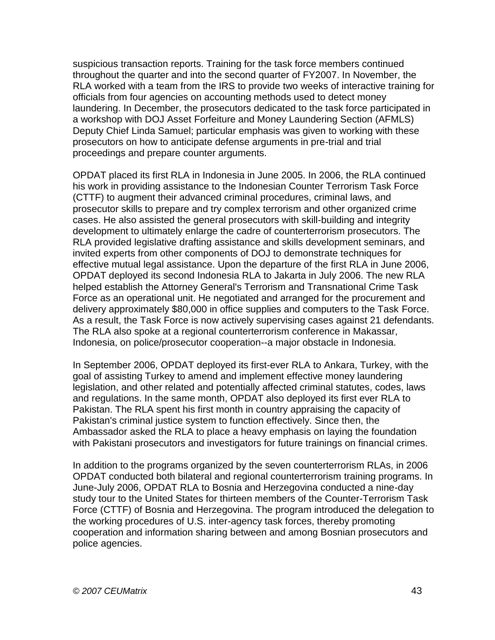suspicious transaction reports. Training for the task force members continued throughout the quarter and into the second quarter of FY2007. In November, the RLA worked with a team from the IRS to provide two weeks of interactive training for officials from four agencies on accounting methods used to detect money laundering. In December, the prosecutors dedicated to the task force participated in a workshop with DOJ Asset Forfeiture and Money Laundering Section (AFMLS) Deputy Chief Linda Samuel; particular emphasis was given to working with these prosecutors on how to anticipate defense arguments in pre-trial and trial proceedings and prepare counter arguments.

OPDAT placed its first RLA in Indonesia in June 2005. In 2006, the RLA continued his work in providing assistance to the Indonesian Counter Terrorism Task Force (CTTF) to augment their advanced criminal procedures, criminal laws, and prosecutor skills to prepare and try complex terrorism and other organized crime cases. He also assisted the general prosecutors with skill-building and integrity development to ultimately enlarge the cadre of counterterrorism prosecutors. The RLA provided legislative drafting assistance and skills development seminars, and invited experts from other components of DOJ to demonstrate techniques for effective mutual legal assistance. Upon the departure of the first RLA in June 2006, OPDAT deployed its second Indonesia RLA to Jakarta in July 2006. The new RLA helped establish the Attorney General's Terrorism and Transnational Crime Task Force as an operational unit. He negotiated and arranged for the procurement and delivery approximately \$80,000 in office supplies and computers to the Task Force. As a result, the Task Force is now actively supervising cases against 21 defendants. The RLA also spoke at a regional counterterrorism conference in Makassar, Indonesia, on police/prosecutor cooperation--a major obstacle in Indonesia.

In September 2006, OPDAT deployed its first-ever RLA to Ankara, Turkey, with the goal of assisting Turkey to amend and implement effective money laundering legislation, and other related and potentially affected criminal statutes, codes, laws and regulations. In the same month, OPDAT also deployed its first ever RLA to Pakistan. The RLA spent his first month in country appraising the capacity of Pakistan's criminal justice system to function effectively. Since then, the Ambassador asked the RLA to place a heavy emphasis on laying the foundation with Pakistani prosecutors and investigators for future trainings on financial crimes.

In addition to the programs organized by the seven counterterrorism RLAs, in 2006 OPDAT conducted both bilateral and regional counterterrorism training programs. In June-July 2006, OPDAT RLA to Bosnia and Herzegovina conducted a nine-day study tour to the United States for thirteen members of the Counter-Terrorism Task Force (CTTF) of Bosnia and Herzegovina. The program introduced the delegation to the working procedures of U.S. inter-agency task forces, thereby promoting cooperation and information sharing between and among Bosnian prosecutors and police agencies.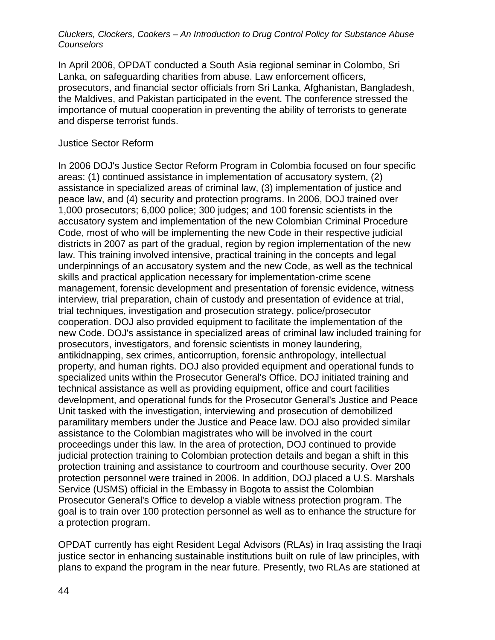In April 2006, OPDAT conducted a South Asia regional seminar in Colombo, Sri Lanka, on safeguarding charities from abuse. Law enforcement officers, prosecutors, and financial sector officials from Sri Lanka, Afghanistan, Bangladesh, the Maldives, and Pakistan participated in the event. The conference stressed the importance of mutual cooperation in preventing the ability of terrorists to generate and disperse terrorist funds.

#### Justice Sector Reform

In 2006 DOJ's Justice Sector Reform Program in Colombia focused on four specific areas: (1) continued assistance in implementation of accusatory system, (2) assistance in specialized areas of criminal law, (3) implementation of justice and peace law, and (4) security and protection programs. In 2006, DOJ trained over 1,000 prosecutors; 6,000 police; 300 judges; and 100 forensic scientists in the accusatory system and implementation of the new Colombian Criminal Procedure Code, most of who will be implementing the new Code in their respective judicial districts in 2007 as part of the gradual, region by region implementation of the new law. This training involved intensive, practical training in the concepts and legal underpinnings of an accusatory system and the new Code, as well as the technical skills and practical application necessary for implementation-crime scene management, forensic development and presentation of forensic evidence, witness interview, trial preparation, chain of custody and presentation of evidence at trial, trial techniques, investigation and prosecution strategy, police/prosecutor cooperation. DOJ also provided equipment to facilitate the implementation of the new Code. DOJ's assistance in specialized areas of criminal law included training for prosecutors, investigators, and forensic scientists in money laundering, antikidnapping, sex crimes, anticorruption, forensic anthropology, intellectual property, and human rights. DOJ also provided equipment and operational funds to specialized units within the Prosecutor General's Office. DOJ initiated training and technical assistance as well as providing equipment, office and court facilities development, and operational funds for the Prosecutor General's Justice and Peace Unit tasked with the investigation, interviewing and prosecution of demobilized paramilitary members under the Justice and Peace law. DOJ also provided similar assistance to the Colombian magistrates who will be involved in the court proceedings under this law. In the area of protection, DOJ continued to provide judicial protection training to Colombian protection details and began a shift in this protection training and assistance to courtroom and courthouse security. Over 200 protection personnel were trained in 2006. In addition, DOJ placed a U.S. Marshals Service (USMS) official in the Embassy in Bogota to assist the Colombian Prosecutor General's Office to develop a viable witness protection program. The goal is to train over 100 protection personnel as well as to enhance the structure for a protection program.

OPDAT currently has eight Resident Legal Advisors (RLAs) in Iraq assisting the Iraqi justice sector in enhancing sustainable institutions built on rule of law principles, with plans to expand the program in the near future. Presently, two RLAs are stationed at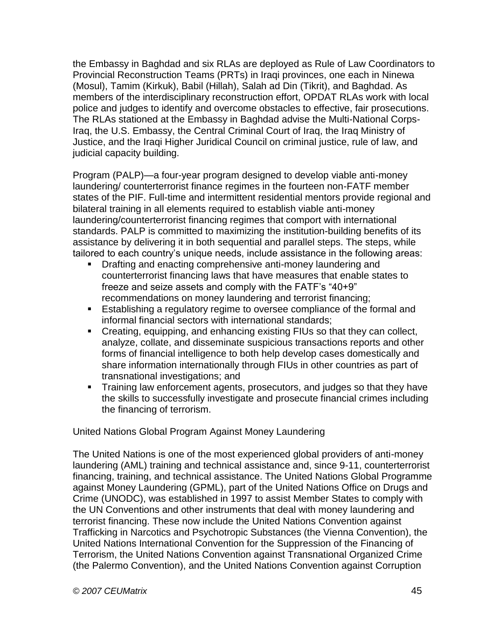the Embassy in Baghdad and six RLAs are deployed as Rule of Law Coordinators to Provincial Reconstruction Teams (PRTs) in Iraqi provinces, one each in Ninewa (Mosul), Tamim (Kirkuk), Babil (Hillah), Salah ad Din (Tikrit), and Baghdad. As members of the interdisciplinary reconstruction effort, OPDAT RLAs work with local police and judges to identify and overcome obstacles to effective, fair prosecutions. The RLAs stationed at the Embassy in Baghdad advise the Multi-National Corps-Iraq, the U.S. Embassy, the Central Criminal Court of Iraq, the Iraq Ministry of Justice, and the Iraqi Higher Juridical Council on criminal justice, rule of law, and judicial capacity building.

Program (PALP)—a four-year program designed to develop viable anti-money laundering/ counterterrorist finance regimes in the fourteen non-FATF member states of the PIF. Full-time and intermittent residential mentors provide regional and bilateral training in all elements required to establish viable anti-money laundering/counterterrorist financing regimes that comport with international standards. PALP is committed to maximizing the institution-building benefits of its assistance by delivering it in both sequential and parallel steps. The steps, while tailored to each country's unique needs, include assistance in the following areas:

- **Drafting and enacting comprehensive anti-money laundering and** counterterrorist financing laws that have measures that enable states to freeze and seize assets and comply with the FATF's "40+9" recommendations on money laundering and terrorist financing;
- **Establishing a regulatory regime to oversee compliance of the formal and** informal financial sectors with international standards;
- Creating, equipping, and enhancing existing FIUs so that they can collect, analyze, collate, and disseminate suspicious transactions reports and other forms of financial intelligence to both help develop cases domestically and share information internationally through FIUs in other countries as part of transnational investigations; and
- **Training law enforcement agents, prosecutors, and judges so that they have** the skills to successfully investigate and prosecute financial crimes including the financing of terrorism.

United Nations Global Program Against Money Laundering

The United Nations is one of the most experienced global providers of anti-money laundering (AML) training and technical assistance and, since 9-11, counterterrorist financing, training, and technical assistance. The United Nations Global Programme against Money Laundering (GPML), part of the United Nations Office on Drugs and Crime (UNODC), was established in 1997 to assist Member States to comply with the UN Conventions and other instruments that deal with money laundering and terrorist financing. These now include the United Nations Convention against Trafficking in Narcotics and Psychotropic Substances (the Vienna Convention), the United Nations International Convention for the Suppression of the Financing of Terrorism, the United Nations Convention against Transnational Organized Crime (the Palermo Convention), and the United Nations Convention against Corruption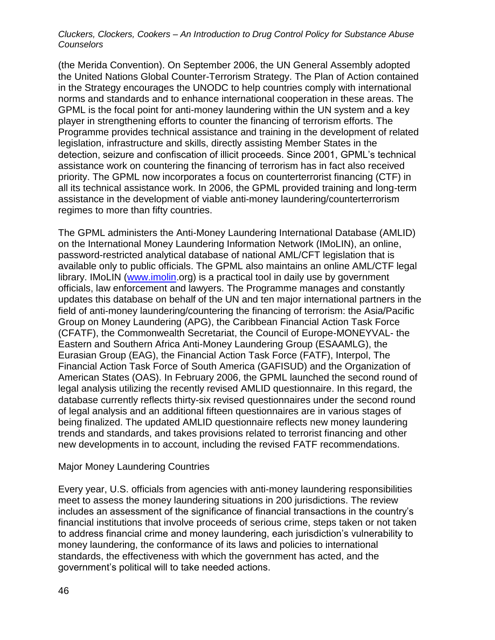(the Merida Convention). On September 2006, the UN General Assembly adopted the United Nations Global Counter-Terrorism Strategy. The Plan of Action contained in the Strategy encourages the UNODC to help countries comply with international norms and standards and to enhance international cooperation in these areas. The GPML is the focal point for anti-money laundering within the UN system and a key player in strengthening efforts to counter the financing of terrorism efforts. The Programme provides technical assistance and training in the development of related legislation, infrastructure and skills, directly assisting Member States in the detection, seizure and confiscation of illicit proceeds. Since 2001, GPML's technical assistance work on countering the financing of terrorism has in fact also received priority. The GPML now incorporates a focus on counterterrorist financing (CTF) in all its technical assistance work. In 2006, the GPML provided training and long-term assistance in the development of viable anti-money laundering/counterterrorism regimes to more than fifty countries.

The GPML administers the Anti-Money Laundering International Database (AMLID) on the International Money Laundering Information Network (IMoLIN), an online, password-restricted analytical database of national AML/CFT legislation that is available only to public officials. The GPML also maintains an online AML/CTF legal library. IMoLIN [\(www.imolin.](http://www.imolin/)org) is a practical tool in daily use by government officials, law enforcement and lawyers. The Programme manages and constantly updates this database on behalf of the UN and ten major international partners in the field of anti-money laundering/countering the financing of terrorism: the Asia/Pacific Group on Money Laundering (APG), the Caribbean Financial Action Task Force (CFATF), the Commonwealth Secretariat, the Council of Europe-MONEYVAL- the Eastern and Southern Africa Anti-Money Laundering Group (ESAAMLG), the Eurasian Group (EAG), the Financial Action Task Force (FATF), Interpol, The Financial Action Task Force of South America (GAFISUD) and the Organization of American States (OAS). In February 2006, the GPML launched the second round of legal analysis utilizing the recently revised AMLID questionnaire. In this regard, the database currently reflects thirty-six revised questionnaires under the second round of legal analysis and an additional fifteen questionnaires are in various stages of being finalized. The updated AMLID questionnaire reflects new money laundering trends and standards, and takes provisions related to terrorist financing and other new developments in to account, including the revised FATF recommendations.

# Major Money Laundering Countries

Every year, U.S. officials from agencies with anti-money laundering responsibilities meet to assess the money laundering situations in 200 jurisdictions. The review includes an assessment of the significance of financial transactions in the country's financial institutions that involve proceeds of serious crime, steps taken or not taken to address financial crime and money laundering, each jurisdiction's vulnerability to money laundering, the conformance of its laws and policies to international standards, the effectiveness with which the government has acted, and the government's political will to take needed actions.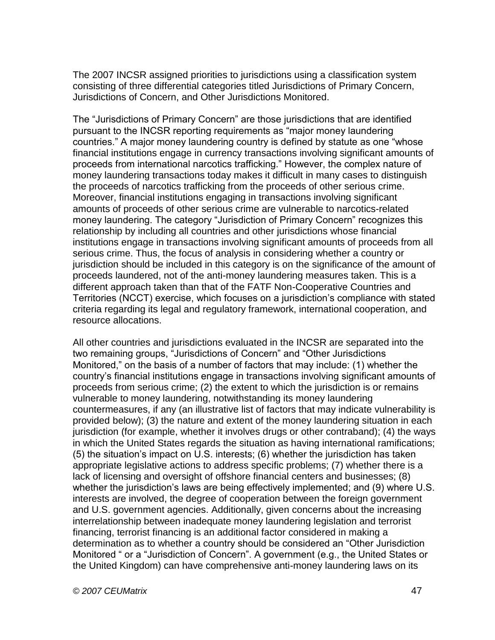The 2007 INCSR assigned priorities to jurisdictions using a classification system consisting of three differential categories titled Jurisdictions of Primary Concern, Jurisdictions of Concern, and Other Jurisdictions Monitored.

The "Jurisdictions of Primary Concern" are those jurisdictions that are identified pursuant to the INCSR reporting requirements as "major money laundering countries." A major money laundering country is defined by statute as one "whose financial institutions engage in currency transactions involving significant amounts of proceeds from international narcotics trafficking." However, the complex nature of money laundering transactions today makes it difficult in many cases to distinguish the proceeds of narcotics trafficking from the proceeds of other serious crime. Moreover, financial institutions engaging in transactions involving significant amounts of proceeds of other serious crime are vulnerable to narcotics-related money laundering. The category "Jurisdiction of Primary Concern" recognizes this relationship by including all countries and other jurisdictions whose financial institutions engage in transactions involving significant amounts of proceeds from all serious crime. Thus, the focus of analysis in considering whether a country or jurisdiction should be included in this category is on the significance of the amount of proceeds laundered, not of the anti-money laundering measures taken. This is a different approach taken than that of the FATF Non-Cooperative Countries and Territories (NCCT) exercise, which focuses on a jurisdiction's compliance with stated criteria regarding its legal and regulatory framework, international cooperation, and resource allocations.

All other countries and jurisdictions evaluated in the INCSR are separated into the two remaining groups, "Jurisdictions of Concern" and "Other Jurisdictions Monitored," on the basis of a number of factors that may include: (1) whether the country's financial institutions engage in transactions involving significant amounts of proceeds from serious crime; (2) the extent to which the jurisdiction is or remains vulnerable to money laundering, notwithstanding its money laundering countermeasures, if any (an illustrative list of factors that may indicate vulnerability is provided below); (3) the nature and extent of the money laundering situation in each jurisdiction (for example, whether it involves drugs or other contraband); (4) the ways in which the United States regards the situation as having international ramifications; (5) the situation's impact on U.S. interests; (6) whether the jurisdiction has taken appropriate legislative actions to address specific problems; (7) whether there is a lack of licensing and oversight of offshore financial centers and businesses; (8) whether the jurisdiction's laws are being effectively implemented; and (9) where U.S. interests are involved, the degree of cooperation between the foreign government and U.S. government agencies. Additionally, given concerns about the increasing interrelationship between inadequate money laundering legislation and terrorist financing, terrorist financing is an additional factor considered in making a determination as to whether a country should be considered an "Other Jurisdiction Monitored " or a "Jurisdiction of Concern". A government (e.g., the United States or the United Kingdom) can have comprehensive anti-money laundering laws on its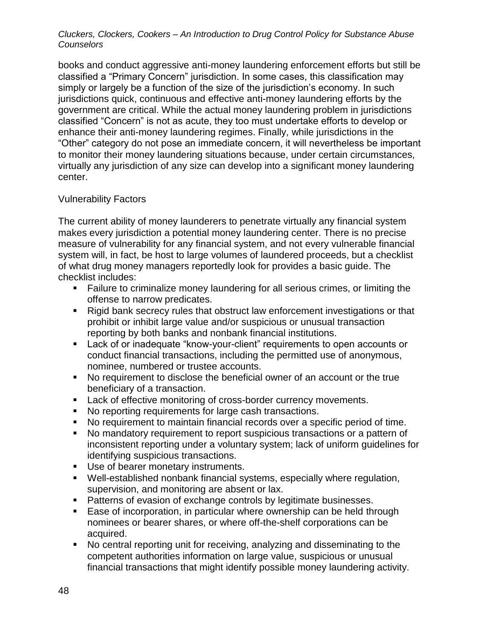books and conduct aggressive anti-money laundering enforcement efforts but still be classified a "Primary Concern" jurisdiction. In some cases, this classification may simply or largely be a function of the size of the jurisdiction's economy. In such jurisdictions quick, continuous and effective anti-money laundering efforts by the government are critical. While the actual money laundering problem in jurisdictions classified "Concern" is not as acute, they too must undertake efforts to develop or enhance their anti-money laundering regimes. Finally, while jurisdictions in the "Other" category do not pose an immediate concern, it will nevertheless be important to monitor their money laundering situations because, under certain circumstances, virtually any jurisdiction of any size can develop into a significant money laundering center.

# Vulnerability Factors

The current ability of money launderers to penetrate virtually any financial system makes every jurisdiction a potential money laundering center. There is no precise measure of vulnerability for any financial system, and not every vulnerable financial system will, in fact, be host to large volumes of laundered proceeds, but a checklist of what drug money managers reportedly look for provides a basic guide. The checklist includes:

- Failure to criminalize money laundering for all serious crimes, or limiting the offense to narrow predicates.
- Rigid bank secrecy rules that obstruct law enforcement investigations or that prohibit or inhibit large value and/or suspicious or unusual transaction reporting by both banks and nonbank financial institutions.
- Lack of or inadequate "know-your-client" requirements to open accounts or conduct financial transactions, including the permitted use of anonymous, nominee, numbered or trustee accounts.
- No requirement to disclose the beneficial owner of an account or the true beneficiary of a transaction.
- **Lack of effective monitoring of cross-border currency movements.**
- No reporting requirements for large cash transactions.
- No requirement to maintain financial records over a specific period of time.
- No mandatory requirement to report suspicious transactions or a pattern of inconsistent reporting under a voluntary system; lack of uniform guidelines for identifying suspicious transactions.
- Use of bearer monetary instruments.
- Well-established nonbank financial systems, especially where regulation, supervision, and monitoring are absent or lax.
- **Patterns of evasion of exchange controls by legitimate businesses.**
- Ease of incorporation, in particular where ownership can be held through nominees or bearer shares, or where off-the-shelf corporations can be acquired.
- No central reporting unit for receiving, analyzing and disseminating to the competent authorities information on large value, suspicious or unusual financial transactions that might identify possible money laundering activity.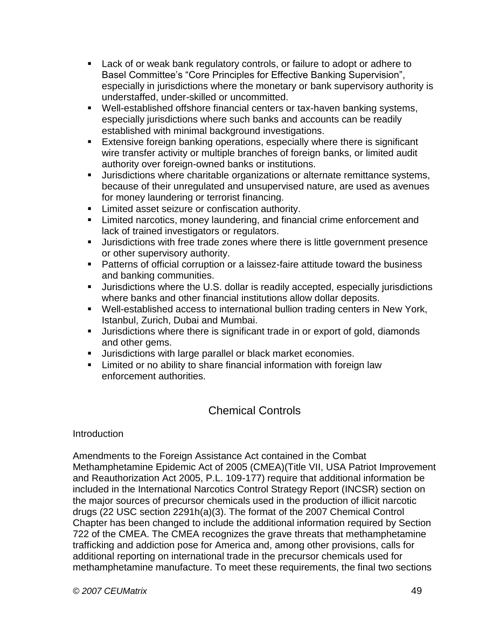- **Lack of or weak bank regulatory controls, or failure to adopt or adhere to** Basel Committee's "Core Principles for Effective Banking Supervision", especially in jurisdictions where the monetary or bank supervisory authority is understaffed, under-skilled or uncommitted.
- Well-established offshore financial centers or tax-haven banking systems, especially jurisdictions where such banks and accounts can be readily established with minimal background investigations.
- **Extensive foreign banking operations, especially where there is significant** wire transfer activity or multiple branches of foreign banks, or limited audit authority over foreign-owned banks or institutions.
- Jurisdictions where charitable organizations or alternate remittance systems, because of their unregulated and unsupervised nature, are used as avenues for money laundering or terrorist financing.
- **EXEC** Limited asset seizure or confiscation authority.
- **EXTERN** Limited narcotics, money laundering, and financial crime enforcement and lack of trained investigators or regulators.
- Jurisdictions with free trade zones where there is little government presence or other supervisory authority.
- Patterns of official corruption or a laissez-faire attitude toward the business and banking communities.
- Jurisdictions where the U.S. dollar is readily accepted, especially jurisdictions where banks and other financial institutions allow dollar deposits.
- Well-established access to international bullion trading centers in New York, Istanbul, Zurich, Dubai and Mumbai.
- **Jurisdictions where there is significant trade in or export of gold, diamonds** and other gems.
- **Jurisdictions with large parallel or black market economies.**
- **EXECT** Limited or no ability to share financial information with foreign law enforcement authorities.

# Chemical Controls

**Introduction** 

Amendments to the Foreign Assistance Act contained in the Combat Methamphetamine Epidemic Act of 2005 (CMEA)(Title VII, USA Patriot Improvement and Reauthorization Act 2005, P.L. 109-177) require that additional information be included in the International Narcotics Control Strategy Report (INCSR) section on the major sources of precursor chemicals used in the production of illicit narcotic drugs (22 USC section 2291h(a)(3). The format of the 2007 Chemical Control Chapter has been changed to include the additional information required by Section 722 of the CMEA. The CMEA recognizes the grave threats that methamphetamine trafficking and addiction pose for America and, among other provisions, calls for additional reporting on international trade in the precursor chemicals used for methamphetamine manufacture. To meet these requirements, the final two sections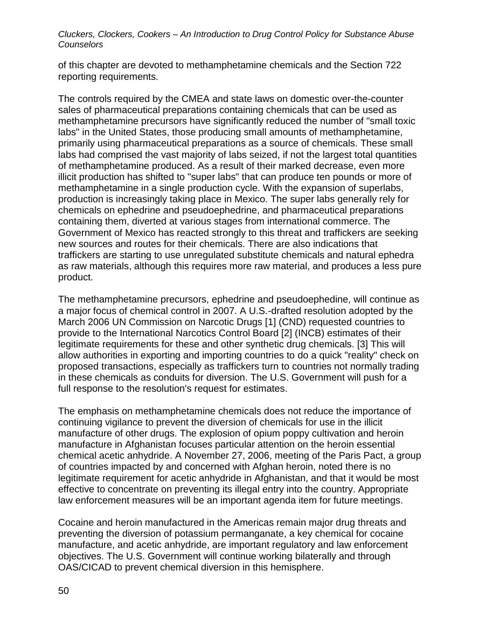of this chapter are devoted to methamphetamine chemicals and the Section 722 reporting requirements.

The controls required by the CMEA and state laws on domestic over-the-counter sales of pharmaceutical preparations containing chemicals that can be used as methamphetamine precursors have significantly reduced the number of "small toxic labs" in the United States, those producing small amounts of methamphetamine, primarily using pharmaceutical preparations as a source of chemicals. These small labs had comprised the vast majority of labs seized, if not the largest total quantities of methamphetamine produced. As a result of their marked decrease, even more illicit production has shifted to "super labs" that can produce ten pounds or more of methamphetamine in a single production cycle. With the expansion of superlabs, production is increasingly taking place in Mexico. The super labs generally rely for chemicals on ephedrine and pseudoephedrine, and pharmaceutical preparations containing them, diverted at various stages from international commerce. The Government of Mexico has reacted strongly to this threat and traffickers are seeking new sources and routes for their chemicals. There are also indications that traffickers are starting to use unregulated substitute chemicals and natural ephedra as raw materials, although this requires more raw material, and produces a less pure product.

The methamphetamine precursors, ephedrine and pseudoephedine, will continue as a major focus of chemical control in 2007. A U.S.-drafted resolution adopted by the March 2006 UN Commission on Narcotic Drugs [1] (CND) requested countries to provide to the International Narcotics Control Board [2] (INCB) estimates of their legitimate requirements for these and other synthetic drug chemicals. [3] This will allow authorities in exporting and importing countries to do a quick "reality" check on proposed transactions, especially as traffickers turn to countries not normally trading in these chemicals as conduits for diversion. The U.S. Government will push for a full response to the resolution's request for estimates.

The emphasis on methamphetamine chemicals does not reduce the importance of continuing vigilance to prevent the diversion of chemicals for use in the illicit manufacture of other drugs. The explosion of opium poppy cultivation and heroin manufacture in Afghanistan focuses particular attention on the heroin essential chemical acetic anhydride. A November 27, 2006, meeting of the Paris Pact, a group of countries impacted by and concerned with Afghan heroin, noted there is no legitimate requirement for acetic anhydride in Afghanistan, and that it would be most effective to concentrate on preventing its illegal entry into the country. Appropriate law enforcement measures will be an important agenda item for future meetings.

Cocaine and heroin manufactured in the Americas remain major drug threats and preventing the diversion of potassium permanganate, a key chemical for cocaine manufacture, and acetic anhydride, are important regulatory and law enforcement objectives. The U.S. Government will continue working bilaterally and through OAS/CICAD to prevent chemical diversion in this hemisphere.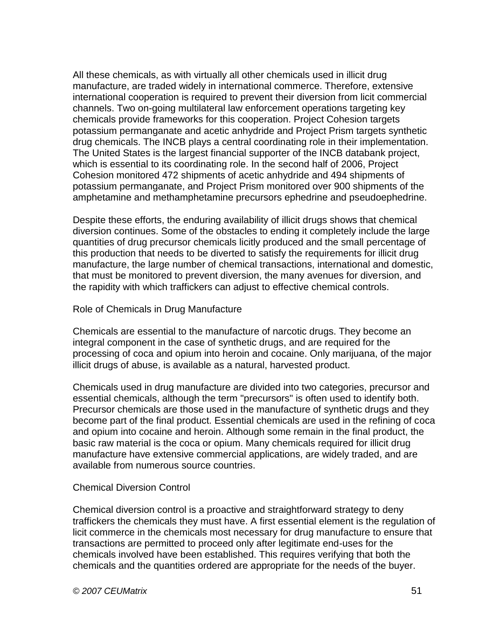All these chemicals, as with virtually all other chemicals used in illicit drug manufacture, are traded widely in international commerce. Therefore, extensive international cooperation is required to prevent their diversion from licit commercial channels. Two on-going multilateral law enforcement operations targeting key chemicals provide frameworks for this cooperation. Project Cohesion targets potassium permanganate and acetic anhydride and Project Prism targets synthetic drug chemicals. The INCB plays a central coordinating role in their implementation. The United States is the largest financial supporter of the INCB databank project, which is essential to its coordinating role. In the second half of 2006, Project Cohesion monitored 472 shipments of acetic anhydride and 494 shipments of potassium permanganate, and Project Prism monitored over 900 shipments of the amphetamine and methamphetamine precursors ephedrine and pseudoephedrine.

Despite these efforts, the enduring availability of illicit drugs shows that chemical diversion continues. Some of the obstacles to ending it completely include the large quantities of drug precursor chemicals licitly produced and the small percentage of this production that needs to be diverted to satisfy the requirements for illicit drug manufacture, the large number of chemical transactions, international and domestic, that must be monitored to prevent diversion, the many avenues for diversion, and the rapidity with which traffickers can adjust to effective chemical controls.

#### Role of Chemicals in Drug Manufacture

Chemicals are essential to the manufacture of narcotic drugs. They become an integral component in the case of synthetic drugs, and are required for the processing of coca and opium into heroin and cocaine. Only marijuana, of the major illicit drugs of abuse, is available as a natural, harvested product.

Chemicals used in drug manufacture are divided into two categories, precursor and essential chemicals, although the term "precursors" is often used to identify both. Precursor chemicals are those used in the manufacture of synthetic drugs and they become part of the final product. Essential chemicals are used in the refining of coca and opium into cocaine and heroin. Although some remain in the final product, the basic raw material is the coca or opium. Many chemicals required for illicit drug manufacture have extensive commercial applications, are widely traded, and are available from numerous source countries.

# Chemical Diversion Control

Chemical diversion control is a proactive and straightforward strategy to deny traffickers the chemicals they must have. A first essential element is the regulation of licit commerce in the chemicals most necessary for drug manufacture to ensure that transactions are permitted to proceed only after legitimate end-uses for the chemicals involved have been established. This requires verifying that both the chemicals and the quantities ordered are appropriate for the needs of the buyer.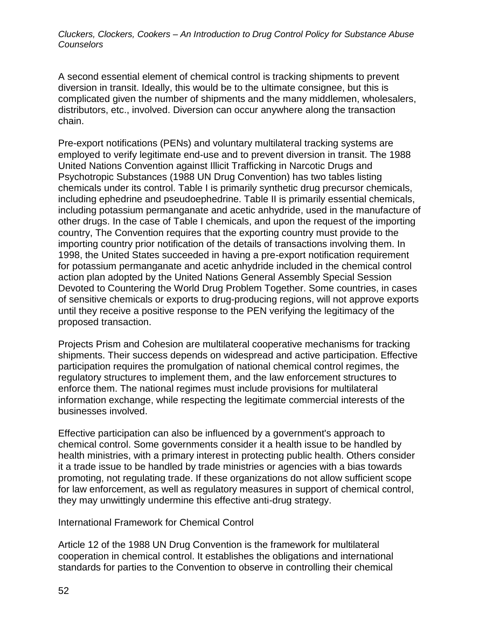A second essential element of chemical control is tracking shipments to prevent diversion in transit. Ideally, this would be to the ultimate consignee, but this is complicated given the number of shipments and the many middlemen, wholesalers, distributors, etc., involved. Diversion can occur anywhere along the transaction chain.

Pre-export notifications (PENs) and voluntary multilateral tracking systems are employed to verify legitimate end-use and to prevent diversion in transit. The 1988 United Nations Convention against Illicit Trafficking in Narcotic Drugs and Psychotropic Substances (1988 UN Drug Convention) has two tables listing chemicals under its control. Table I is primarily synthetic drug precursor chemicals, including ephedrine and pseudoephedrine. Table II is primarily essential chemicals, including potassium permanganate and acetic anhydride, used in the manufacture of other drugs. In the case of Table I chemicals, and upon the request of the importing country, The Convention requires that the exporting country must provide to the importing country prior notification of the details of transactions involving them. In 1998, the United States succeeded in having a pre-export notification requirement for potassium permanganate and acetic anhydride included in the chemical control action plan adopted by the United Nations General Assembly Special Session Devoted to Countering the World Drug Problem Together. Some countries, in cases of sensitive chemicals or exports to drug-producing regions, will not approve exports until they receive a positive response to the PEN verifying the legitimacy of the proposed transaction.

Projects Prism and Cohesion are multilateral cooperative mechanisms for tracking shipments. Their success depends on widespread and active participation. Effective participation requires the promulgation of national chemical control regimes, the regulatory structures to implement them, and the law enforcement structures to enforce them. The national regimes must include provisions for multilateral information exchange, while respecting the legitimate commercial interests of the businesses involved.

Effective participation can also be influenced by a government's approach to chemical control. Some governments consider it a health issue to be handled by health ministries, with a primary interest in protecting public health. Others consider it a trade issue to be handled by trade ministries or agencies with a bias towards promoting, not regulating trade. If these organizations do not allow sufficient scope for law enforcement, as well as regulatory measures in support of chemical control, they may unwittingly undermine this effective anti-drug strategy.

International Framework for Chemical Control

Article 12 of the 1988 UN Drug Convention is the framework for multilateral cooperation in chemical control. It establishes the obligations and international standards for parties to the Convention to observe in controlling their chemical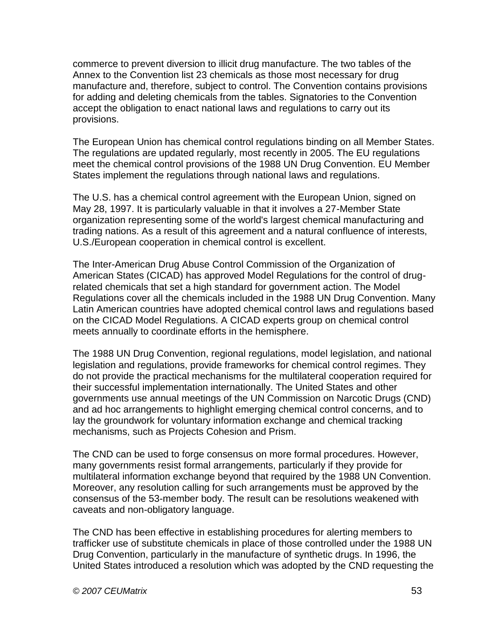commerce to prevent diversion to illicit drug manufacture. The two tables of the Annex to the Convention list 23 chemicals as those most necessary for drug manufacture and, therefore, subject to control. The Convention contains provisions for adding and deleting chemicals from the tables. Signatories to the Convention accept the obligation to enact national laws and regulations to carry out its provisions.

The European Union has chemical control regulations binding on all Member States. The regulations are updated regularly, most recently in 2005. The EU regulations meet the chemical control provisions of the 1988 UN Drug Convention. EU Member States implement the regulations through national laws and regulations.

The U.S. has a chemical control agreement with the European Union, signed on May 28, 1997. It is particularly valuable in that it involves a 27-Member State organization representing some of the world's largest chemical manufacturing and trading nations. As a result of this agreement and a natural confluence of interests, U.S./European cooperation in chemical control is excellent.

The Inter-American Drug Abuse Control Commission of the Organization of American States (CICAD) has approved Model Regulations for the control of drugrelated chemicals that set a high standard for government action. The Model Regulations cover all the chemicals included in the 1988 UN Drug Convention. Many Latin American countries have adopted chemical control laws and regulations based on the CICAD Model Regulations. A CICAD experts group on chemical control meets annually to coordinate efforts in the hemisphere.

The 1988 UN Drug Convention, regional regulations, model legislation, and national legislation and regulations, provide frameworks for chemical control regimes. They do not provide the practical mechanisms for the multilateral cooperation required for their successful implementation internationally. The United States and other governments use annual meetings of the UN Commission on Narcotic Drugs (CND) and ad hoc arrangements to highlight emerging chemical control concerns, and to lay the groundwork for voluntary information exchange and chemical tracking mechanisms, such as Projects Cohesion and Prism.

The CND can be used to forge consensus on more formal procedures. However, many governments resist formal arrangements, particularly if they provide for multilateral information exchange beyond that required by the 1988 UN Convention. Moreover, any resolution calling for such arrangements must be approved by the consensus of the 53-member body. The result can be resolutions weakened with caveats and non-obligatory language.

The CND has been effective in establishing procedures for alerting members to trafficker use of substitute chemicals in place of those controlled under the 1988 UN Drug Convention, particularly in the manufacture of synthetic drugs. In 1996, the United States introduced a resolution which was adopted by the CND requesting the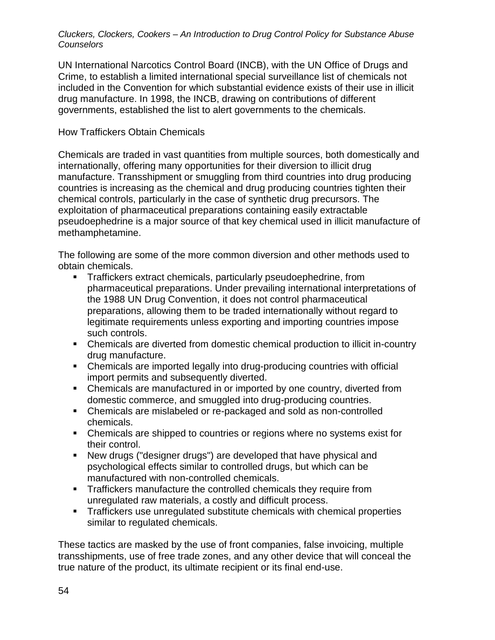UN International Narcotics Control Board (INCB), with the UN Office of Drugs and Crime, to establish a limited international special surveillance list of chemicals not included in the Convention for which substantial evidence exists of their use in illicit drug manufacture. In 1998, the INCB, drawing on contributions of different governments, established the list to alert governments to the chemicals.

# How Traffickers Obtain Chemicals

Chemicals are traded in vast quantities from multiple sources, both domestically and internationally, offering many opportunities for their diversion to illicit drug manufacture. Transshipment or smuggling from third countries into drug producing countries is increasing as the chemical and drug producing countries tighten their chemical controls, particularly in the case of synthetic drug precursors. The exploitation of pharmaceutical preparations containing easily extractable pseudoephedrine is a major source of that key chemical used in illicit manufacture of methamphetamine.

The following are some of the more common diversion and other methods used to obtain chemicals.

- **Traffickers extract chemicals, particularly pseudoephedrine, from** pharmaceutical preparations. Under prevailing international interpretations of the 1988 UN Drug Convention, it does not control pharmaceutical preparations, allowing them to be traded internationally without regard to legitimate requirements unless exporting and importing countries impose such controls.
- Chemicals are diverted from domestic chemical production to illicit in-country drug manufacture.
- Chemicals are imported legally into drug-producing countries with official import permits and subsequently diverted.
- Chemicals are manufactured in or imported by one country, diverted from domestic commerce, and smuggled into drug-producing countries.
- Chemicals are mislabeled or re-packaged and sold as non-controlled chemicals.
- Chemicals are shipped to countries or regions where no systems exist for their control.
- New drugs ("designer drugs") are developed that have physical and psychological effects similar to controlled drugs, but which can be manufactured with non-controlled chemicals.
- **Traffickers manufacture the controlled chemicals they require from** unregulated raw materials, a costly and difficult process.
- **Traffickers use unregulated substitute chemicals with chemical properties** similar to regulated chemicals.

These tactics are masked by the use of front companies, false invoicing, multiple transshipments, use of free trade zones, and any other device that will conceal the true nature of the product, its ultimate recipient or its final end-use.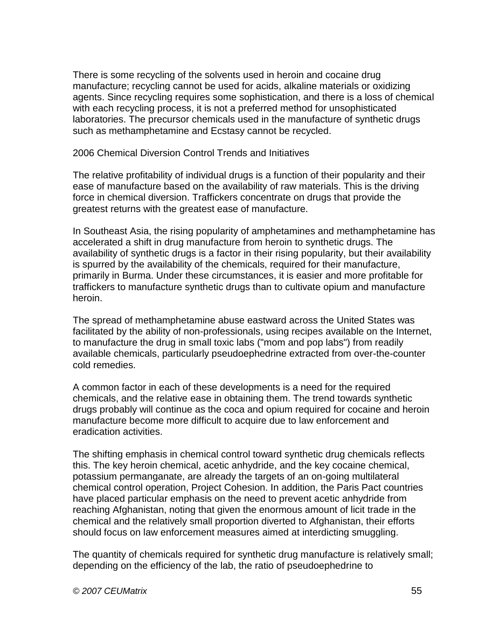There is some recycling of the solvents used in heroin and cocaine drug manufacture; recycling cannot be used for acids, alkaline materials or oxidizing agents. Since recycling requires some sophistication, and there is a loss of chemical with each recycling process, it is not a preferred method for unsophisticated laboratories. The precursor chemicals used in the manufacture of synthetic drugs such as methamphetamine and Ecstasy cannot be recycled.

2006 Chemical Diversion Control Trends and Initiatives

The relative profitability of individual drugs is a function of their popularity and their ease of manufacture based on the availability of raw materials. This is the driving force in chemical diversion. Traffickers concentrate on drugs that provide the greatest returns with the greatest ease of manufacture.

In Southeast Asia, the rising popularity of amphetamines and methamphetamine has accelerated a shift in drug manufacture from heroin to synthetic drugs. The availability of synthetic drugs is a factor in their rising popularity, but their availability is spurred by the availability of the chemicals, required for their manufacture, primarily in Burma. Under these circumstances, it is easier and more profitable for traffickers to manufacture synthetic drugs than to cultivate opium and manufacture heroin.

The spread of methamphetamine abuse eastward across the United States was facilitated by the ability of non-professionals, using recipes available on the Internet, to manufacture the drug in small toxic labs ("mom and pop labs") from readily available chemicals, particularly pseudoephedrine extracted from over-the-counter cold remedies.

A common factor in each of these developments is a need for the required chemicals, and the relative ease in obtaining them. The trend towards synthetic drugs probably will continue as the coca and opium required for cocaine and heroin manufacture become more difficult to acquire due to law enforcement and eradication activities.

The shifting emphasis in chemical control toward synthetic drug chemicals reflects this. The key heroin chemical, acetic anhydride, and the key cocaine chemical, potassium permanganate, are already the targets of an on-going multilateral chemical control operation, Project Cohesion. In addition, the Paris Pact countries have placed particular emphasis on the need to prevent acetic anhydride from reaching Afghanistan, noting that given the enormous amount of licit trade in the chemical and the relatively small proportion diverted to Afghanistan, their efforts should focus on law enforcement measures aimed at interdicting smuggling.

The quantity of chemicals required for synthetic drug manufacture is relatively small; depending on the efficiency of the lab, the ratio of pseudoephedrine to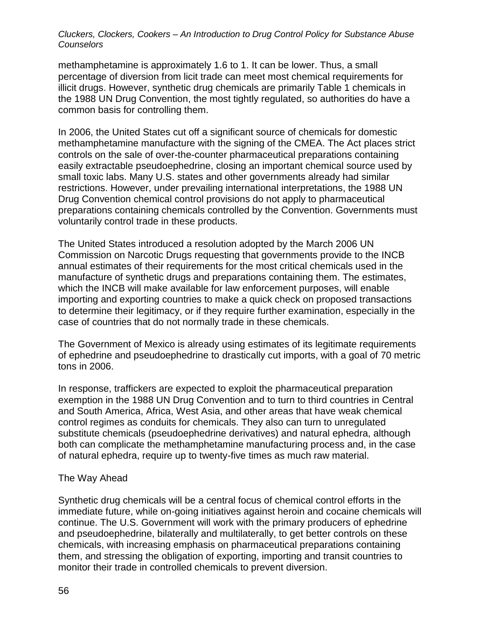methamphetamine is approximately 1.6 to 1. It can be lower. Thus, a small percentage of diversion from licit trade can meet most chemical requirements for illicit drugs. However, synthetic drug chemicals are primarily Table 1 chemicals in the 1988 UN Drug Convention, the most tightly regulated, so authorities do have a common basis for controlling them.

In 2006, the United States cut off a significant source of chemicals for domestic methamphetamine manufacture with the signing of the CMEA. The Act places strict controls on the sale of over-the-counter pharmaceutical preparations containing easily extractable pseudoephedrine, closing an important chemical source used by small toxic labs. Many U.S. states and other governments already had similar restrictions. However, under prevailing international interpretations, the 1988 UN Drug Convention chemical control provisions do not apply to pharmaceutical preparations containing chemicals controlled by the Convention. Governments must voluntarily control trade in these products.

The United States introduced a resolution adopted by the March 2006 UN Commission on Narcotic Drugs requesting that governments provide to the INCB annual estimates of their requirements for the most critical chemicals used in the manufacture of synthetic drugs and preparations containing them. The estimates, which the INCB will make available for law enforcement purposes, will enable importing and exporting countries to make a quick check on proposed transactions to determine their legitimacy, or if they require further examination, especially in the case of countries that do not normally trade in these chemicals.

The Government of Mexico is already using estimates of its legitimate requirements of ephedrine and pseudoephedrine to drastically cut imports, with a goal of 70 metric tons in 2006.

In response, traffickers are expected to exploit the pharmaceutical preparation exemption in the 1988 UN Drug Convention and to turn to third countries in Central and South America, Africa, West Asia, and other areas that have weak chemical control regimes as conduits for chemicals. They also can turn to unregulated substitute chemicals (pseudoephedrine derivatives) and natural ephedra, although both can complicate the methamphetamine manufacturing process and, in the case of natural ephedra, require up to twenty-five times as much raw material.

#### The Way Ahead

Synthetic drug chemicals will be a central focus of chemical control efforts in the immediate future, while on-going initiatives against heroin and cocaine chemicals will continue. The U.S. Government will work with the primary producers of ephedrine and pseudoephedrine, bilaterally and multilaterally, to get better controls on these chemicals, with increasing emphasis on pharmaceutical preparations containing them, and stressing the obligation of exporting, importing and transit countries to monitor their trade in controlled chemicals to prevent diversion.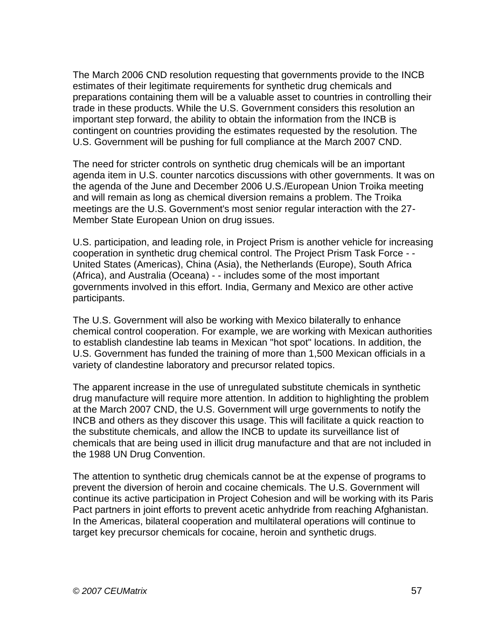The March 2006 CND resolution requesting that governments provide to the INCB estimates of their legitimate requirements for synthetic drug chemicals and preparations containing them will be a valuable asset to countries in controlling their trade in these products. While the U.S. Government considers this resolution an important step forward, the ability to obtain the information from the INCB is contingent on countries providing the estimates requested by the resolution. The U.S. Government will be pushing for full compliance at the March 2007 CND.

The need for stricter controls on synthetic drug chemicals will be an important agenda item in U.S. counter narcotics discussions with other governments. It was on the agenda of the June and December 2006 U.S./European Union Troika meeting and will remain as long as chemical diversion remains a problem. The Troika meetings are the U.S. Government's most senior regular interaction with the 27- Member State European Union on drug issues.

U.S. participation, and leading role, in Project Prism is another vehicle for increasing cooperation in synthetic drug chemical control. The Project Prism Task Force - - United States (Americas), China (Asia), the Netherlands (Europe), South Africa (Africa), and Australia (Oceana) - - includes some of the most important governments involved in this effort. India, Germany and Mexico are other active participants.

The U.S. Government will also be working with Mexico bilaterally to enhance chemical control cooperation. For example, we are working with Mexican authorities to establish clandestine lab teams in Mexican "hot spot" locations. In addition, the U.S. Government has funded the training of more than 1,500 Mexican officials in a variety of clandestine laboratory and precursor related topics.

The apparent increase in the use of unregulated substitute chemicals in synthetic drug manufacture will require more attention. In addition to highlighting the problem at the March 2007 CND, the U.S. Government will urge governments to notify the INCB and others as they discover this usage. This will facilitate a quick reaction to the substitute chemicals, and allow the INCB to update its surveillance list of chemicals that are being used in illicit drug manufacture and that are not included in the 1988 UN Drug Convention.

The attention to synthetic drug chemicals cannot be at the expense of programs to prevent the diversion of heroin and cocaine chemicals. The U.S. Government will continue its active participation in Project Cohesion and will be working with its Paris Pact partners in joint efforts to prevent acetic anhydride from reaching Afghanistan. In the Americas, bilateral cooperation and multilateral operations will continue to target key precursor chemicals for cocaine, heroin and synthetic drugs.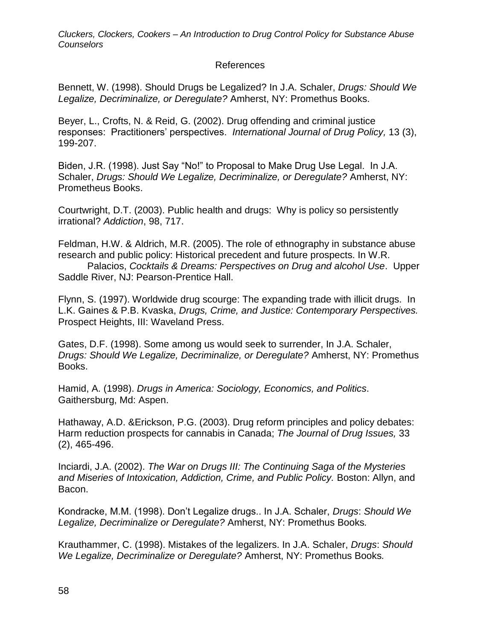#### References

Bennett, W. (1998). Should Drugs be Legalized? In J.A. Schaler, *Drugs: Should We Legalize, Decriminalize, or Deregulate?* Amherst, NY: Promethus Books.

Beyer, L., Crofts, N. & Reid, G. (2002). Drug offending and criminal justice responses: Practitioners' perspectives. *International Journal of Drug Policy,* 13 (3), 199-207.

Biden, J.R. (1998). Just Say "No!" to Proposal to Make Drug Use Legal. In J.A. Schaler, *Drugs: Should We Legalize, Decriminalize, or Deregulate?* Amherst, NY: Prometheus Books.

Courtwright, D.T. (2003). Public health and drugs: Why is policy so persistently irrational? *Addiction*, 98, 717.

Feldman, H.W. & Aldrich, M.R. (2005). The role of ethnography in substance abuse research and public policy: Historical precedent and future prospects. In W.R.

Palacios, *Cocktails & Dreams: Perspectives on Drug and alcohol Use*. Upper Saddle River, NJ: Pearson-Prentice Hall.

Flynn, S. (1997). Worldwide drug scourge: The expanding trade with illicit drugs. In L.K. Gaines & P.B. Kvaska, *Drugs, Crime, and Justice: Contemporary Perspectives.* Prospect Heights, III: Waveland Press.

Gates, D.F. (1998). Some among us would seek to surrender, In J.A. Schaler, *Drugs: Should We Legalize, Decriminalize, or Deregulate?* Amherst, NY: Promethus Books.

Hamid, A. (1998). *Drugs in America: Sociology, Economics, and Politics*. Gaithersburg, Md: Aspen.

Hathaway, A.D. &Erickson, P.G. (2003). Drug reform principles and policy debates: Harm reduction prospects for cannabis in Canada; *The Journal of Drug Issues,* 33 (2), 465-496.

Inciardi, J.A. (2002). *The War on Drugs III: The Continuing Saga of the Mysteries and Miseries of Intoxication, Addiction, Crime, and Public Policy.* Boston: Allyn, and Bacon.

Kondracke, M.M. (1998). Don't Legalize drugs.. In J.A. Schaler, *Drugs*: *Should We Legalize, Decriminalize or Deregulate?* Amherst, NY: Promethus Books*.*

Krauthammer, C. (1998). Mistakes of the legalizers. In J.A. Schaler, *Drugs*: *Should We Legalize, Decriminalize or Deregulate?* Amherst, NY: Promethus Books*.*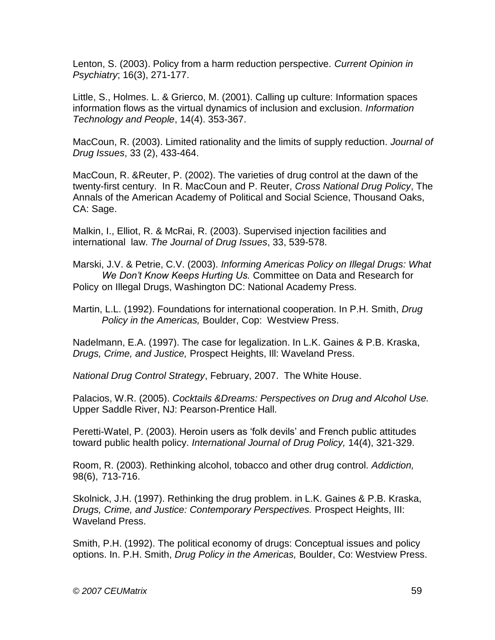Lenton, S. (2003). Policy from a harm reduction perspective. *Current Opinion in Psychiatry*; 16(3), 271-177.

Little, S., Holmes. L. & Grierco, M. (2001). Calling up culture: Information spaces information flows as the virtual dynamics of inclusion and exclusion. *Information Technology and People*, 14(4). 353-367.

MacCoun, R. (2003). Limited rationality and the limits of supply reduction. *Journal of Drug Issues*, 33 (2), 433-464.

MacCoun, R. &Reuter, P. (2002). The varieties of drug control at the dawn of the twenty-first century. In R. MacCoun and P. Reuter, *Cross National Drug Policy*, The Annals of the American Academy of Political and Social Science, Thousand Oaks, CA: Sage.

Malkin, I., Elliot, R. & McRai, R. (2003). Supervised injection facilities and international law. *The Journal of Drug Issues*, 33, 539-578.

Marski, J.V. & Petrie, C.V. (2003). *Informing Americas Policy on Illegal Drugs: What We Don't Know Keeps Hurting Us.* Committee on Data and Research for Policy on Illegal Drugs, Washington DC: National Academy Press.

Martin, L.L. (1992). Foundations for international cooperation. In P.H. Smith, *Drug Policy in the Americas,* Boulder, Cop: Westview Press.

Nadelmann, E.A. (1997). The case for legalization. In L.K. Gaines & P.B. Kraska, *Drugs, Crime, and Justice,* Prospect Heights, Ill: Waveland Press.

*National Drug Control Strategy*, February, 2007. The White House.

Palacios, W.R. (2005). *Cocktails &Dreams: Perspectives on Drug and Alcohol Use.* Upper Saddle River, NJ: Pearson-Prentice Hall.

Peretti-Watel, P. (2003). Heroin users as 'folk devils' and French public attitudes toward public health policy. *International Journal of Drug Policy,* 14(4), 321-329.

Room, R. (2003). Rethinking alcohol, tobacco and other drug control. *Addiction,*  98(6), 713-716.

Skolnick, J.H. (1997). Rethinking the drug problem. in L.K. Gaines & P.B. Kraska, *Drugs, Crime, and Justice: Contemporary Perspectives.* Prospect Heights, III: Waveland Press.

Smith, P.H. (1992). The political economy of drugs: Conceptual issues and policy options. In. P.H. Smith, *Drug Policy in the Americas,* Boulder, Co: Westview Press.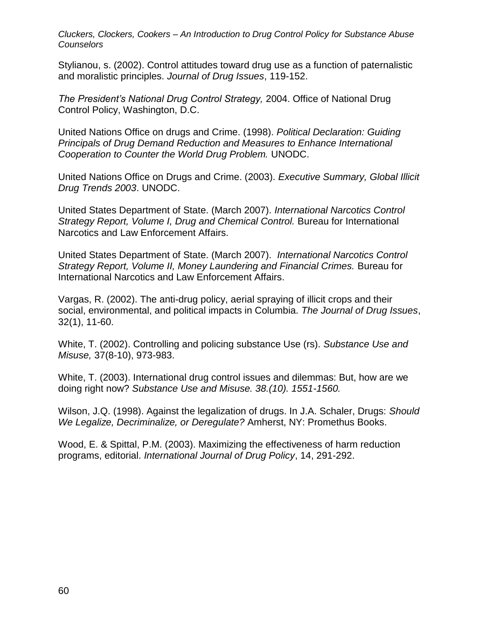Stylianou, s. (2002). Control attitudes toward drug use as a function of paternalistic and moralistic principles. *Journal of Drug Issues*, 119-152.

*The President's National Drug Control Strategy,* 2004. Office of National Drug Control Policy, Washington, D.C.

United Nations Office on drugs and Crime. (1998). *Political Declaration: Guiding Principals of Drug Demand Reduction and Measures to Enhance International Cooperation to Counter the World Drug Problem.* UNODC.

United Nations Office on Drugs and Crime. (2003). *Executive Summary, Global Illicit Drug Trends 2003*. UNODC.

United States Department of State. (March 2007). *International Narcotics Control Strategy Report, Volume I, Drug and Chemical Control.* Bureau for International Narcotics and Law Enforcement Affairs.

United States Department of State. (March 2007). *International Narcotics Control Strategy Report, Volume II, Money Laundering and Financial Crimes.* Bureau for International Narcotics and Law Enforcement Affairs.

Vargas, R. (2002). The anti-drug policy, aerial spraying of illicit crops and their social, environmental, and political impacts in Columbia. *The Journal of Drug Issues*, 32(1), 11-60.

White, T. (2002). Controlling and policing substance Use (rs). *Substance Use and Misuse,* 37(8-10), 973-983.

White, T. (2003). International drug control issues and dilemmas: But, how are we doing right now? *Substance Use and Misuse. 38.(10). 1551-1560.*

Wilson, J.Q. (1998). Against the legalization of drugs. In J.A. Schaler, Drugs: *Should We Legalize, Decriminalize, or Deregulate?* Amherst, NY: Promethus Books.

Wood, E. & Spittal, P.M. (2003). Maximizing the effectiveness of harm reduction programs, editorial. *International Journal of Drug Policy*, 14, 291-292.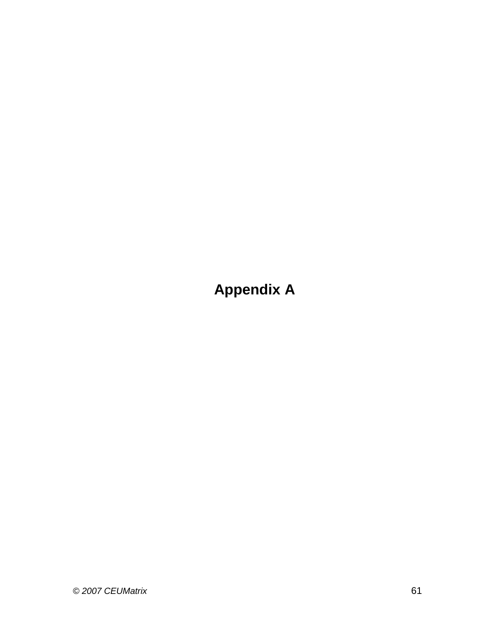**Appendix A**

*© 2007 CEUMatrix* 61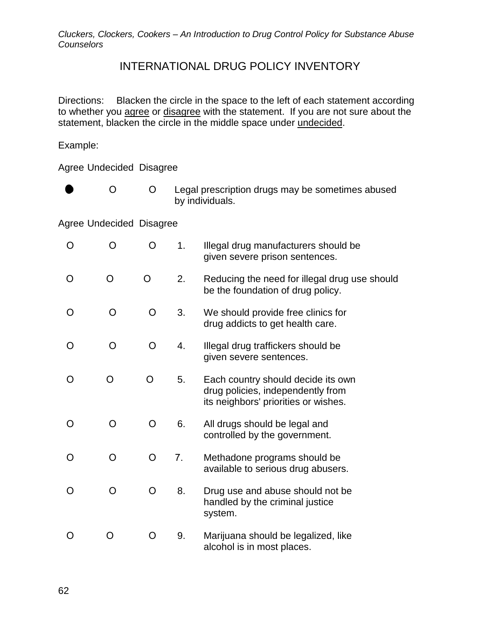# INTERNATIONAL DRUG POLICY INVENTORY

Directions: Blacken the circle in the space to the left of each statement according to whether you agree or disagree with the statement. If you are not sure about the statement, blacken the circle in the middle space under undecided.

Example:

Agree Undecided Disagree

|  | Legal prescription drugs may be sometimes abused |
|--|--------------------------------------------------|
|  | by individuals.                                  |

Agree Undecided Disagree

| O | O              | O        | 1. | Illegal drug manufacturers should be<br>given severe prison sentences.                                          |
|---|----------------|----------|----|-----------------------------------------------------------------------------------------------------------------|
| O | O              | $\Omega$ | 2. | Reducing the need for illegal drug use should<br>be the foundation of drug policy.                              |
| O | $\Omega$       | $\circ$  | 3. | We should provide free clinics for<br>drug addicts to get health care.                                          |
| O | O              | O        | 4. | Illegal drug traffickers should be<br>given severe sentences.                                                   |
| O | O              | O        | 5. | Each country should decide its own<br>drug policies, independently from<br>its neighbors' priorities or wishes. |
| O | $\overline{O}$ | O        | 6. | All drugs should be legal and<br>controlled by the government.                                                  |
| O | $\overline{O}$ | $\circ$  | 7. | Methadone programs should be<br>available to serious drug abusers.                                              |
| O | O              | O        | 8. | Drug use and abuse should not be<br>handled by the criminal justice<br>system.                                  |
| O | O              | O        | 9. | Marijuana should be legalized, like<br>alcohol is in most places.                                               |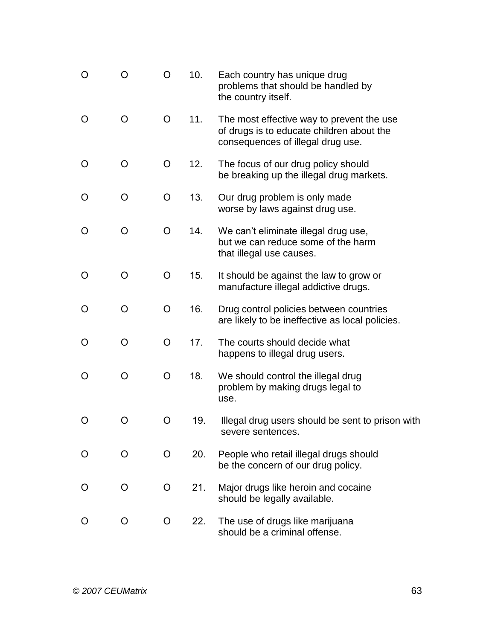| O | O | O       | 10. | Each country has unique drug<br>problems that should be handled by<br>the country itself.                                   |
|---|---|---------|-----|-----------------------------------------------------------------------------------------------------------------------------|
| O | O | $\circ$ | 11. | The most effective way to prevent the use<br>of drugs is to educate children about the<br>consequences of illegal drug use. |
| O | O | O       | 12. | The focus of our drug policy should<br>be breaking up the illegal drug markets.                                             |
| O | O | O       | 13. | Our drug problem is only made<br>worse by laws against drug use.                                                            |
| O | O | O       | 14. | We can't eliminate illegal drug use,<br>but we can reduce some of the harm<br>that illegal use causes.                      |
| O | O | O       | 15. | It should be against the law to grow or<br>manufacture illegal addictive drugs.                                             |
| O | O | O       | 16. | Drug control policies between countries<br>are likely to be ineffective as local policies.                                  |
| O | O | O       | 17. | The courts should decide what<br>happens to illegal drug users.                                                             |
| O | O | O       | 18. | We should control the illegal drug<br>problem by making drugs legal to<br>use.                                              |
| Ő | O | O       | 19. | Illegal drug users should be sent to prison with<br>severe sentences.                                                       |
|   | O | O       | 20. | People who retail illegal drugs should<br>be the concern of our drug policy.                                                |
| O | O | O       | 21. | Major drugs like heroin and cocaine<br>should be legally available.                                                         |
| O | O | O       | 22. | The use of drugs like marijuana<br>should be a criminal offense.                                                            |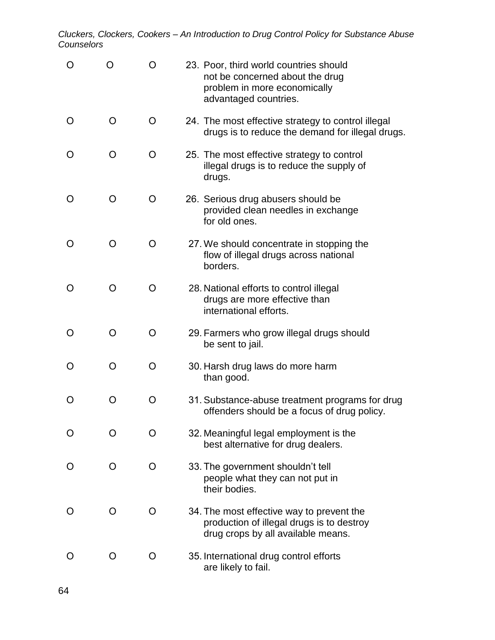| O                 |         | O | 23. Poor, third world countries should<br>not be concerned about the drug<br>problem in more economically<br>advantaged countries. |
|-------------------|---------|---|------------------------------------------------------------------------------------------------------------------------------------|
| $\mathbf{\Omega}$ | O       | O | 24. The most effective strategy to control illegal<br>drugs is to reduce the demand for illegal drugs.                             |
| $\mathbf{\Omega}$ | O       | O | 25. The most effective strategy to control<br>illegal drugs is to reduce the supply of<br>drugs.                                   |
| O                 | O       | O | 26. Serious drug abusers should be<br>provided clean needles in exchange<br>for old ones.                                          |
| Ο                 | O       | O | 27. We should concentrate in stopping the<br>flow of illegal drugs across national<br>borders.                                     |
| O                 | O       | O | 28. National efforts to control illegal<br>drugs are more effective than<br>international efforts.                                 |
| $\mathbf{\Omega}$ | O       | O | 29. Farmers who grow illegal drugs should<br>be sent to jail.                                                                      |
| O                 | O       | O | 30. Harsh drug laws do more harm<br>than good.                                                                                     |
| ( )               | O       | O | 31. Substance-abuse treatment programs for drug<br>offenders should be a focus of drug policy.                                     |
|                   | O       | O | 32. Meaningful legal employment is the<br>best alternative for drug dealers.                                                       |
| $\mathbf{\Omega}$ | $\circ$ | O | 33. The government shouldn't tell<br>people what they can not put in<br>their bodies.                                              |
|                   | O       | O | 34. The most effective way to prevent the<br>production of illegal drugs is to destroy<br>drug crops by all available means.       |
| O                 | O       | O | 35. International drug control efforts<br>are likely to fail.                                                                      |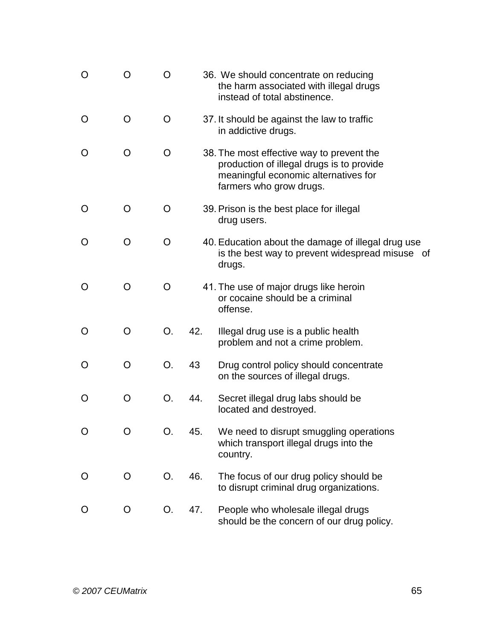| O | O | O  |     | 36. We should concentrate on reducing<br>the harm associated with illegal drugs<br>instead of total abstinence.                                           |
|---|---|----|-----|-----------------------------------------------------------------------------------------------------------------------------------------------------------|
| O | O | O  |     | 37. It should be against the law to traffic<br>in addictive drugs.                                                                                        |
| 0 | O | O  |     | 38. The most effective way to prevent the<br>production of illegal drugs is to provide<br>meaningful economic alternatives for<br>farmers who grow drugs. |
| O | O | O  |     | 39. Prison is the best place for illegal<br>drug users.                                                                                                   |
| O | O | O  |     | 40. Education about the damage of illegal drug use<br>is the best way to prevent widespread misuse of<br>drugs.                                           |
| O | O | O  |     | 41. The use of major drugs like heroin<br>or cocaine should be a criminal<br>offense.                                                                     |
| O | O | О. | 42. | Illegal drug use is a public health<br>problem and not a crime problem.                                                                                   |
| O | O | Ο. | 43  | Drug control policy should concentrate<br>on the sources of illegal drugs.                                                                                |
| 0 | O | Ο. | 44. | Secret illegal drug labs should be<br>located and destroyed.                                                                                              |
| O | O | О. | 45. | We need to disrupt smuggling operations<br>which transport illegal drugs into the<br>country.                                                             |
| O | O | O. | 46. | The focus of our drug policy should be<br>to disrupt criminal drug organizations.                                                                         |
| O | O | O. | 47. | People who wholesale illegal drugs<br>should be the concern of our drug policy.                                                                           |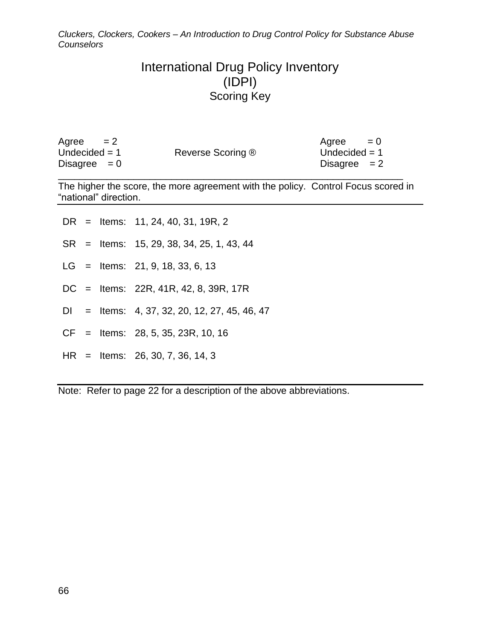# International Drug Policy Inventory (IDPI) Scoring Key

| Agree<br>$= 2$  |                   | $= 0$<br>Agree  |
|-----------------|-------------------|-----------------|
| Undecided $= 1$ | Reverse Scoring ® | Undecided $= 1$ |
| Disagree $= 0$  |                   | Disagree $= 2$  |
|                 |                   |                 |

The higher the score, the more agreement with the policy. Control Focus scored in "national" direction.

|  |  |  | DR = Items: $11, 24, 40, 31, 19R, 2$ |  |  |  |  |
|--|--|--|--------------------------------------|--|--|--|--|
|--|--|--|--------------------------------------|--|--|--|--|

- SR = Items: 15, 29, 38, 34, 25, 1, 43, 44
- LG = Items: 21, 9, 18, 33, 6, 13
- DC = Items: 22R, 41R, 42, 8, 39R, 17R
- DI = Items: 4, 37, 32, 20, 12, 27, 45, 46, 47
- CF = Items: 28, 5, 35, 23R, 10, 16
- HR = Items: 26, 30, 7, 36, 14, 3

Note: Refer to page 22 for a description of the above abbreviations.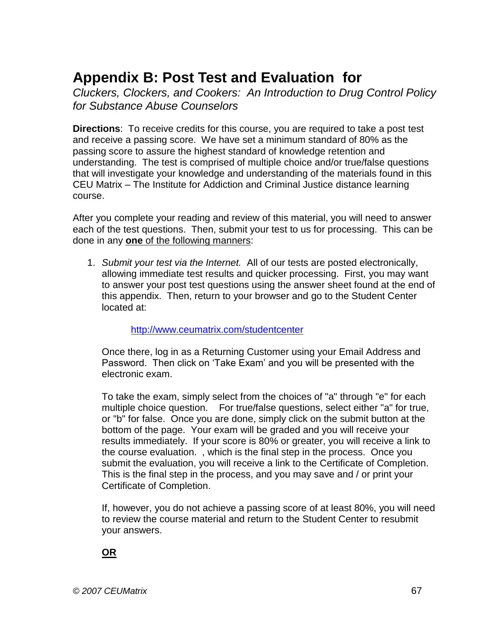# **Appendix B: Post Test and Evaluation for**

*Cluckers, Clockers, and Cookers: An Introduction to Drug Control Policy for Substance Abuse Counselors*

**Directions**: To receive credits for this course, you are required to take a post test and receive a passing score. We have set a minimum standard of 80% as the passing score to assure the highest standard of knowledge retention and understanding. The test is comprised of multiple choice and/or true/false questions that will investigate your knowledge and understanding of the materials found in this CEU Matrix – The Institute for Addiction and Criminal Justice distance learning course.

After you complete your reading and review of this material, you will need to answer each of the test questions. Then, submit your test to us for processing. This can be done in any **one** of the following manners:

1. *Submit your test via the Internet.* All of our tests are posted electronically, allowing immediate test results and quicker processing. First, you may want to answer your post test questions using the answer sheet found at the end of this appendix. Then, return to your browser and go to the Student Center located at:

# <http://www.ceumatrix.com/studentcenter>

Once there, log in as a Returning Customer using your Email Address and Password. Then click on 'Take Exam' and you will be presented with the electronic exam.

To take the exam, simply select from the choices of "a" through "e" for each multiple choice question. For true/false questions, select either "a" for true, or "b" for false. Once you are done, simply click on the submit button at the bottom of the page. Your exam will be graded and you will receive your results immediately. If your score is 80% or greater, you will receive a link to the course evaluation. , which is the final step in the process. Once you submit the evaluation, you will receive a link to the Certificate of Completion. This is the final step in the process, and you may save and / or print your Certificate of Completion.

If, however, you do not achieve a passing score of at least 80%, you will need to review the course material and return to the Student Center to resubmit your answers.

**OR**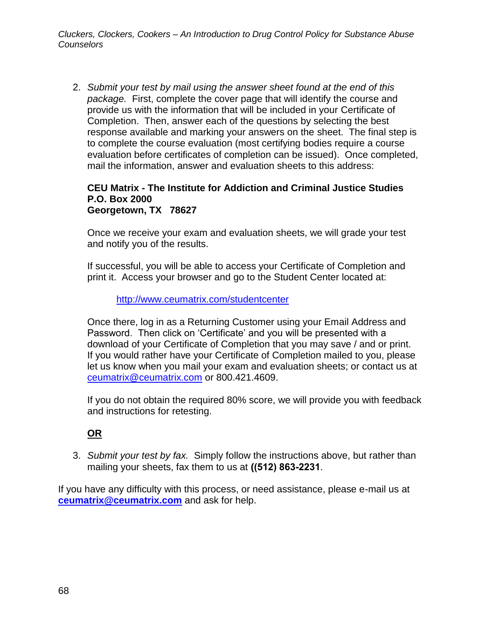2. *Submit your test by mail using the answer sheet found at the end of this package.* First, complete the cover page that will identify the course and provide us with the information that will be included in your Certificate of Completion. Then, answer each of the questions by selecting the best response available and marking your answers on the sheet. The final step is to complete the course evaluation (most certifying bodies require a course evaluation before certificates of completion can be issued). Once completed, mail the information, answer and evaluation sheets to this address:

#### **CEU Matrix - The Institute for Addiction and Criminal Justice Studies P.O. Box 2000 Georgetown, TX 78627**

Once we receive your exam and evaluation sheets, we will grade your test and notify you of the results.

If successful, you will be able to access your Certificate of Completion and print it. Access your browser and go to the Student Center located at:

#### <http://www.ceumatrix.com/studentcenter>

Once there, log in as a Returning Customer using your Email Address and Password. Then click on 'Certificate' and you will be presented with a download of your Certificate of Completion that you may save / and or print. If you would rather have your Certificate of Completion mailed to you, please let us know when you mail your exam and evaluation sheets; or contact us at [ceumatrix@ceumatrix.com](mailto:ceumatrix@ceumatrix.com) or 800.421.4609.

If you do not obtain the required 80% score, we will provide you with feedback and instructions for retesting.

# **OR**

3. *Submit your test by fax.* Simply follow the instructions above, but rather than mailing your sheets, fax them to us at **((512) 863-2231**.

If you have any difficulty with this process, or need assistance, please e-mail us at **[ceumatrix@ceumatrix.com](mailto:ceumatrix@ceumatrix.com)** and ask for help.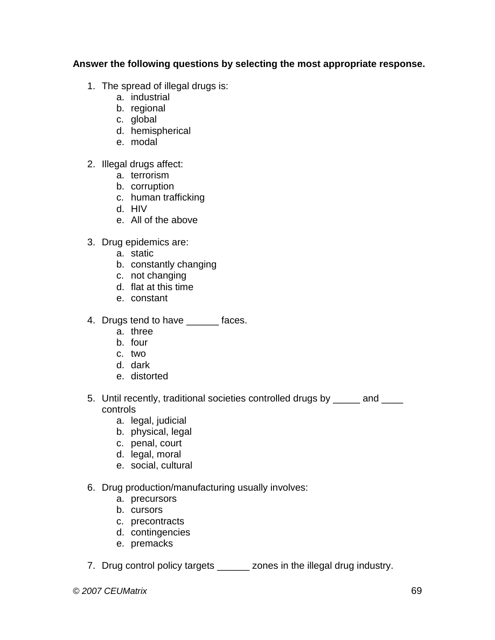# **Answer the following questions by selecting the most appropriate response.**

- 1. The spread of illegal drugs is:
	- a. industrial
	- b. regional
	- c. global
	- d. hemispherical
	- e. modal
- 2. Illegal drugs affect:
	- a. terrorism
	- b. corruption
	- c. human trafficking
	- d. HIV
	- e. All of the above
- 3. Drug epidemics are:
	- a. static
	- b. constantly changing
	- c. not changing
	- d. flat at this time
	- e. constant
- 4. Drugs tend to have \_\_\_\_\_\_ faces.
	- a. three
	- b. four
	- c. two
	- d. dark
	- e. distorted
- 5. Until recently, traditional societies controlled drugs by \_\_\_\_\_ and \_\_\_\_ controls
	- a. legal, judicial
	- b. physical, legal
	- c. penal, court
	- d. legal, moral
	- e. social, cultural
- 6. Drug production/manufacturing usually involves:
	- a. precursors
	- b. cursors
	- c. precontracts
	- d. contingencies
	- e. premacks
- 7. Drug control policy targets \_\_\_\_\_\_ zones in the illegal drug industry.

*© 2007 CEUMatrix* 69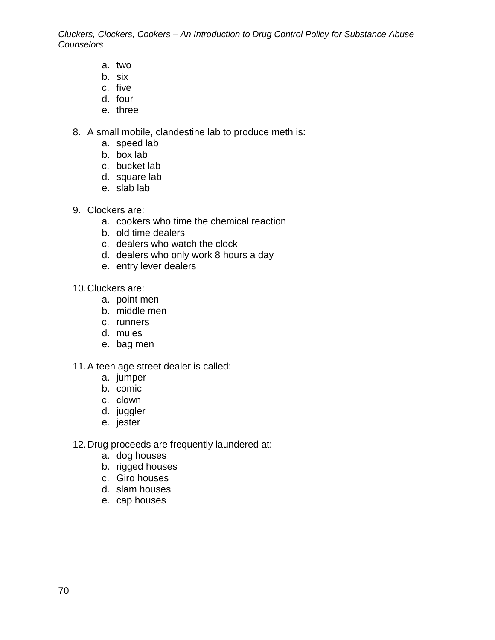- a. two
- b. six
- c. five
- d. four
- e. three

8. A small mobile, clandestine lab to produce meth is:

- a. speed lab
- b. box lab
- c. bucket lab
- d. square lab
- e. slab lab
- 9. Clockers are:
	- a. cookers who time the chemical reaction
	- b. old time dealers
	- c. dealers who watch the clock
	- d. dealers who only work 8 hours a day
	- e. entry lever dealers
- 10.Cluckers are:
	- a. point men
	- b. middle men
	- c. runners
	- d. mules
	- e. bag men
- 11.A teen age street dealer is called:
	- a. jumper
	- b. comic
	- c. clown
	- d. juggler
	- e. jester
- 12.Drug proceeds are frequently laundered at:
	- a. dog houses
	- b. rigged houses
	- c. Giro houses
	- d. slam houses
	- e. cap houses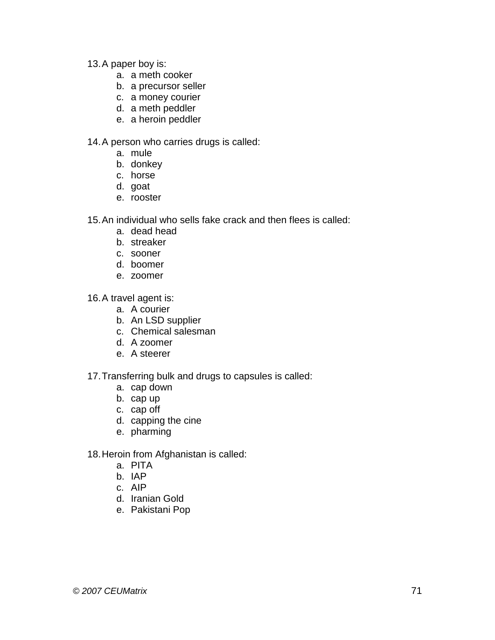- 13.A paper boy is:
	- a. a meth cooker
	- b. a precursor seller
	- c. a money courier
	- d. a meth peddler
	- e. a heroin peddler

14.A person who carries drugs is called:

- a. mule
- b. donkey
- c. horse
- d. goat
- e. rooster

15.An individual who sells fake crack and then flees is called:

- a. dead head
- b. streaker
- c. sooner
- d. boomer
- e. zoomer

16.A travel agent is:

- a. A courier
- b. An LSD supplier
- c. Chemical salesman
- d. A zoomer
- e. A steerer

## 17.Transferring bulk and drugs to capsules is called:

- a. cap down
- b. cap up
- c. cap off
- d. capping the cine
- e. pharming

#### 18.Heroin from Afghanistan is called:

- a. PITA
- b. IAP
- c. AIP
- d. Iranian Gold
- e. Pakistani Pop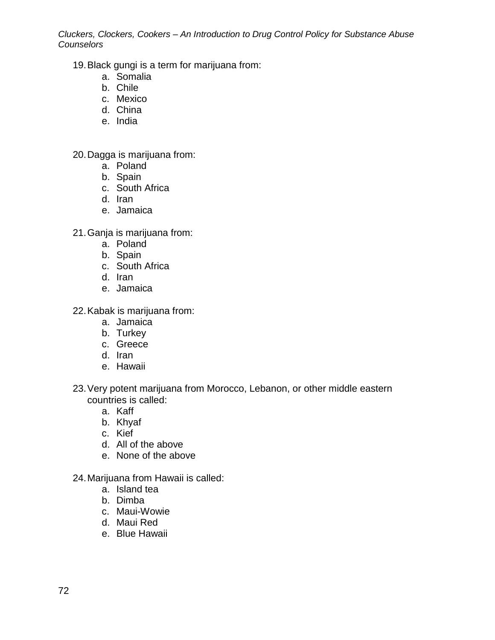19.Black gungi is a term for marijuana from:

- a. Somalia
- b. Chile
- c. Mexico
- d. China
- e. India

20.Dagga is marijuana from:

- a. Poland
- b. Spain
- c. South Africa
- d. Iran
- e. Jamaica
- 21.Ganja is marijuana from:
	- a. Poland
	- b. Spain
	- c. South Africa
	- d. Iran
	- e. Jamaica
- 22.Kabak is marijuana from:
	- a. Jamaica
	- b. Turkey
	- c. Greece
	- d. Iran
	- e. Hawaii
- 23.Very potent marijuana from Morocco, Lebanon, or other middle eastern countries is called:
	- a. Kaff
	- b. Khyaf
	- c. Kief
	- d. All of the above
	- e. None of the above
- 24.Marijuana from Hawaii is called:
	- a. Island tea
	- b. Dimba
	- c. Maui-Wowie
	- d. Maui Red
	- e. Blue Hawaii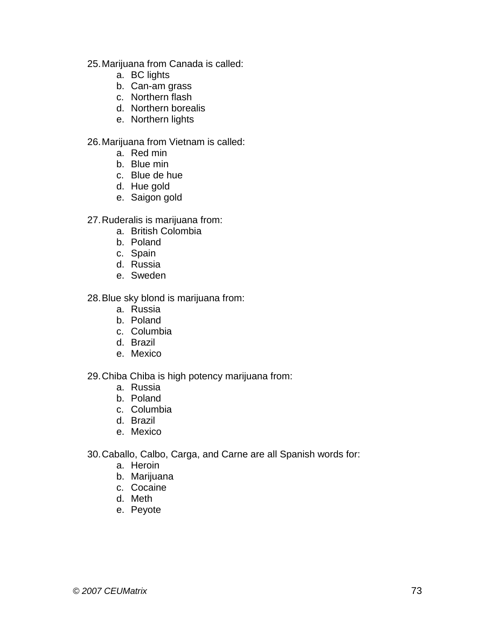- 25.Marijuana from Canada is called:
	- a. BC lights
	- b. Can-am grass
	- c. Northern flash
	- d. Northern borealis
	- e. Northern lights

#### 26.Marijuana from Vietnam is called:

- a. Red min
- b. Blue min
- c. Blue de hue
- d. Hue gold
- e. Saigon gold

27.Ruderalis is marijuana from:

- a. British Colombia
- b. Poland
- c. Spain
- d. Russia
- e. Sweden

28.Blue sky blond is marijuana from:

- a. Russia
- b. Poland
- c. Columbia
- d. Brazil
- e. Mexico

### 29.Chiba Chiba is high potency marijuana from:

- a. Russia
- b. Poland
- c. Columbia
- d. Brazil
- e. Mexico
- 30.Caballo, Calbo, Carga, and Carne are all Spanish words for:
	- a. Heroin
	- b. Marijuana
	- c. Cocaine
	- d. Meth
	- e. Peyote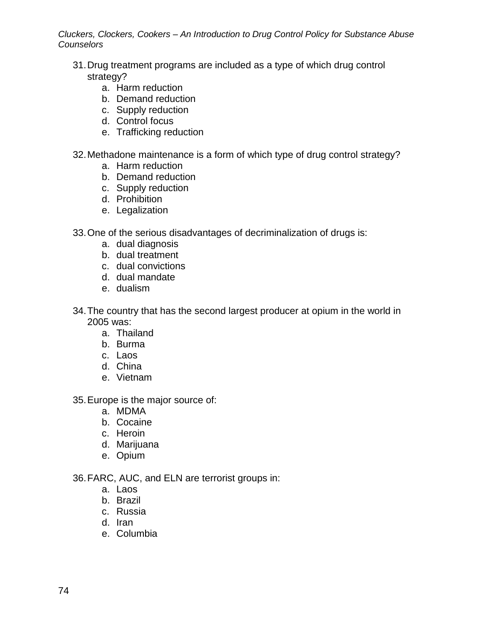- 31.Drug treatment programs are included as a type of which drug control strategy?
	- a. Harm reduction
	- b. Demand reduction
	- c. Supply reduction
	- d. Control focus
	- e. Trafficking reduction
- 32.Methadone maintenance is a form of which type of drug control strategy?
	- a. Harm reduction
	- b. Demand reduction
	- c. Supply reduction
	- d. Prohibition
	- e. Legalization
- 33.One of the serious disadvantages of decriminalization of drugs is:
	- a. dual diagnosis
	- b. dual treatment
	- c. dual convictions
	- d. dual mandate
	- e. dualism
- 34.The country that has the second largest producer at opium in the world in 2005 was:
	- a. Thailand
	- b. Burma
	- c. Laos
	- d. China
	- e. Vietnam

35.Europe is the major source of:

- a. MDMA
- b. Cocaine
- c. Heroin
- d. Marijuana
- e. Opium

36.FARC, AUC, and ELN are terrorist groups in:

- a. Laos
- b. Brazil
- c. Russia
- d. Iran
- e. Columbia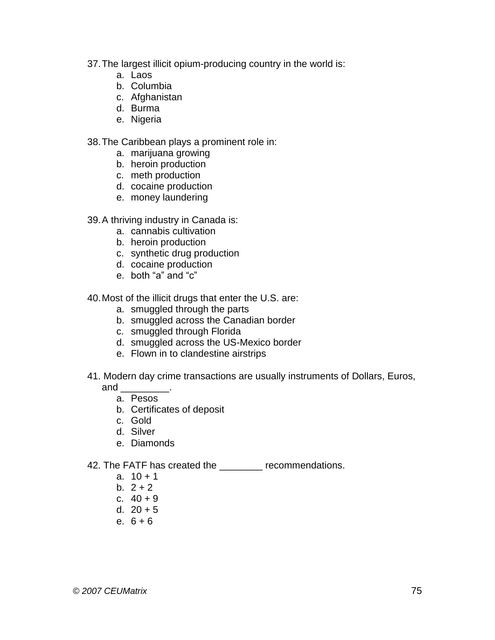- 37.The largest illicit opium-producing country in the world is:
	- a. Laos
	- b. Columbia
	- c. Afghanistan
	- d. Burma
	- e. Nigeria

38.The Caribbean plays a prominent role in:

- a. marijuana growing
- b. heroin production
- c. meth production
- d. cocaine production
- e. money laundering

#### 39.A thriving industry in Canada is:

- a. cannabis cultivation
- b. heroin production
- c. synthetic drug production
- d. cocaine production
- e. both "a" and "c"

40.Most of the illicit drugs that enter the U.S. are:

- a. smuggled through the parts
- b. smuggled across the Canadian border
- c. smuggled through Florida
- d. smuggled across the US-Mexico border
- e. Flown in to clandestine airstrips
- 41. Modern day crime transactions are usually instruments of Dollars, Euros,

and \_\_\_\_\_\_\_\_\_.

- a. Pesos
- b. Certificates of deposit
- c. Gold
- d. Silver
- e. Diamonds
- 42. The FATF has created the **\_\_\_\_\_\_\_** recommendations.
	- a.  $10 + 1$
	- b.  $2 + 2$
	- c. 40 + 9
	- d.  $20 + 5$
	- e. 6 + 6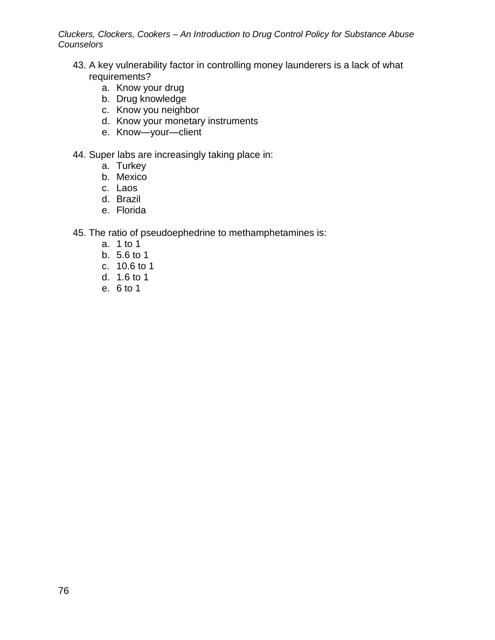- 43. A key vulnerability factor in controlling money launderers is a lack of what requirements?
	- a. Know your drug
	- b. Drug knowledge
	- c. Know you neighbor
	- d. Know your monetary instruments
	- e. Know—your—client
- 44. Super labs are increasingly taking place in:
	- a. Turkey
	- b. Mexico
	- c. Laos
	- d. Brazil
	- e. Florida
- 45. The ratio of pseudoephedrine to methamphetamines is:
	- a. 1 to 1
	- b. 5.6 to 1
	- c. 10.6 to 1
	- d. 1.6 to 1
	- e. 6 to 1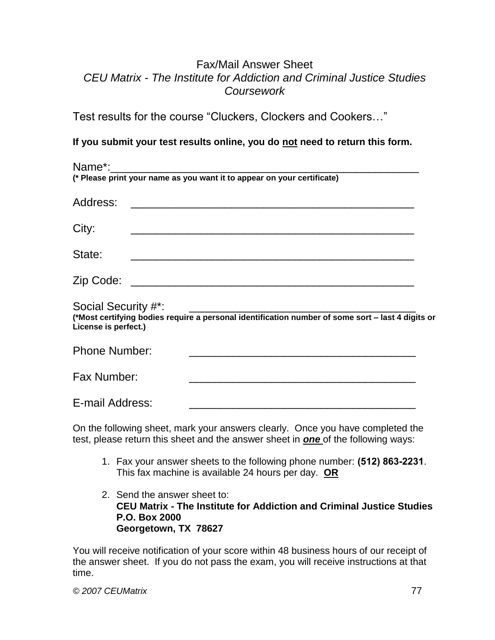## Fax/Mail Answer Sheet *CEU Matrix - The Institute for Addiction and Criminal Justice Studies Coursework*

Test results for the course "Cluckers, Clockers and Cookers…"

## **If you submit your test results online, you do not need to return this form.**

On the following sheet, mark your answers clearly. Once you have completed the test, please return this sheet and the answer sheet in *one* of the following ways:

- 1. Fax your answer sheets to the following phone number: **(512) 863-2231**. This fax machine is available 24 hours per day. **OR**
- 2. Send the answer sheet to: **CEU Matrix - The Institute for Addiction and Criminal Justice Studies P.O. Box 2000 Georgetown, TX 78627**

You will receive notification of your score within 48 business hours of our receipt of the answer sheet. If you do not pass the exam, you will receive instructions at that time.

*© 2007 CEUMatrix* 77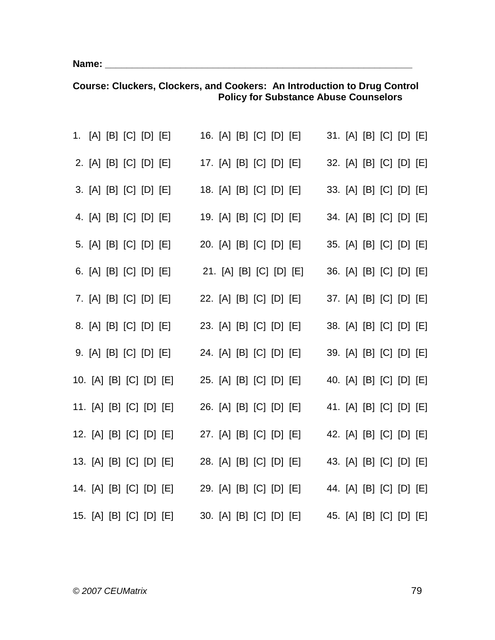**Name: \_\_\_\_\_\_\_\_\_\_\_\_\_\_\_\_\_\_\_\_\_\_\_\_\_\_\_\_\_\_\_\_\_\_\_\_\_\_\_\_\_\_\_\_\_\_\_\_\_\_\_\_\_\_\_\_\_**

|  |  | 1. [A] [B] [C] [D] [E] 16. [A] [B] [C] [D] [E] 31. [A] [B] [C] [D] [E]  |  |  |  |  |  |  |
|--|--|-------------------------------------------------------------------------|--|--|--|--|--|--|
|  |  | 2. [A] [B] [C] [D] [E] 17. [A] [B] [C] [D] [E] 32. [A] [B] [C] [D] [E]  |  |  |  |  |  |  |
|  |  | 3. [A] [B] [C] [D] [E] 18. [A] [B] [C] [D] [E] 33. [A] [B] [C] [D] [E]  |  |  |  |  |  |  |
|  |  | 4. [A] [B] [C] [D] [E] 19. [A] [B] [C] [D] [E] 34. [A] [B] [C] [D] [E]  |  |  |  |  |  |  |
|  |  | 5. [A] [B] [C] [D] [E] 20. [A] [B] [C] [D] [E] 35. [A] [B] [C] [D] [E]  |  |  |  |  |  |  |
|  |  | 6. [A] [B] [C] [D] [E] 21. [A] [B] [C] [D] [E] 36. [A] [B] [C] [D] [E]  |  |  |  |  |  |  |
|  |  | 7. [A] [B] [C] [D] [E] 22. [A] [B] [C] [D] [E] 37. [A] [B] [C] [D] [E]  |  |  |  |  |  |  |
|  |  | 8. [A] [B] [C] [D] [E] 23. [A] [B] [C] [D] [E] 38. [A] [B] [C] [D] [E]  |  |  |  |  |  |  |
|  |  | 9. [A] [B] [C] [D] [E] 24. [A] [B] [C] [D] [E] 39. [A] [B] [C] [D] [E]  |  |  |  |  |  |  |
|  |  | 10. [A] [B] [C] [D] [E] 25. [A] [B] [C] [D] [E] 40. [A] [B] [C] [D] [E] |  |  |  |  |  |  |
|  |  | 11. [A] [B] [C] [D] [E] 26. [A] [B] [C] [D] [E] 41. [A] [B] [C] [D] [E] |  |  |  |  |  |  |
|  |  | 12. [A] [B] [C] [D] [E] 27. [A] [B] [C] [D] [E] 42. [A] [B] [C] [D] [E] |  |  |  |  |  |  |
|  |  | 13. [A] [B] [C] [D] [E] 28. [A] [B] [C] [D] [E] 43. [A] [B] [C] [D] [E] |  |  |  |  |  |  |
|  |  | 14. [A] [B] [C] [D] [E] 29. [A] [B] [C] [D] [E] 44. [A] [B] [C] [D] [E] |  |  |  |  |  |  |
|  |  | 15. [A] [B] [C] [D] [E] 30. [A] [B] [C] [D] [E] 45. [A] [B] [C] [D] [E] |  |  |  |  |  |  |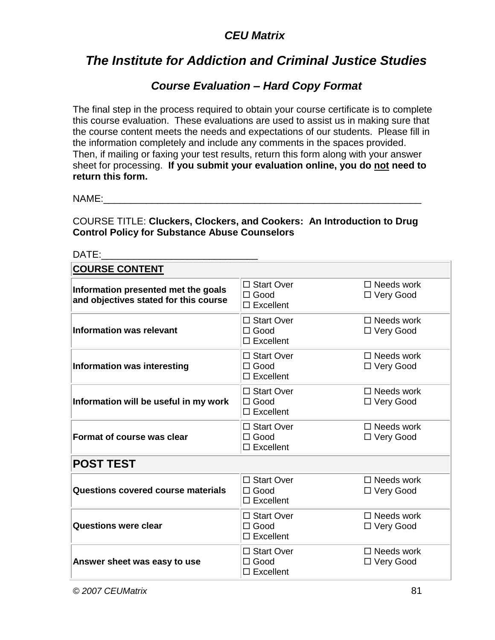# *CEU Matrix*

# *The Institute for Addiction and Criminal Justice Studies*

# *Course Evaluation – Hard Copy Format*

The final step in the process required to obtain your course certificate is to complete this course evaluation. These evaluations are used to assist us in making sure that the course content meets the needs and expectations of our students. Please fill in the information completely and include any comments in the spaces provided. Then, if mailing or faxing your test results, return this form along with your answer sheet for processing. **If you submit your evaluation online, you do not need to return this form.**

 $NAMF:$ 

| DATE:                                                                        |                                                    |                                  |  |  |  |  |
|------------------------------------------------------------------------------|----------------------------------------------------|----------------------------------|--|--|--|--|
| <b>COURSE CONTENT</b>                                                        |                                                    |                                  |  |  |  |  |
| Information presented met the goals<br>and objectives stated for this course | □ Start Over<br>$\Box$ Good<br>$\Box$ Excellent    | $\Box$ Needs work<br>□ Very Good |  |  |  |  |
| <b>Information was relevant</b>                                              | □ Start Over<br>$\Box$ Good<br>$\Box$ Excellent    | $\Box$ Needs work<br>□ Very Good |  |  |  |  |
| Information was interesting                                                  | □ Start Over<br>$\Box$ Good<br>$\Box$ Excellent    | $\Box$ Needs work<br>□ Very Good |  |  |  |  |
| Information will be useful in my work                                        | □ Start Over<br>$\Box$ Good<br>$\square$ Excellent | $\Box$ Needs work<br>□ Very Good |  |  |  |  |
| Format of course was clear                                                   | □ Start Over<br>$\Box$ Good<br>$\square$ Excellent | $\Box$ Needs work<br>□ Very Good |  |  |  |  |
| <b>POST TEST</b>                                                             |                                                    |                                  |  |  |  |  |
| Questions covered course materials                                           | □ Start Over<br>$\Box$ Good<br>$\Box$ Excellent    | $\Box$ Needs work<br>□ Very Good |  |  |  |  |
| <b>Questions were clear</b>                                                  | □ Start Over<br>$\Box$ Good<br>$\Box$ Excellent    | $\Box$ Needs work<br>□ Very Good |  |  |  |  |
| Answer sheet was easy to use                                                 | □ Start Over<br>$\Box$ Good<br>$\square$ Excellent | $\Box$ Needs work<br>□ Very Good |  |  |  |  |